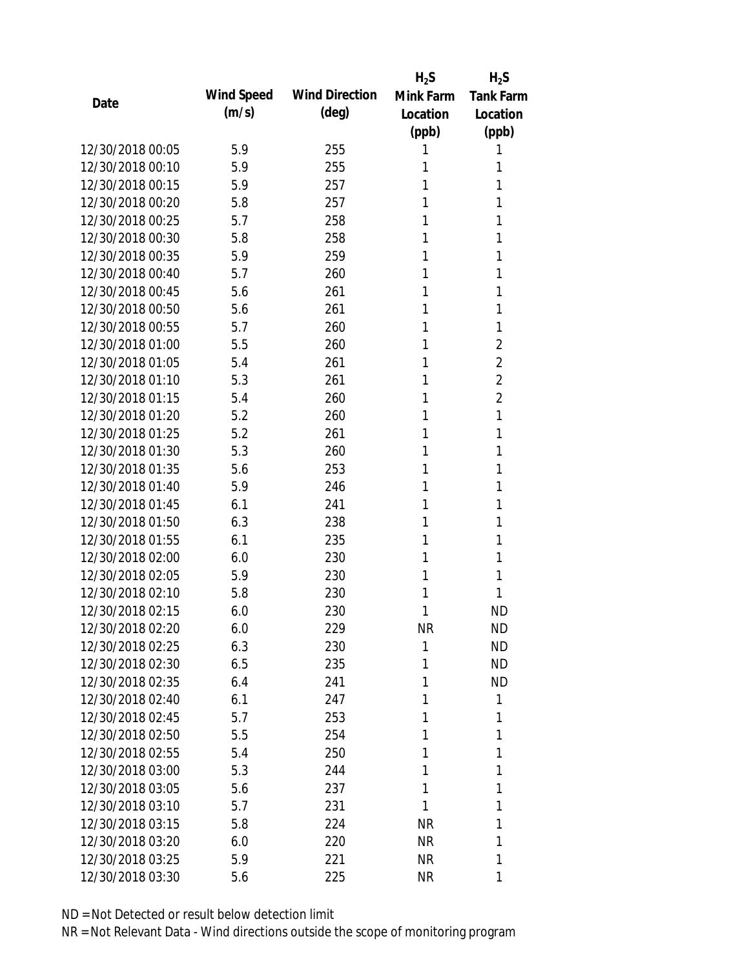|                  |            |                       | $H_2S$    | $H_2S$           |
|------------------|------------|-----------------------|-----------|------------------|
| Date             | Wind Speed | <b>Wind Direction</b> | Mink Farm | <b>Tank Farm</b> |
|                  | (m/s)      | $(\text{deg})$        | Location  | Location         |
|                  |            |                       | (ppb)     | (ppb)            |
| 12/30/2018 00:05 | 5.9        | 255                   | 1         | 1                |
| 12/30/2018 00:10 | 5.9        | 255                   | 1         | 1                |
| 12/30/2018 00:15 | 5.9        | 257                   | 1         | 1                |
| 12/30/2018 00:20 | 5.8        | 257                   | 1         | 1                |
| 12/30/2018 00:25 | 5.7        | 258                   | 1         | 1                |
| 12/30/2018 00:30 | 5.8        | 258                   | 1         | 1                |
| 12/30/2018 00:35 | 5.9        | 259                   | 1         | 1                |
| 12/30/2018 00:40 | 5.7        | 260                   | 1         | 1                |
| 12/30/2018 00:45 | 5.6        | 261                   | 1         | 1                |
| 12/30/2018 00:50 | 5.6        | 261                   | 1         | 1                |
| 12/30/2018 00:55 | 5.7        | 260                   | 1         | 1                |
| 12/30/2018 01:00 | 5.5        | 260                   | 1         | $\overline{2}$   |
| 12/30/2018 01:05 | 5.4        | 261                   | 1         | $\overline{2}$   |
| 12/30/2018 01:10 | 5.3        | 261                   | 1         | $\overline{2}$   |
| 12/30/2018 01:15 | 5.4        | 260                   | 1         | $\overline{2}$   |
| 12/30/2018 01:20 | 5.2        | 260                   | 1         | 1                |
| 12/30/2018 01:25 | 5.2        | 261                   | 1         | 1                |
| 12/30/2018 01:30 | 5.3        | 260                   | 1         | 1                |
| 12/30/2018 01:35 | 5.6        | 253                   | 1         | 1                |
| 12/30/2018 01:40 | 5.9        | 246                   | 1         | 1                |
| 12/30/2018 01:45 | 6.1        | 241                   | 1         | 1                |
| 12/30/2018 01:50 | 6.3        | 238                   | 1         | 1                |
| 12/30/2018 01:55 | 6.1        | 235                   | 1         | 1                |
| 12/30/2018 02:00 | 6.0        | 230                   | 1         | 1                |
| 12/30/2018 02:05 | 5.9        | 230                   | 1         | 1                |
| 12/30/2018 02:10 | 5.8        | 230                   | 1         | 1                |
| 12/30/2018 02:15 | 6.0        | 230                   | 1         | <b>ND</b>        |
| 12/30/2018 02:20 | 6.0        | 229                   | <b>NR</b> | <b>ND</b>        |
| 12/30/2018 02:25 | 6.3        | 230                   | 1         | <b>ND</b>        |
| 12/30/2018 02:30 | 6.5        | 235                   | 1         | <b>ND</b>        |
| 12/30/2018 02:35 | 6.4        | 241                   | 1         | <b>ND</b>        |
| 12/30/2018 02:40 | 6.1        | 247                   | 1         | 1                |
| 12/30/2018 02:45 | 5.7        | 253                   | 1         | 1                |
| 12/30/2018 02:50 | 5.5        | 254                   | 1         | 1                |
| 12/30/2018 02:55 | 5.4        | 250                   | 1         | 1                |
| 12/30/2018 03:00 | 5.3        | 244                   | 1         | 1                |
| 12/30/2018 03:05 | 5.6        | 237                   | 1         | 1                |
| 12/30/2018 03:10 | 5.7        | 231                   | 1         | 1                |
| 12/30/2018 03:15 | 5.8        | 224                   | <b>NR</b> | 1                |
| 12/30/2018 03:20 | 6.0        | 220                   | NR        | 1                |
| 12/30/2018 03:25 | 5.9        | 221                   | NR        | 1                |
| 12/30/2018 03:30 | 5.6        | 225                   | <b>NR</b> | 1                |
|                  |            |                       |           |                  |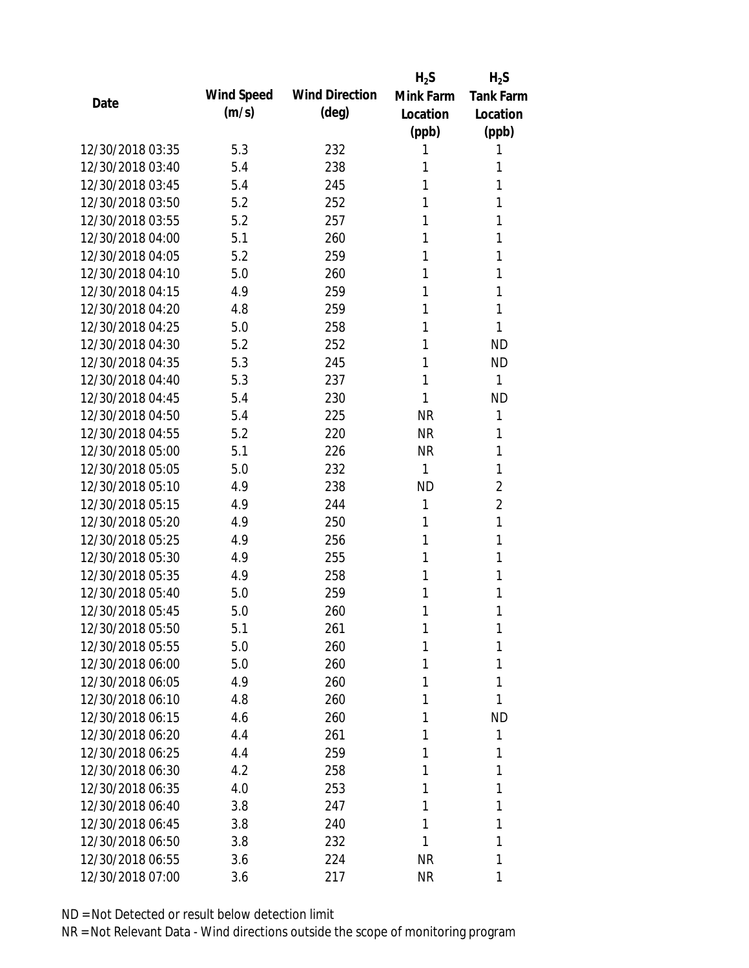|                  |            |                       | $H_2S$    | $H_2S$           |
|------------------|------------|-----------------------|-----------|------------------|
| Date             | Wind Speed | <b>Wind Direction</b> | Mink Farm | <b>Tank Farm</b> |
|                  | (m/s)      | $(\text{deg})$        | Location  | Location         |
|                  |            |                       | (ppb)     | (ppb)            |
| 12/30/2018 03:35 | 5.3        | 232                   | 1         | 1                |
| 12/30/2018 03:40 | 5.4        | 238                   | 1         | 1                |
| 12/30/2018 03:45 | 5.4        | 245                   | 1         | 1                |
| 12/30/2018 03:50 | 5.2        | 252                   | 1         | 1                |
| 12/30/2018 03:55 | 5.2        | 257                   | 1         | 1                |
| 12/30/2018 04:00 | 5.1        | 260                   | 1         | 1                |
| 12/30/2018 04:05 | 5.2        | 259                   | 1         | 1                |
| 12/30/2018 04:10 | 5.0        | 260                   | 1         | 1                |
| 12/30/2018 04:15 | 4.9        | 259                   | 1         | 1                |
| 12/30/2018 04:20 | 4.8        | 259                   | 1         | 1                |
| 12/30/2018 04:25 | 5.0        | 258                   | 1         | 1                |
| 12/30/2018 04:30 | 5.2        | 252                   | 1         | <b>ND</b>        |
| 12/30/2018 04:35 | 5.3        | 245                   | 1         | <b>ND</b>        |
| 12/30/2018 04:40 | 5.3        | 237                   | 1         | 1                |
| 12/30/2018 04:45 | 5.4        | 230                   | 1         | <b>ND</b>        |
| 12/30/2018 04:50 | 5.4        | 225                   | <b>NR</b> | 1                |
| 12/30/2018 04:55 | 5.2        | 220                   | <b>NR</b> | 1                |
| 12/30/2018 05:00 | 5.1        | 226                   | <b>NR</b> | 1                |
| 12/30/2018 05:05 | 5.0        | 232                   | 1         | 1                |
| 12/30/2018 05:10 | 4.9        | 238                   | <b>ND</b> | $\overline{2}$   |
| 12/30/2018 05:15 | 4.9        | 244                   | 1         | $\overline{2}$   |
| 12/30/2018 05:20 | 4.9        | 250                   | 1         | 1                |
| 12/30/2018 05:25 | 4.9        | 256                   | 1         | 1                |
| 12/30/2018 05:30 | 4.9        | 255                   | 1         | 1                |
| 12/30/2018 05:35 | 4.9        | 258                   | 1         | 1                |
| 12/30/2018 05:40 | 5.0        | 259                   | 1         | 1                |
| 12/30/2018 05:45 | 5.0        | 260                   | 1         | 1                |
| 12/30/2018 05:50 | 5.1        | 261                   | 1         | 1                |
| 12/30/2018 05:55 | 5.0        | 260                   | 1         | 1                |
| 12/30/2018 06:00 | 5.0        | 260                   | 1         | 1                |
| 12/30/2018 06:05 | 4.9        | 260                   | 1         | 1                |
| 12/30/2018 06:10 | 4.8        | 260                   | 1         | 1                |
| 12/30/2018 06:15 | 4.6        | 260                   | 1         | <b>ND</b>        |
| 12/30/2018 06:20 | 4.4        | 261                   | 1         | 1                |
| 12/30/2018 06:25 | 4.4        | 259                   | 1         | 1                |
| 12/30/2018 06:30 | 4.2        | 258                   | 1         | 1                |
| 12/30/2018 06:35 | 4.0        | 253                   | 1         | 1                |
| 12/30/2018 06:40 | 3.8        | 247                   | 1         | 1                |
| 12/30/2018 06:45 | 3.8        | 240                   | 1         | 1                |
| 12/30/2018 06:50 | 3.8        | 232                   | 1         | 1                |
| 12/30/2018 06:55 | 3.6        | 224                   | <b>NR</b> | 1                |
| 12/30/2018 07:00 | 3.6        | 217                   | <b>NR</b> | 1                |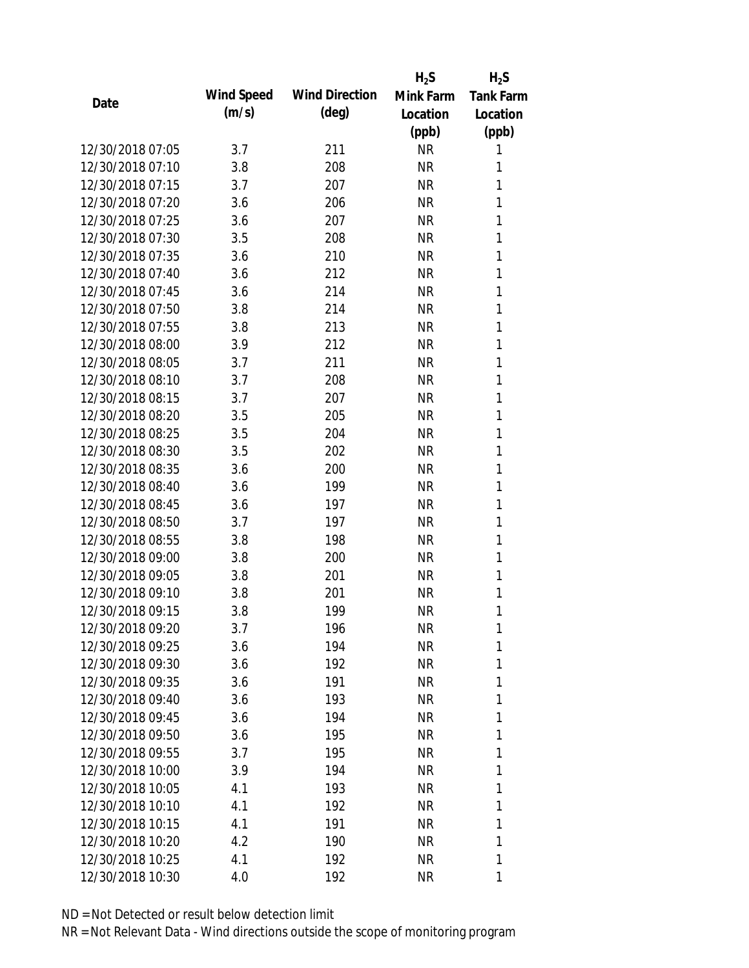|                  |            |                       | $H_2S$    | $H_2S$           |
|------------------|------------|-----------------------|-----------|------------------|
|                  | Wind Speed | <b>Wind Direction</b> | Mink Farm | <b>Tank Farm</b> |
| Date             | (m/s)      | $(\text{deg})$        | Location  | Location         |
|                  |            |                       | (ppb)     | (ppb)            |
| 12/30/2018 07:05 | 3.7        | 211                   | <b>NR</b> | 1                |
| 12/30/2018 07:10 | 3.8        | 208                   | <b>NR</b> | 1                |
| 12/30/2018 07:15 | 3.7        | 207                   | <b>NR</b> | 1                |
| 12/30/2018 07:20 | 3.6        | 206                   | <b>NR</b> | 1                |
| 12/30/2018 07:25 | 3.6        | 207                   | <b>NR</b> | 1                |
| 12/30/2018 07:30 | 3.5        | 208                   | <b>NR</b> | 1                |
| 12/30/2018 07:35 | 3.6        | 210                   | <b>NR</b> | 1                |
| 12/30/2018 07:40 | 3.6        | 212                   | <b>NR</b> | 1                |
| 12/30/2018 07:45 | 3.6        | 214                   | <b>NR</b> | 1                |
| 12/30/2018 07:50 | 3.8        | 214                   | <b>NR</b> | 1                |
| 12/30/2018 07:55 | 3.8        | 213                   | <b>NR</b> | 1                |
| 12/30/2018 08:00 | 3.9        | 212                   | <b>NR</b> | 1                |
| 12/30/2018 08:05 | 3.7        | 211                   | <b>NR</b> | 1                |
| 12/30/2018 08:10 | 3.7        | 208                   | <b>NR</b> | 1                |
| 12/30/2018 08:15 | 3.7        | 207                   | <b>NR</b> | 1                |
| 12/30/2018 08:20 | 3.5        | 205                   | <b>NR</b> | 1                |
| 12/30/2018 08:25 | 3.5        | 204                   | <b>NR</b> | 1                |
| 12/30/2018 08:30 | 3.5        | 202                   | <b>NR</b> | 1                |
| 12/30/2018 08:35 | 3.6        | 200                   | <b>NR</b> | 1                |
| 12/30/2018 08:40 | 3.6        | 199                   | <b>NR</b> | 1                |
| 12/30/2018 08:45 | 3.6        | 197                   | <b>NR</b> | 1                |
| 12/30/2018 08:50 | 3.7        | 197                   | <b>NR</b> | 1                |
| 12/30/2018 08:55 | 3.8        | 198                   | <b>NR</b> | 1                |
| 12/30/2018 09:00 | 3.8        | 200                   | <b>NR</b> | 1                |
| 12/30/2018 09:05 | 3.8        | 201                   | <b>NR</b> | 1                |
| 12/30/2018 09:10 | 3.8        | 201                   | <b>NR</b> | 1                |
| 12/30/2018 09:15 | 3.8        | 199                   | <b>NR</b> | 1                |
| 12/30/2018 09:20 | 3.7        | 196                   | <b>NR</b> | 1                |
| 12/30/2018 09:25 | 3.6        | 194                   | <b>NR</b> | 1                |
| 12/30/2018 09:30 | 3.6        | 192                   | NR        | 1                |
| 12/30/2018 09:35 | 3.6        | 191                   | <b>NR</b> | 1                |
| 12/30/2018 09:40 | 3.6        | 193                   | NR        | 1                |
| 12/30/2018 09:45 | 3.6        | 194                   | NR        | 1                |
| 12/30/2018 09:50 | 3.6        | 195                   | NR        | 1                |
| 12/30/2018 09:55 | 3.7        | 195                   | NR        | 1                |
| 12/30/2018 10:00 | 3.9        | 194                   | <b>NR</b> | 1                |
| 12/30/2018 10:05 | 4.1        | 193                   | NR        | 1                |
| 12/30/2018 10:10 | 4.1        | 192                   | NR        | 1                |
| 12/30/2018 10:15 | 4.1        | 191                   | NR        | 1                |
| 12/30/2018 10:20 | 4.2        | 190                   | NR        | 1                |
| 12/30/2018 10:25 | 4.1        | 192                   | <b>NR</b> | 1                |
| 12/30/2018 10:30 | 4.0        | 192                   | <b>NR</b> | 1                |
|                  |            |                       |           |                  |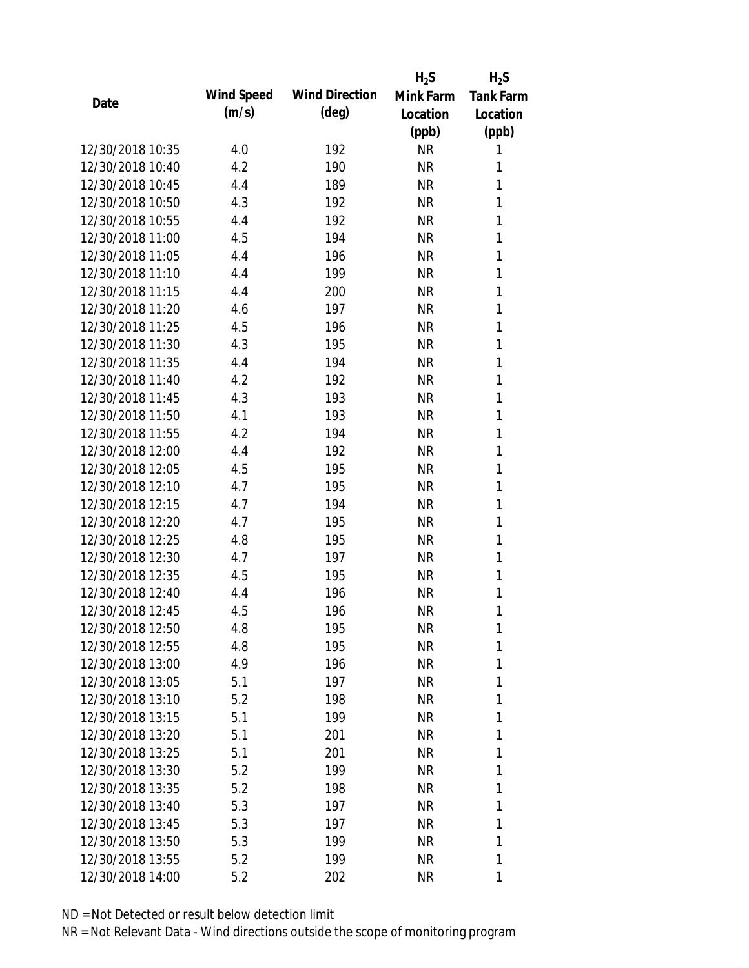|                  |            |                       | $H_2S$    | $H_2S$           |
|------------------|------------|-----------------------|-----------|------------------|
| Date             | Wind Speed | <b>Wind Direction</b> | Mink Farm | <b>Tank Farm</b> |
|                  | (m/s)      | $(\text{deg})$        | Location  | Location         |
|                  |            |                       | (ppb)     | (ppb)            |
| 12/30/2018 10:35 | 4.0        | 192                   | <b>NR</b> | 1                |
| 12/30/2018 10:40 | 4.2        | 190                   | <b>NR</b> | 1                |
| 12/30/2018 10:45 | 4.4        | 189                   | <b>NR</b> | 1                |
| 12/30/2018 10:50 | 4.3        | 192                   | <b>NR</b> | 1                |
| 12/30/2018 10:55 | 4.4        | 192                   | <b>NR</b> | 1                |
| 12/30/2018 11:00 | 4.5        | 194                   | <b>NR</b> | 1                |
| 12/30/2018 11:05 | 4.4        | 196                   | <b>NR</b> | 1                |
| 12/30/2018 11:10 | 4.4        | 199                   | <b>NR</b> | 1                |
| 12/30/2018 11:15 | 4.4        | 200                   | <b>NR</b> | 1                |
| 12/30/2018 11:20 | 4.6        | 197                   | <b>NR</b> | 1                |
| 12/30/2018 11:25 | 4.5        | 196                   | <b>NR</b> | 1                |
| 12/30/2018 11:30 | 4.3        | 195                   | <b>NR</b> | 1                |
| 12/30/2018 11:35 | 4.4        | 194                   | <b>NR</b> | 1                |
| 12/30/2018 11:40 | 4.2        | 192                   | <b>NR</b> | 1                |
| 12/30/2018 11:45 | 4.3        | 193                   | <b>NR</b> | 1                |
| 12/30/2018 11:50 | 4.1        | 193                   | <b>NR</b> | 1                |
| 12/30/2018 11:55 | 4.2        | 194                   | <b>NR</b> | 1                |
| 12/30/2018 12:00 | 4.4        | 192                   | <b>NR</b> | 1                |
| 12/30/2018 12:05 | 4.5        | 195                   | <b>NR</b> | 1                |
| 12/30/2018 12:10 | 4.7        | 195                   | <b>NR</b> | 1                |
| 12/30/2018 12:15 | 4.7        | 194                   | <b>NR</b> | 1                |
| 12/30/2018 12:20 | 4.7        | 195                   | <b>NR</b> | 1                |
| 12/30/2018 12:25 | 4.8        | 195                   | <b>NR</b> | 1                |
| 12/30/2018 12:30 | 4.7        | 197                   | <b>NR</b> | 1                |
| 12/30/2018 12:35 | 4.5        | 195                   | <b>NR</b> | 1                |
| 12/30/2018 12:40 | 4.4        | 196                   | <b>NR</b> | 1                |
| 12/30/2018 12:45 | 4.5        | 196                   | <b>NR</b> | 1                |
| 12/30/2018 12:50 | 4.8        | 195                   | <b>NR</b> | 1                |
| 12/30/2018 12:55 | 4.8        | 195                   | <b>NR</b> | 1                |
| 12/30/2018 13:00 | 4.9        | 196                   | NR        | 1                |
| 12/30/2018 13:05 | 5.1        | 197                   | <b>NR</b> | 1                |
| 12/30/2018 13:10 | 5.2        | 198                   | NR        | 1                |
| 12/30/2018 13:15 | 5.1        | 199                   | NR        | 1                |
| 12/30/2018 13:20 | 5.1        | 201                   | NR        | 1                |
| 12/30/2018 13:25 | 5.1        | 201                   | NR        | 1                |
| 12/30/2018 13:30 | 5.2        | 199                   | <b>NR</b> | 1                |
| 12/30/2018 13:35 | 5.2        | 198                   | NR        | 1                |
| 12/30/2018 13:40 |            | 197                   |           | 1                |
| 12/30/2018 13:45 | 5.3<br>5.3 | 197                   | NR<br>NR  | 1                |
| 12/30/2018 13:50 | 5.3        |                       |           | 1                |
|                  |            | 199                   | NR        |                  |
| 12/30/2018 13:55 | 5.2        | 199                   | <b>NR</b> | 1                |
| 12/30/2018 14:00 | 5.2        | 202                   | <b>NR</b> | 1                |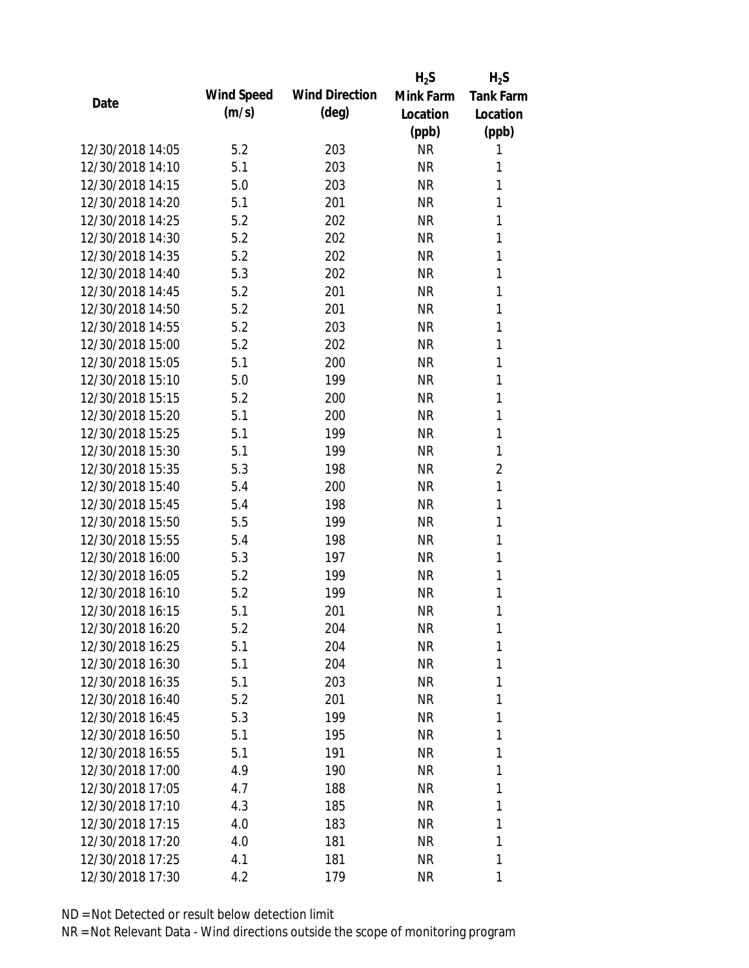|                  |            |                       | $H_2S$    | $H_2S$           |
|------------------|------------|-----------------------|-----------|------------------|
|                  | Wind Speed | <b>Wind Direction</b> | Mink Farm | <b>Tank Farm</b> |
| Date             | (m/s)      | $(\text{deg})$        | Location  | Location         |
|                  |            |                       | (ppb)     | (ppb)            |
| 12/30/2018 14:05 | 5.2        | 203                   | <b>NR</b> | 1                |
| 12/30/2018 14:10 | 5.1        | 203                   | <b>NR</b> | 1                |
| 12/30/2018 14:15 | 5.0        | 203                   | <b>NR</b> | 1                |
| 12/30/2018 14:20 | 5.1        | 201                   | <b>NR</b> | 1                |
| 12/30/2018 14:25 | 5.2        | 202                   | <b>NR</b> | 1                |
| 12/30/2018 14:30 | 5.2        | 202                   | <b>NR</b> | 1                |
| 12/30/2018 14:35 | 5.2        | 202                   | <b>NR</b> | 1                |
| 12/30/2018 14:40 | 5.3        | 202                   | <b>NR</b> | 1                |
| 12/30/2018 14:45 | 5.2        | 201                   | <b>NR</b> | 1                |
| 12/30/2018 14:50 | 5.2        | 201                   | <b>NR</b> | 1                |
| 12/30/2018 14:55 | 5.2        | 203                   | <b>NR</b> | 1                |
| 12/30/2018 15:00 | 5.2        | 202                   | <b>NR</b> | 1                |
| 12/30/2018 15:05 | 5.1        | 200                   | <b>NR</b> | 1                |
| 12/30/2018 15:10 | 5.0        | 199                   | <b>NR</b> | 1                |
| 12/30/2018 15:15 | 5.2        | 200                   | <b>NR</b> | 1                |
| 12/30/2018 15:20 | 5.1        | 200                   | <b>NR</b> | 1                |
| 12/30/2018 15:25 | 5.1        | 199                   | <b>NR</b> | 1                |
| 12/30/2018 15:30 | 5.1        | 199                   | <b>NR</b> | 1                |
| 12/30/2018 15:35 | 5.3        | 198                   | <b>NR</b> | $\overline{2}$   |
| 12/30/2018 15:40 | 5.4        | 200                   | <b>NR</b> | 1                |
| 12/30/2018 15:45 | 5.4        | 198                   | <b>NR</b> | 1                |
| 12/30/2018 15:50 | 5.5        | 199                   | <b>NR</b> | 1                |
| 12/30/2018 15:55 | 5.4        | 198                   | <b>NR</b> | 1                |
| 12/30/2018 16:00 | 5.3        | 197                   | <b>NR</b> | 1                |
| 12/30/2018 16:05 | 5.2        | 199                   | <b>NR</b> | 1                |
| 12/30/2018 16:10 | 5.2        | 199                   | <b>NR</b> | 1                |
| 12/30/2018 16:15 | 5.1        | 201                   | <b>NR</b> | 1                |
| 12/30/2018 16:20 | 5.2        | 204                   | <b>NR</b> | 1                |
| 12/30/2018 16:25 | 5.1        | 204                   | <b>NR</b> | 1                |
| 12/30/2018 16:30 | 5.1        | 204                   | NR        | 1                |
| 12/30/2018 16:35 | 5.1        | 203                   | NR        | 1                |
| 12/30/2018 16:40 | 5.2        | 201                   | NR        | 1                |
| 12/30/2018 16:45 | 5.3        | 199                   | NR        | 1                |
| 12/30/2018 16:50 | 5.1        | 195                   | NR        | 1                |
| 12/30/2018 16:55 | 5.1        | 191                   | NR        | 1                |
| 12/30/2018 17:00 | 4.9        | 190                   | <b>NR</b> | 1                |
| 12/30/2018 17:05 | 4.7        | 188                   | NR        | 1                |
| 12/30/2018 17:10 | 4.3        | 185                   | NR        | 1                |
| 12/30/2018 17:15 | 4.0        | 183                   | NR        | 1                |
| 12/30/2018 17:20 | 4.0        | 181                   | NR        | 1                |
| 12/30/2018 17:25 | 4.1        | 181                   | <b>NR</b> | 1                |
| 12/30/2018 17:30 | 4.2        | 179                   | <b>NR</b> | 1                |
|                  |            |                       |           |                  |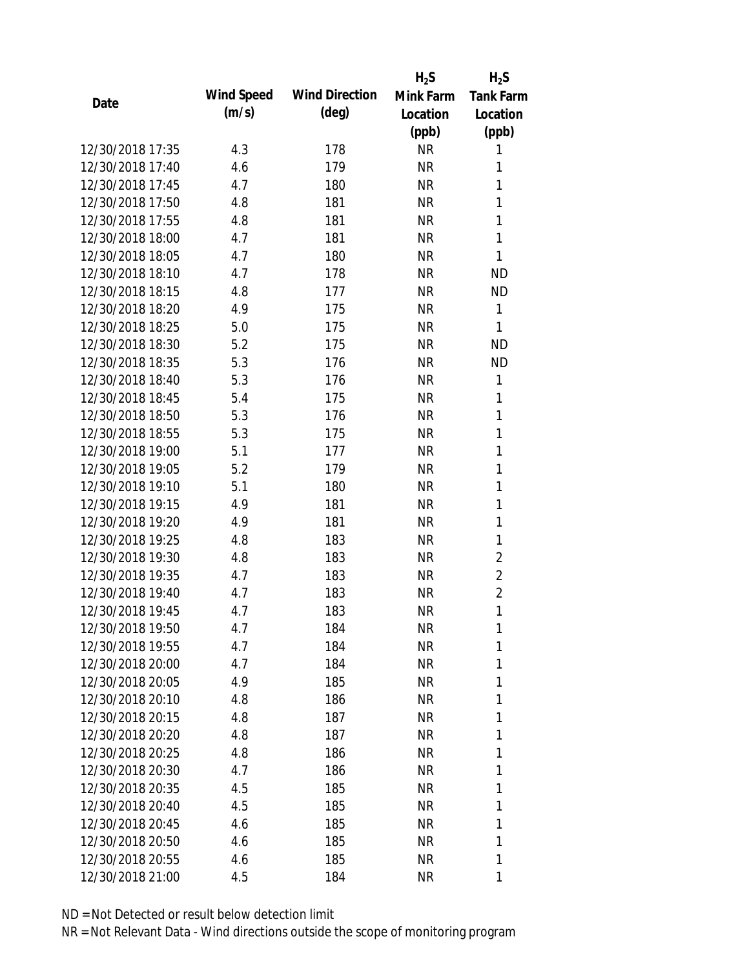|                  |            |                       | $H_2S$    | $H_2S$         |
|------------------|------------|-----------------------|-----------|----------------|
| Date             | Wind Speed | <b>Wind Direction</b> | Mink Farm | Tank Farm      |
|                  | (m/s)      | $(\text{deg})$        | Location  | Location       |
|                  |            |                       | (ppb)     | (ppb)          |
| 12/30/2018 17:35 | 4.3        | 178                   | <b>NR</b> | 1              |
| 12/30/2018 17:40 | 4.6        | 179                   | <b>NR</b> | 1              |
| 12/30/2018 17:45 | 4.7        | 180                   | <b>NR</b> | 1              |
| 12/30/2018 17:50 | 4.8        | 181                   | <b>NR</b> | 1              |
| 12/30/2018 17:55 | 4.8        | 181                   | <b>NR</b> | 1              |
| 12/30/2018 18:00 | 4.7        | 181                   | <b>NR</b> | 1              |
| 12/30/2018 18:05 | 4.7        | 180                   | <b>NR</b> | 1              |
| 12/30/2018 18:10 | 4.7        | 178                   | <b>NR</b> | <b>ND</b>      |
| 12/30/2018 18:15 | 4.8        | 177                   | <b>NR</b> | <b>ND</b>      |
| 12/30/2018 18:20 | 4.9        | 175                   | <b>NR</b> | $\mathbf{1}$   |
| 12/30/2018 18:25 | 5.0        | 175                   | <b>NR</b> | 1              |
| 12/30/2018 18:30 | 5.2        | 175                   | <b>NR</b> | <b>ND</b>      |
| 12/30/2018 18:35 | 5.3        | 176                   | <b>NR</b> | <b>ND</b>      |
| 12/30/2018 18:40 | 5.3        | 176                   | <b>NR</b> | 1              |
| 12/30/2018 18:45 | 5.4        | 175                   | <b>NR</b> | 1              |
| 12/30/2018 18:50 | 5.3        | 176                   | <b>NR</b> | 1              |
| 12/30/2018 18:55 | 5.3        | 175                   | <b>NR</b> | 1              |
| 12/30/2018 19:00 | 5.1        | 177                   | <b>NR</b> | 1              |
| 12/30/2018 19:05 | 5.2        | 179                   | <b>NR</b> | 1              |
| 12/30/2018 19:10 | 5.1        | 180                   | <b>NR</b> | 1              |
| 12/30/2018 19:15 | 4.9        | 181                   | <b>NR</b> | 1              |
| 12/30/2018 19:20 | 4.9        | 181                   | <b>NR</b> | 1              |
| 12/30/2018 19:25 | 4.8        | 183                   | <b>NR</b> | 1              |
| 12/30/2018 19:30 | 4.8        | 183                   | <b>NR</b> | $\overline{2}$ |
| 12/30/2018 19:35 | 4.7        | 183                   | <b>NR</b> | $\overline{2}$ |
| 12/30/2018 19:40 | 4.7        | 183                   | <b>NR</b> | $\overline{2}$ |
| 12/30/2018 19:45 | 4.7        | 183                   | <b>NR</b> | 1              |
| 12/30/2018 19:50 | 4.7        | 184                   | <b>NR</b> | 1              |
| 12/30/2018 19:55 | 4.7        | 184                   | <b>NR</b> | 1              |
| 12/30/2018 20:00 | 4.7        | 184                   | NR        | 1              |
| 12/30/2018 20:05 | 4.9        | 185                   | <b>NR</b> | 1              |
| 12/30/2018 20:10 | 4.8        | 186                   | NR        | 1              |
| 12/30/2018 20:15 | 4.8        | 187                   | NR        | 1              |
| 12/30/2018 20:20 | 4.8        | 187                   | NR        | 1              |
| 12/30/2018 20:25 | 4.8        | 186                   | ΝR        | 1              |
| 12/30/2018 20:30 | 4.7        | 186                   | <b>NR</b> | 1              |
| 12/30/2018 20:35 | 4.5        | 185                   | NR        | 1              |
| 12/30/2018 20:40 | 4.5        |                       | NR        | 1              |
| 12/30/2018 20:45 | 4.6        | 185<br>185            | NR        | 1              |
| 12/30/2018 20:50 |            |                       |           | 1              |
|                  | 4.6        | 185                   | NR        |                |
| 12/30/2018 20:55 | 4.6        | 185                   | <b>NR</b> | 1              |
| 12/30/2018 21:00 | 4.5        | 184                   | <b>NR</b> | 1              |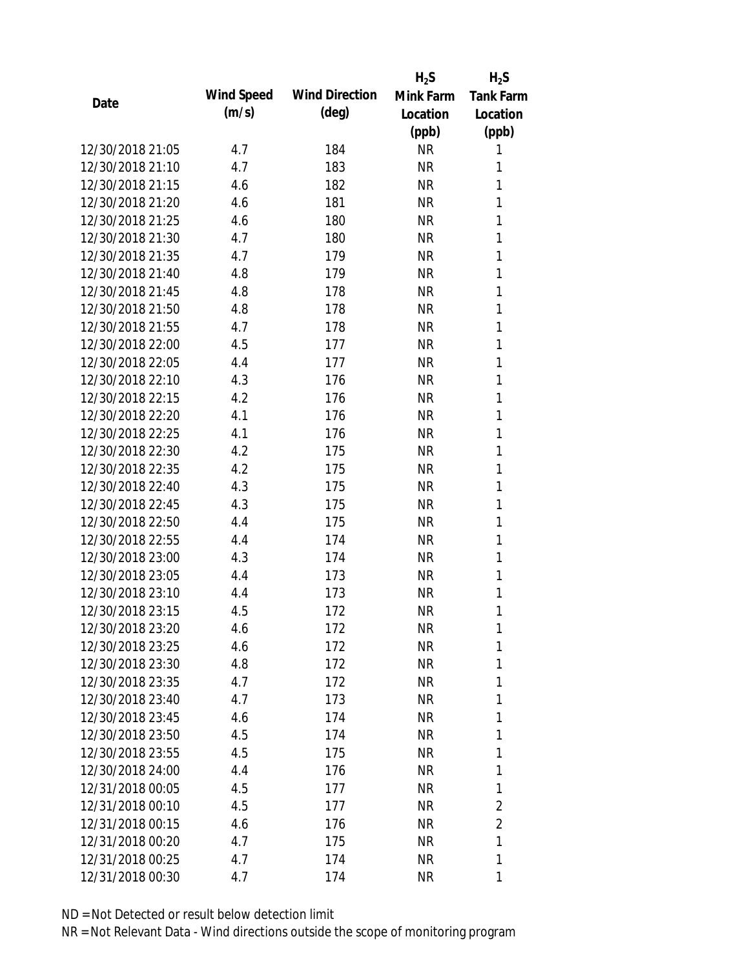|                  |            |                       | $H_2S$    | $H_2S$         |
|------------------|------------|-----------------------|-----------|----------------|
| Date             | Wind Speed | <b>Wind Direction</b> | Mink Farm | Tank Farm      |
|                  | (m/s)      | $(\text{deg})$        | Location  | Location       |
|                  |            |                       | (ppb)     | (ppb)          |
| 12/30/2018 21:05 | 4.7        | 184                   | <b>NR</b> | 1              |
| 12/30/2018 21:10 | 4.7        | 183                   | <b>NR</b> | 1              |
| 12/30/2018 21:15 | 4.6        | 182                   | <b>NR</b> | 1              |
| 12/30/2018 21:20 | 4.6        | 181                   | <b>NR</b> | 1              |
| 12/30/2018 21:25 | 4.6        | 180                   | <b>NR</b> | 1              |
| 12/30/2018 21:30 | 4.7        | 180                   | <b>NR</b> | 1              |
| 12/30/2018 21:35 | 4.7        | 179                   | <b>NR</b> | 1              |
| 12/30/2018 21:40 | 4.8        | 179                   | <b>NR</b> | 1              |
| 12/30/2018 21:45 | 4.8        | 178                   | <b>NR</b> | 1              |
| 12/30/2018 21:50 | 4.8        | 178                   | <b>NR</b> | 1              |
| 12/30/2018 21:55 | 4.7        | 178                   | <b>NR</b> | 1              |
| 12/30/2018 22:00 | 4.5        | 177                   | <b>NR</b> | 1              |
| 12/30/2018 22:05 | 4.4        | 177                   | <b>NR</b> | 1              |
| 12/30/2018 22:10 | 4.3        | 176                   | <b>NR</b> | 1              |
| 12/30/2018 22:15 | 4.2        | 176                   | <b>NR</b> | 1              |
| 12/30/2018 22:20 | 4.1        | 176                   | <b>NR</b> | 1              |
| 12/30/2018 22:25 | 4.1        | 176                   | <b>NR</b> | $\mathbf{1}$   |
| 12/30/2018 22:30 | 4.2        | 175                   | <b>NR</b> | $\mathbf{1}$   |
| 12/30/2018 22:35 | 4.2        | 175                   | <b>NR</b> | 1              |
| 12/30/2018 22:40 | 4.3        | 175                   | <b>NR</b> | 1              |
| 12/30/2018 22:45 | 4.3        | 175                   | <b>NR</b> | 1              |
| 12/30/2018 22:50 | 4.4        | 175                   | <b>NR</b> | $\mathbf{1}$   |
| 12/30/2018 22:55 | 4.4        | 174                   | <b>NR</b> | 1              |
| 12/30/2018 23:00 | 4.3        | 174                   | <b>NR</b> | 1              |
| 12/30/2018 23:05 | 4.4        | 173                   | <b>NR</b> | 1              |
| 12/30/2018 23:10 | 4.4        | 173                   | <b>NR</b> | $\mathbf{1}$   |
| 12/30/2018 23:15 | 4.5        | 172                   | <b>NR</b> | 1              |
| 12/30/2018 23:20 | 4.6        | 172                   | <b>NR</b> | 1              |
| 12/30/2018 23:25 | 4.6        | 172                   | <b>NR</b> | 1              |
| 12/30/2018 23:30 | 4.8        | 172                   | NR        | 1              |
| 12/30/2018 23:35 | 4.7        | 172                   | <b>NR</b> | 1              |
| 12/30/2018 23:40 | 4.7        | 173                   | NR        | 1              |
| 12/30/2018 23:45 | 4.6        | 174                   | NR        | 1              |
| 12/30/2018 23:50 | 4.5        | 174                   | NR        | 1              |
| 12/30/2018 23:55 | 4.5        | 175                   | NR        | 1              |
| 12/30/2018 24:00 | 4.4        | 176                   | <b>NR</b> | 1              |
| 12/31/2018 00:05 | 4.5        | 177                   | NR        | 1              |
| 12/31/2018 00:10 | 4.5        | 177                   | <b>NR</b> | 2              |
| 12/31/2018 00:15 | 4.6        | 176                   | NR        | $\overline{2}$ |
| 12/31/2018 00:20 | 4.7        | 175                   | NR        | 1              |
| 12/31/2018 00:25 | 4.7        | 174                   | NR        | 1              |
| 12/31/2018 00:30 | 4.7        | 174                   | <b>NR</b> | 1              |
|                  |            |                       |           |                |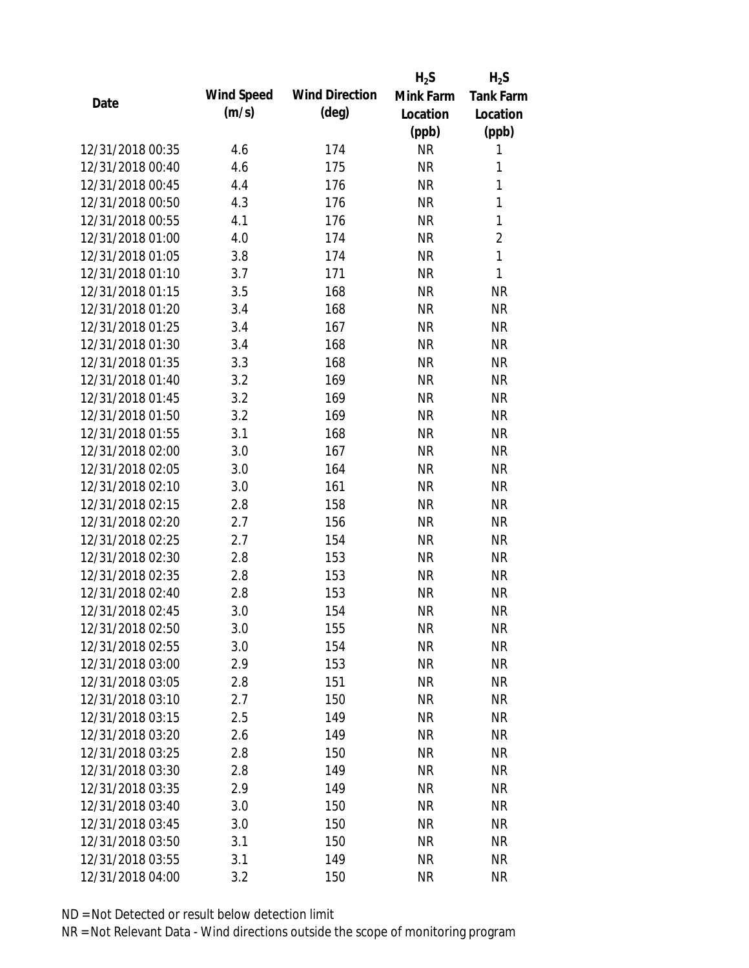|                  |            |                       | $H_2S$    | $H_2S$           |
|------------------|------------|-----------------------|-----------|------------------|
| Date             | Wind Speed | <b>Wind Direction</b> | Mink Farm | <b>Tank Farm</b> |
|                  | (m/s)      | $(\text{deg})$        | Location  | Location         |
|                  |            |                       | (ppb)     | (ppb)            |
| 12/31/2018 00:35 | 4.6        | 174                   | <b>NR</b> | 1                |
| 12/31/2018 00:40 | 4.6        | 175                   | <b>NR</b> | 1                |
| 12/31/2018 00:45 | 4.4        | 176                   | <b>NR</b> | $\mathbf{1}$     |
| 12/31/2018 00:50 | 4.3        | 176                   | <b>NR</b> | $\mathbf{1}$     |
| 12/31/2018 00:55 | 4.1        | 176                   | <b>NR</b> | $\mathbf{1}$     |
| 12/31/2018 01:00 | 4.0        | 174                   | <b>NR</b> | $\overline{2}$   |
| 12/31/2018 01:05 | 3.8        | 174                   | <b>NR</b> | 1                |
| 12/31/2018 01:10 | 3.7        | 171                   | <b>NR</b> | 1                |
| 12/31/2018 01:15 | 3.5        | 168                   | <b>NR</b> | <b>NR</b>        |
| 12/31/2018 01:20 | 3.4        | 168                   | <b>NR</b> | <b>NR</b>        |
| 12/31/2018 01:25 | 3.4        | 167                   | <b>NR</b> | <b>NR</b>        |
| 12/31/2018 01:30 | 3.4        | 168                   | <b>NR</b> | <b>NR</b>        |
| 12/31/2018 01:35 | 3.3        | 168                   | <b>NR</b> | <b>NR</b>        |
| 12/31/2018 01:40 | 3.2        | 169                   | <b>NR</b> | <b>NR</b>        |
| 12/31/2018 01:45 | 3.2        | 169                   | <b>NR</b> | <b>NR</b>        |
| 12/31/2018 01:50 | 3.2        | 169                   | <b>NR</b> | <b>NR</b>        |
| 12/31/2018 01:55 | 3.1        | 168                   | <b>NR</b> | <b>NR</b>        |
| 12/31/2018 02:00 | 3.0        | 167                   | <b>NR</b> | <b>NR</b>        |
| 12/31/2018 02:05 | 3.0        | 164                   | <b>NR</b> | <b>NR</b>        |
| 12/31/2018 02:10 | 3.0        | 161                   | <b>NR</b> | <b>NR</b>        |
| 12/31/2018 02:15 | 2.8        | 158                   | <b>NR</b> | <b>NR</b>        |
| 12/31/2018 02:20 | 2.7        | 156                   | <b>NR</b> | <b>NR</b>        |
| 12/31/2018 02:25 | 2.7        | 154                   | <b>NR</b> | <b>NR</b>        |
| 12/31/2018 02:30 | 2.8        | 153                   | <b>NR</b> | <b>NR</b>        |
| 12/31/2018 02:35 | 2.8        | 153                   | <b>NR</b> | <b>NR</b>        |
| 12/31/2018 02:40 | 2.8        | 153                   | <b>NR</b> | <b>NR</b>        |
| 12/31/2018 02:45 | 3.0        | 154                   | <b>NR</b> | <b>NR</b>        |
| 12/31/2018 02:50 | 3.0        | 155                   | <b>NR</b> | <b>NR</b>        |
| 12/31/2018 02:55 | 3.0        | 154                   | <b>NR</b> | <b>NR</b>        |
| 12/31/2018 03:00 | 2.9        | 153                   | <b>NR</b> | <b>NR</b>        |
| 12/31/2018 03:05 | 2.8        | 151                   | <b>NR</b> | <b>NR</b>        |
| 12/31/2018 03:10 | 2.7        | 150                   | <b>NR</b> | <b>NR</b>        |
| 12/31/2018 03:15 | 2.5        | 149                   | <b>NR</b> | <b>NR</b>        |
| 12/31/2018 03:20 | 2.6        | 149                   | <b>NR</b> | <b>NR</b>        |
| 12/31/2018 03:25 | 2.8        | 150                   | <b>NR</b> | <b>NR</b>        |
| 12/31/2018 03:30 | 2.8        | 149                   | <b>NR</b> | <b>NR</b>        |
| 12/31/2018 03:35 | 2.9        | 149                   | NR        | <b>NR</b>        |
| 12/31/2018 03:40 | 3.0        | 150                   | <b>NR</b> | <b>NR</b>        |
| 12/31/2018 03:45 | 3.0        | 150                   | <b>NR</b> | NR               |
| 12/31/2018 03:50 | 3.1        | 150                   | <b>NR</b> | <b>NR</b>        |
| 12/31/2018 03:55 | 3.1        | 149                   | <b>NR</b> | <b>NR</b>        |
| 12/31/2018 04:00 | 3.2        | 150                   | <b>NR</b> | <b>NR</b>        |
|                  |            |                       |           |                  |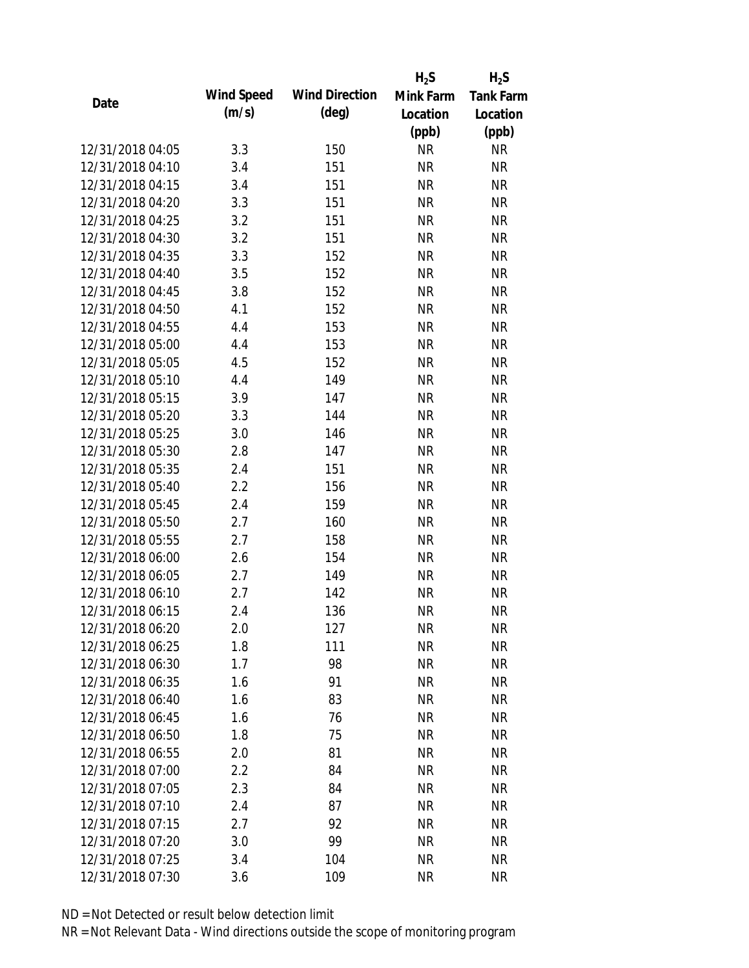|                  |            |                       | $H_2S$    | $H_2S$           |
|------------------|------------|-----------------------|-----------|------------------|
| Date             | Wind Speed | <b>Wind Direction</b> | Mink Farm | <b>Tank Farm</b> |
|                  | (m/s)      | (deg)                 | Location  | Location         |
|                  |            |                       | (ppb)     | (ppb)            |
| 12/31/2018 04:05 | 3.3        | 150                   | <b>NR</b> | <b>NR</b>        |
| 12/31/2018 04:10 | 3.4        | 151                   | <b>NR</b> | <b>NR</b>        |
| 12/31/2018 04:15 | 3.4        | 151                   | <b>NR</b> | <b>NR</b>        |
| 12/31/2018 04:20 | 3.3        | 151                   | <b>NR</b> | <b>NR</b>        |
| 12/31/2018 04:25 | 3.2        | 151                   | <b>NR</b> | <b>NR</b>        |
| 12/31/2018 04:30 | 3.2        | 151                   | <b>NR</b> | <b>NR</b>        |
| 12/31/2018 04:35 | 3.3        | 152                   | <b>NR</b> | <b>NR</b>        |
| 12/31/2018 04:40 | 3.5        | 152                   | <b>NR</b> | <b>NR</b>        |
| 12/31/2018 04:45 | 3.8        | 152                   | <b>NR</b> | <b>NR</b>        |
| 12/31/2018 04:50 | 4.1        | 152                   | <b>NR</b> | <b>NR</b>        |
| 12/31/2018 04:55 | 4.4        | 153                   | <b>NR</b> | <b>NR</b>        |
| 12/31/2018 05:00 | 4.4        | 153                   | <b>NR</b> | <b>NR</b>        |
| 12/31/2018 05:05 | 4.5        | 152                   | <b>NR</b> | <b>NR</b>        |
| 12/31/2018 05:10 | 4.4        | 149                   | <b>NR</b> | <b>NR</b>        |
| 12/31/2018 05:15 | 3.9        | 147                   | <b>NR</b> | <b>NR</b>        |
| 12/31/2018 05:20 | 3.3        | 144                   | <b>NR</b> | <b>NR</b>        |
| 12/31/2018 05:25 | 3.0        | 146                   | <b>NR</b> | <b>NR</b>        |
| 12/31/2018 05:30 | 2.8        | 147                   | <b>NR</b> | <b>NR</b>        |
| 12/31/2018 05:35 | 2.4        | 151                   | <b>NR</b> | <b>NR</b>        |
| 12/31/2018 05:40 | 2.2        | 156                   | <b>NR</b> | <b>NR</b>        |
| 12/31/2018 05:45 | 2.4        | 159                   | <b>NR</b> | <b>NR</b>        |
| 12/31/2018 05:50 | 2.7        | 160                   | <b>NR</b> | <b>NR</b>        |
| 12/31/2018 05:55 | 2.7        | 158                   | <b>NR</b> | <b>NR</b>        |
| 12/31/2018 06:00 | 2.6        | 154                   | <b>NR</b> | <b>NR</b>        |
| 12/31/2018 06:05 | 2.7        | 149                   | <b>NR</b> | <b>NR</b>        |
| 12/31/2018 06:10 | 2.7        | 142                   | <b>NR</b> | <b>NR</b>        |
| 12/31/2018 06:15 | 2.4        | 136                   | <b>NR</b> | <b>NR</b>        |
| 12/31/2018 06:20 | 2.0        | 127                   | <b>NR</b> | <b>NR</b>        |
| 12/31/2018 06:25 | 1.8        | 111                   | <b>NR</b> | <b>NR</b>        |
| 12/31/2018 06:30 | 1.7        | 98                    | <b>NR</b> | <b>NR</b>        |
| 12/31/2018 06:35 | 1.6        | 91                    | <b>NR</b> | <b>NR</b>        |
| 12/31/2018 06:40 | 1.6        | 83                    | <b>NR</b> | <b>NR</b>        |
| 12/31/2018 06:45 | 1.6        | 76                    | <b>NR</b> | <b>NR</b>        |
| 12/31/2018 06:50 | 1.8        | 75                    | <b>NR</b> | <b>NR</b>        |
| 12/31/2018 06:55 | 2.0        | 81                    | <b>NR</b> | NR               |
| 12/31/2018 07:00 | 2.2        | 84                    | <b>NR</b> | <b>NR</b>        |
| 12/31/2018 07:05 | 2.3        | 84                    | <b>NR</b> | <b>NR</b>        |
| 12/31/2018 07:10 | 2.4        | 87                    | <b>NR</b> | <b>NR</b>        |
| 12/31/2018 07:15 | 2.7        | 92                    | <b>NR</b> | NR               |
| 12/31/2018 07:20 | 3.0        | 99                    | <b>NR</b> | <b>NR</b>        |
| 12/31/2018 07:25 | 3.4        | 104                   | <b>NR</b> | <b>NR</b>        |
| 12/31/2018 07:30 | 3.6        | 109                   | <b>NR</b> | <b>NR</b>        |
|                  |            |                       |           |                  |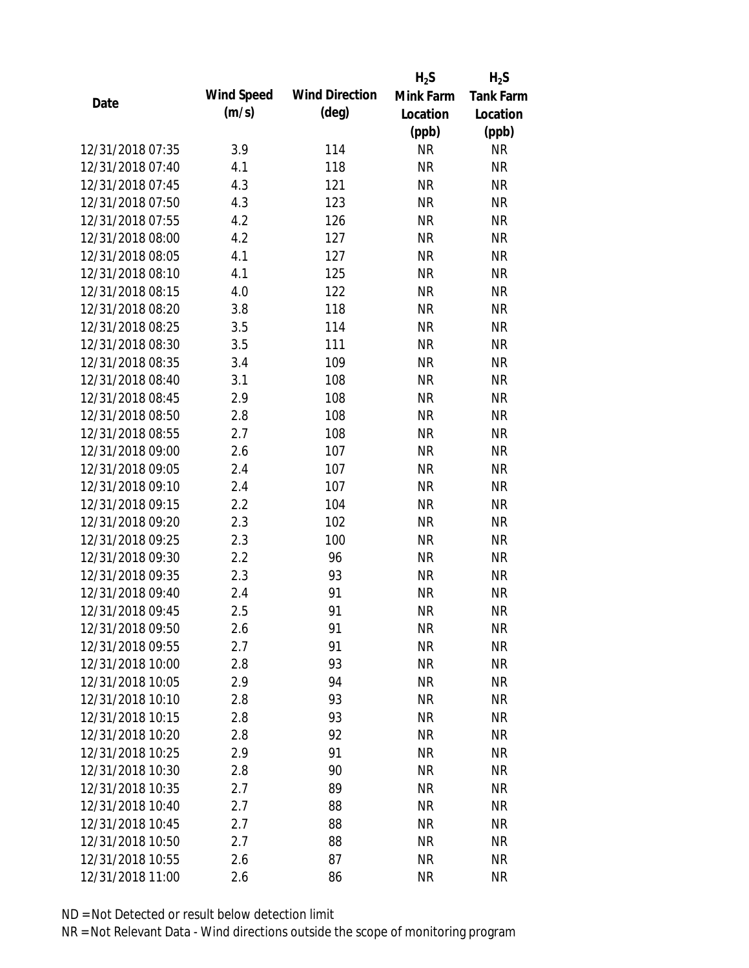|                  |            |                       | $H_2S$    | $H_2S$           |
|------------------|------------|-----------------------|-----------|------------------|
| Date             | Wind Speed | <b>Wind Direction</b> | Mink Farm | <b>Tank Farm</b> |
|                  | (m/s)      | (deg)                 | Location  | Location         |
|                  |            |                       | (ppb)     | (ppb)            |
| 12/31/2018 07:35 | 3.9        | 114                   | <b>NR</b> | <b>NR</b>        |
| 12/31/2018 07:40 | 4.1        | 118                   | <b>NR</b> | <b>NR</b>        |
| 12/31/2018 07:45 | 4.3        | 121                   | <b>NR</b> | <b>NR</b>        |
| 12/31/2018 07:50 | 4.3        | 123                   | <b>NR</b> | <b>NR</b>        |
| 12/31/2018 07:55 | 4.2        | 126                   | <b>NR</b> | <b>NR</b>        |
| 12/31/2018 08:00 | 4.2        | 127                   | <b>NR</b> | <b>NR</b>        |
| 12/31/2018 08:05 | 4.1        | 127                   | <b>NR</b> | <b>NR</b>        |
| 12/31/2018 08:10 | 4.1        | 125                   | <b>NR</b> | <b>NR</b>        |
| 12/31/2018 08:15 | 4.0        | 122                   | <b>NR</b> | <b>NR</b>        |
| 12/31/2018 08:20 | 3.8        | 118                   | <b>NR</b> | <b>NR</b>        |
| 12/31/2018 08:25 | 3.5        | 114                   | <b>NR</b> | <b>NR</b>        |
| 12/31/2018 08:30 | 3.5        | 111                   | <b>NR</b> | <b>NR</b>        |
| 12/31/2018 08:35 | 3.4        | 109                   | <b>NR</b> | <b>NR</b>        |
| 12/31/2018 08:40 | 3.1        | 108                   | <b>NR</b> | <b>NR</b>        |
| 12/31/2018 08:45 | 2.9        | 108                   | <b>NR</b> | <b>NR</b>        |
| 12/31/2018 08:50 | 2.8        | 108                   | <b>NR</b> | <b>NR</b>        |
| 12/31/2018 08:55 | 2.7        | 108                   | <b>NR</b> | <b>NR</b>        |
| 12/31/2018 09:00 | 2.6        | 107                   | <b>NR</b> | <b>NR</b>        |
| 12/31/2018 09:05 | 2.4        | 107                   | <b>NR</b> | <b>NR</b>        |
| 12/31/2018 09:10 | 2.4        | 107                   | <b>NR</b> | <b>NR</b>        |
| 12/31/2018 09:15 | 2.2        | 104                   | <b>NR</b> | <b>NR</b>        |
| 12/31/2018 09:20 | 2.3        | 102                   | <b>NR</b> | <b>NR</b>        |
| 12/31/2018 09:25 | 2.3        | 100                   | <b>NR</b> | <b>NR</b>        |
| 12/31/2018 09:30 | 2.2        | 96                    | <b>NR</b> | <b>NR</b>        |
| 12/31/2018 09:35 | 2.3        | 93                    | <b>NR</b> | <b>NR</b>        |
| 12/31/2018 09:40 | 2.4        | 91                    | <b>NR</b> | <b>NR</b>        |
| 12/31/2018 09:45 | 2.5        | 91                    | <b>NR</b> | <b>NR</b>        |
| 12/31/2018 09:50 | 2.6        | 91                    | <b>NR</b> | <b>NR</b>        |
| 12/31/2018 09:55 | 2.7        | 91                    | <b>NR</b> | <b>NR</b>        |
| 12/31/2018 10:00 | 2.8        | 93                    | <b>NR</b> | <b>NR</b>        |
| 12/31/2018 10:05 | 2.9        | 94                    | <b>NR</b> | <b>NR</b>        |
| 12/31/2018 10:10 | 2.8        | 93                    | <b>NR</b> | <b>NR</b>        |
| 12/31/2018 10:15 | 2.8        | 93                    | <b>NR</b> | <b>NR</b>        |
| 12/31/2018 10:20 | 2.8        | 92                    | <b>NR</b> | <b>NR</b>        |
| 12/31/2018 10:25 | 2.9        | 91                    | <b>NR</b> | <b>NR</b>        |
| 12/31/2018 10:30 | 2.8        | 90                    | <b>NR</b> | <b>NR</b>        |
| 12/31/2018 10:35 | 2.7        | 89                    | <b>NR</b> | <b>NR</b>        |
| 12/31/2018 10:40 | 2.7        | 88                    | <b>NR</b> | <b>NR</b>        |
| 12/31/2018 10:45 | 2.7        | 88                    | <b>NR</b> | NR               |
| 12/31/2018 10:50 | 2.7        | 88                    | <b>NR</b> | <b>NR</b>        |
| 12/31/2018 10:55 | 2.6        | 87                    | <b>NR</b> | <b>NR</b>        |
| 12/31/2018 11:00 | 2.6        | 86                    | <b>NR</b> | <b>NR</b>        |
|                  |            |                       |           |                  |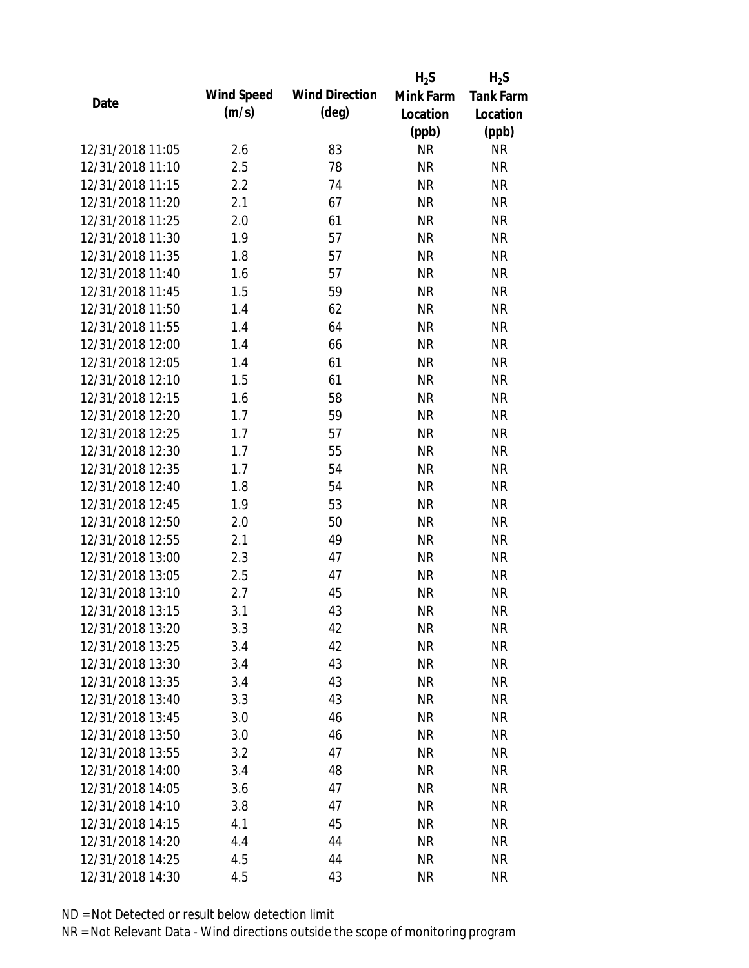|                  |            |                       | $H_2S$    | $H_2S$           |
|------------------|------------|-----------------------|-----------|------------------|
| Date             | Wind Speed | <b>Wind Direction</b> | Mink Farm | <b>Tank Farm</b> |
|                  | (m/s)      | $(\text{deg})$        | Location  | Location         |
|                  |            |                       | (ppb)     | (ppb)            |
| 12/31/2018 11:05 | 2.6        | 83                    | <b>NR</b> | <b>NR</b>        |
| 12/31/2018 11:10 | 2.5        | 78                    | <b>NR</b> | <b>NR</b>        |
| 12/31/2018 11:15 | 2.2        | 74                    | <b>NR</b> | <b>NR</b>        |
| 12/31/2018 11:20 | 2.1        | 67                    | <b>NR</b> | <b>NR</b>        |
| 12/31/2018 11:25 | 2.0        | 61                    | <b>NR</b> | <b>NR</b>        |
| 12/31/2018 11:30 | 1.9        | 57                    | <b>NR</b> | <b>NR</b>        |
| 12/31/2018 11:35 | 1.8        | 57                    | <b>NR</b> | <b>NR</b>        |
| 12/31/2018 11:40 | 1.6        | 57                    | <b>NR</b> | <b>NR</b>        |
| 12/31/2018 11:45 | 1.5        | 59                    | <b>NR</b> | <b>NR</b>        |
| 12/31/2018 11:50 | 1.4        | 62                    | <b>NR</b> | <b>NR</b>        |
| 12/31/2018 11:55 | 1.4        | 64                    | <b>NR</b> | <b>NR</b>        |
| 12/31/2018 12:00 | 1.4        | 66                    | <b>NR</b> | <b>NR</b>        |
| 12/31/2018 12:05 | 1.4        | 61                    | <b>NR</b> | <b>NR</b>        |
| 12/31/2018 12:10 | 1.5        | 61                    | <b>NR</b> | <b>NR</b>        |
| 12/31/2018 12:15 | 1.6        | 58                    | <b>NR</b> | <b>NR</b>        |
| 12/31/2018 12:20 | 1.7        | 59                    | <b>NR</b> | <b>NR</b>        |
| 12/31/2018 12:25 | 1.7        | 57                    | <b>NR</b> | <b>NR</b>        |
| 12/31/2018 12:30 | 1.7        | 55                    | <b>NR</b> | <b>NR</b>        |
| 12/31/2018 12:35 | 1.7        | 54                    | <b>NR</b> | <b>NR</b>        |
| 12/31/2018 12:40 | 1.8        | 54                    | <b>NR</b> | <b>NR</b>        |
| 12/31/2018 12:45 | 1.9        | 53                    | <b>NR</b> | <b>NR</b>        |
| 12/31/2018 12:50 | 2.0        | 50                    | <b>NR</b> | <b>NR</b>        |
| 12/31/2018 12:55 | 2.1        | 49                    | <b>NR</b> | <b>NR</b>        |
| 12/31/2018 13:00 | 2.3        | 47                    | <b>NR</b> | <b>NR</b>        |
| 12/31/2018 13:05 | 2.5        | 47                    | <b>NR</b> | <b>NR</b>        |
| 12/31/2018 13:10 | 2.7        | 45                    | <b>NR</b> | <b>NR</b>        |
| 12/31/2018 13:15 | 3.1        | 43                    | <b>NR</b> | <b>NR</b>        |
| 12/31/2018 13:20 | 3.3        | 42                    | <b>NR</b> | <b>NR</b>        |
| 12/31/2018 13:25 | 3.4        | 42                    | <b>NR</b> | <b>NR</b>        |
| 12/31/2018 13:30 | 3.4        | 43                    | <b>NR</b> | <b>NR</b>        |
| 12/31/2018 13:35 | 3.4        | 43                    | <b>NR</b> | <b>NR</b>        |
| 12/31/2018 13:40 | 3.3        | 43                    | <b>NR</b> | <b>NR</b>        |
| 12/31/2018 13:45 | 3.0        | 46                    | <b>NR</b> | <b>NR</b>        |
| 12/31/2018 13:50 | 3.0        | 46                    | <b>NR</b> | <b>NR</b>        |
| 12/31/2018 13:55 | 3.2        | 47                    | <b>NR</b> | NR               |
| 12/31/2018 14:00 | 3.4        | 48                    | <b>NR</b> | <b>NR</b>        |
| 12/31/2018 14:05 | 3.6        | 47                    | <b>NR</b> | <b>NR</b>        |
| 12/31/2018 14:10 | 3.8        | 47                    | <b>NR</b> | <b>NR</b>        |
| 12/31/2018 14:15 | 4.1        | 45                    | <b>NR</b> | NR               |
| 12/31/2018 14:20 | 4.4        | 44                    | <b>NR</b> | <b>NR</b>        |
| 12/31/2018 14:25 | 4.5        | 44                    | <b>NR</b> | <b>NR</b>        |
| 12/31/2018 14:30 | 4.5        | 43                    | <b>NR</b> | <b>NR</b>        |
|                  |            |                       |           |                  |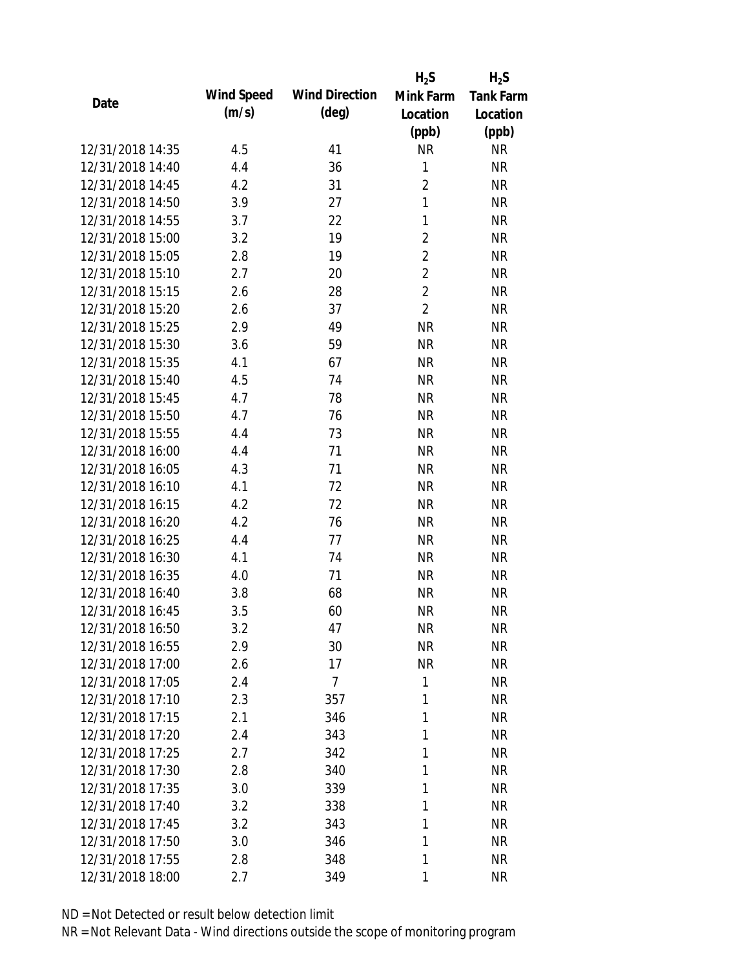|                  |            |                       | $H_2S$         | $H_2S$           |
|------------------|------------|-----------------------|----------------|------------------|
| Date             | Wind Speed | <b>Wind Direction</b> | Mink Farm      | <b>Tank Farm</b> |
|                  | (m/s)      | $(\text{deg})$        | Location       | Location         |
|                  |            |                       | (ppb)          | (ppb)            |
| 12/31/2018 14:35 | 4.5        | 41                    | <b>NR</b>      | <b>NR</b>        |
| 12/31/2018 14:40 | 4.4        | 36                    | 1              | <b>NR</b>        |
| 12/31/2018 14:45 | 4.2        | 31                    | $\overline{2}$ | <b>NR</b>        |
| 12/31/2018 14:50 | 3.9        | 27                    | $\mathbf{1}$   | <b>NR</b>        |
| 12/31/2018 14:55 | 3.7        | 22                    | $\mathbf{1}$   | <b>NR</b>        |
| 12/31/2018 15:00 | 3.2        | 19                    | $\overline{2}$ | <b>NR</b>        |
| 12/31/2018 15:05 | 2.8        | 19                    | $\overline{2}$ | <b>NR</b>        |
| 12/31/2018 15:10 | 2.7        | 20                    | $\overline{2}$ | <b>NR</b>        |
| 12/31/2018 15:15 | 2.6        | 28                    | $\overline{2}$ | <b>NR</b>        |
| 12/31/2018 15:20 | 2.6        | 37                    | $\overline{2}$ | <b>NR</b>        |
| 12/31/2018 15:25 | 2.9        | 49                    | <b>NR</b>      | <b>NR</b>        |
| 12/31/2018 15:30 | 3.6        | 59                    | <b>NR</b>      | <b>NR</b>        |
| 12/31/2018 15:35 | 4.1        | 67                    | <b>NR</b>      | <b>NR</b>        |
| 12/31/2018 15:40 | 4.5        | 74                    | <b>NR</b>      | <b>NR</b>        |
| 12/31/2018 15:45 | 4.7        | 78                    | <b>NR</b>      | <b>NR</b>        |
| 12/31/2018 15:50 | 4.7        | 76                    | <b>NR</b>      | <b>NR</b>        |
| 12/31/2018 15:55 | 4.4        | 73                    | <b>NR</b>      | <b>NR</b>        |
| 12/31/2018 16:00 | 4.4        | 71                    | <b>NR</b>      | <b>NR</b>        |
| 12/31/2018 16:05 | 4.3        | 71                    | <b>NR</b>      | <b>NR</b>        |
| 12/31/2018 16:10 | 4.1        | 72                    | <b>NR</b>      | <b>NR</b>        |
| 12/31/2018 16:15 | 4.2        | 72                    | <b>NR</b>      | <b>NR</b>        |
| 12/31/2018 16:20 | 4.2        | 76                    | <b>NR</b>      | <b>NR</b>        |
| 12/31/2018 16:25 | 4.4        | 77                    | <b>NR</b>      | <b>NR</b>        |
| 12/31/2018 16:30 | 4.1        | 74                    | <b>NR</b>      | <b>NR</b>        |
| 12/31/2018 16:35 | 4.0        | 71                    | <b>NR</b>      | <b>NR</b>        |
| 12/31/2018 16:40 | 3.8        | 68                    | <b>NR</b>      | <b>NR</b>        |
| 12/31/2018 16:45 | 3.5        | 60                    | <b>NR</b>      | <b>NR</b>        |
| 12/31/2018 16:50 | 3.2        | 47                    | <b>NR</b>      | <b>NR</b>        |
| 12/31/2018 16:55 | 2.9        | 30                    | <b>NR</b>      | <b>NR</b>        |
| 12/31/2018 17:00 | 2.6        | 17                    | <b>NR</b>      | <b>NR</b>        |
| 12/31/2018 17:05 | 2.4        | 7                     | 1              | <b>NR</b>        |
| 12/31/2018 17:10 | 2.3        | 357                   | 1              | <b>NR</b>        |
| 12/31/2018 17:15 | 2.1        | 346                   | 1              | <b>NR</b>        |
| 12/31/2018 17:20 | 2.4        | 343                   | 1              | <b>NR</b>        |
| 12/31/2018 17:25 | 2.7        | 342                   | 1              | <b>NR</b>        |
| 12/31/2018 17:30 | 2.8        | 340                   | 1              | <b>NR</b>        |
| 12/31/2018 17:35 | 3.0        | 339                   | 1              | <b>NR</b>        |
| 12/31/2018 17:40 | 3.2        | 338                   | 1              | <b>NR</b>        |
| 12/31/2018 17:45 | 3.2        | 343                   | 1              | <b>NR</b>        |
| 12/31/2018 17:50 | 3.0        | 346                   | 1              | <b>NR</b>        |
| 12/31/2018 17:55 | 2.8        | 348                   | 1              | <b>NR</b>        |
| 12/31/2018 18:00 | 2.7        | 349                   | 1              | <b>NR</b>        |
|                  |            |                       |                |                  |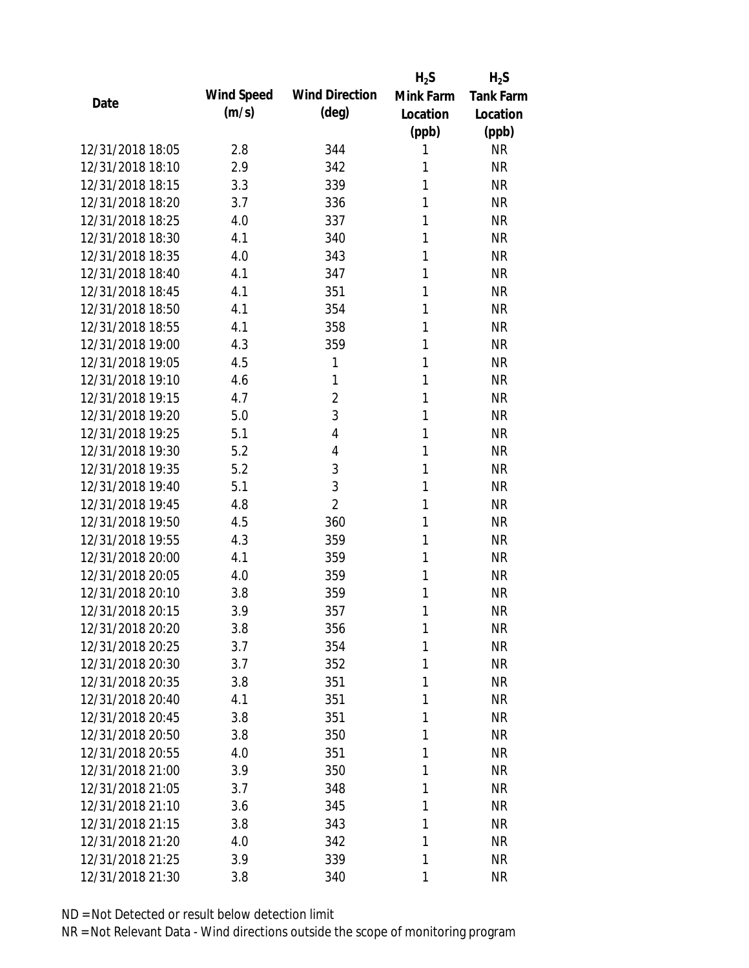|                  |            |                       | $H_2S$       | $H_2S$           |
|------------------|------------|-----------------------|--------------|------------------|
| Date             | Wind Speed | <b>Wind Direction</b> | Mink Farm    | <b>Tank Farm</b> |
|                  | (m/s)      | (deg)                 | Location     | Location         |
|                  |            |                       | (ppb)        | (ppb)            |
| 12/31/2018 18:05 | 2.8        | 344                   | 1            | <b>NR</b>        |
| 12/31/2018 18:10 | 2.9        | 342                   | 1            | <b>NR</b>        |
| 12/31/2018 18:15 | 3.3        | 339                   | 1            | <b>NR</b>        |
| 12/31/2018 18:20 | 3.7        | 336                   | 1            | <b>NR</b>        |
| 12/31/2018 18:25 | 4.0        | 337                   | 1            | <b>NR</b>        |
| 12/31/2018 18:30 | 4.1        | 340                   | 1            | <b>NR</b>        |
| 12/31/2018 18:35 | 4.0        | 343                   | 1            | <b>NR</b>        |
| 12/31/2018 18:40 | 4.1        | 347                   | 1            | <b>NR</b>        |
| 12/31/2018 18:45 | 4.1        | 351                   | 1            | <b>NR</b>        |
| 12/31/2018 18:50 | 4.1        | 354                   | 1            | <b>NR</b>        |
| 12/31/2018 18:55 | 4.1        | 358                   | 1            | <b>NR</b>        |
| 12/31/2018 19:00 | 4.3        | 359                   | 1            | <b>NR</b>        |
| 12/31/2018 19:05 | 4.5        | 1                     | 1            | <b>NR</b>        |
| 12/31/2018 19:10 | 4.6        | 1                     | $\mathbf{1}$ | <b>NR</b>        |
| 12/31/2018 19:15 | 4.7        | $\overline{2}$        | 1            | <b>NR</b>        |
| 12/31/2018 19:20 | 5.0        | 3                     | 1            | <b>NR</b>        |
| 12/31/2018 19:25 | 5.1        | 4                     | 1            | <b>NR</b>        |
| 12/31/2018 19:30 | 5.2        | 4                     | 1            | <b>NR</b>        |
| 12/31/2018 19:35 | 5.2        | 3                     | 1            | <b>NR</b>        |
| 12/31/2018 19:40 | 5.1        | 3                     | 1            | <b>NR</b>        |
| 12/31/2018 19:45 | 4.8        | $\overline{2}$        | 1            | <b>NR</b>        |
| 12/31/2018 19:50 | 4.5        | 360                   | 1            | <b>NR</b>        |
| 12/31/2018 19:55 | 4.3        | 359                   | 1            | <b>NR</b>        |
| 12/31/2018 20:00 | 4.1        | 359                   | 1            | <b>NR</b>        |
| 12/31/2018 20:05 | 4.0        | 359                   | 1            | <b>NR</b>        |
| 12/31/2018 20:10 | 3.8        | 359                   | 1            | <b>NR</b>        |
| 12/31/2018 20:15 | 3.9        | 357                   | 1            | <b>NR</b>        |
| 12/31/2018 20:20 | 3.8        | 356                   | 1            | <b>NR</b>        |
| 12/31/2018 20:25 | 3.7        | 354                   | 1            | <b>NR</b>        |
| 12/31/2018 20:30 | 3.7        | 352                   | 1            | <b>NR</b>        |
| 12/31/2018 20:35 | 3.8        | 351                   | 1            | <b>NR</b>        |
| 12/31/2018 20:40 | 4.1        | 351                   | 1            | <b>NR</b>        |
| 12/31/2018 20:45 | 3.8        | 351                   | 1            | <b>NR</b>        |
| 12/31/2018 20:50 | 3.8        | 350                   | 1            | <b>NR</b>        |
| 12/31/2018 20:55 | 4.0        | 351                   | 1            | <b>NR</b>        |
| 12/31/2018 21:00 | 3.9        | 350                   | 1            | <b>NR</b>        |
| 12/31/2018 21:05 | 3.7        | 348                   | 1            | <b>NR</b>        |
| 12/31/2018 21:10 | 3.6        | 345                   | 1            | <b>NR</b>        |
| 12/31/2018 21:15 | 3.8        | 343                   | 1            | <b>NR</b>        |
| 12/31/2018 21:20 | 4.0        | 342                   | 1            | <b>NR</b>        |
| 12/31/2018 21:25 | 3.9        | 339                   | 1            | <b>NR</b>        |
| 12/31/2018 21:30 | 3.8        | 340                   | 1            | <b>NR</b>        |
|                  |            |                       |              |                  |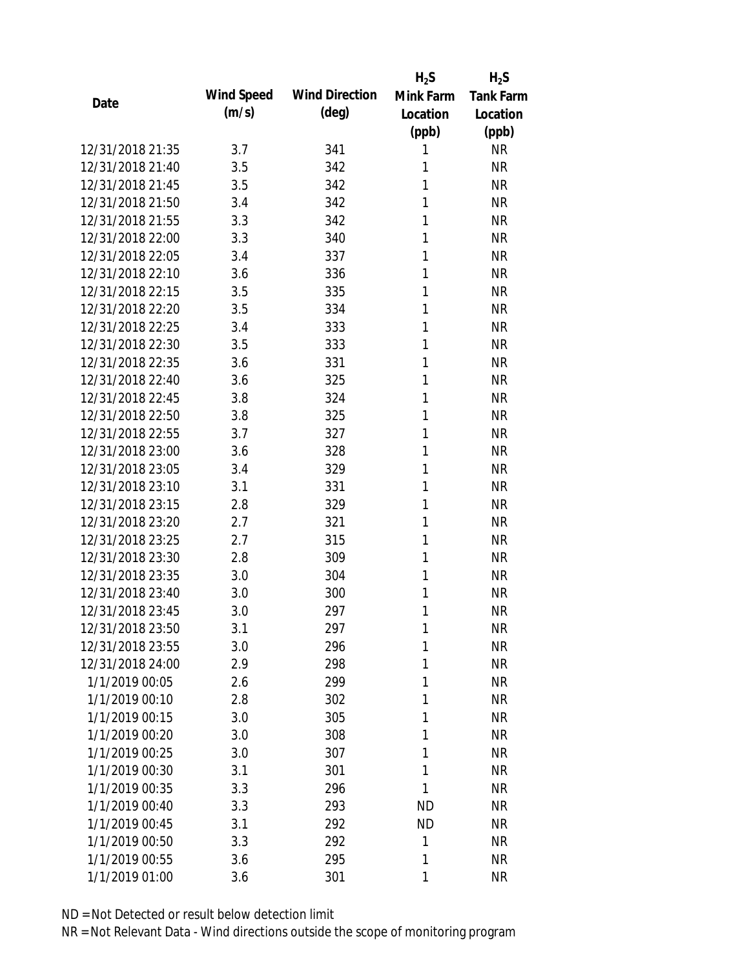|                  |            |                       | $H_2S$    | $H_2S$           |
|------------------|------------|-----------------------|-----------|------------------|
| Date             | Wind Speed | <b>Wind Direction</b> | Mink Farm | <b>Tank Farm</b> |
|                  | (m/s)      | $(\text{deg})$        | Location  | Location         |
|                  |            |                       | (ppb)     | (ppb)            |
| 12/31/2018 21:35 | 3.7        | 341                   | 1         | <b>NR</b>        |
| 12/31/2018 21:40 | 3.5        | 342                   | 1         | <b>NR</b>        |
| 12/31/2018 21:45 | 3.5        | 342                   | 1         | <b>NR</b>        |
| 12/31/2018 21:50 | 3.4        | 342                   | 1         | <b>NR</b>        |
| 12/31/2018 21:55 | 3.3        | 342                   | 1         | <b>NR</b>        |
| 12/31/2018 22:00 | 3.3        | 340                   | 1         | <b>NR</b>        |
| 12/31/2018 22:05 | 3.4        | 337                   | 1         | <b>NR</b>        |
| 12/31/2018 22:10 | 3.6        | 336                   | 1         | <b>NR</b>        |
| 12/31/2018 22:15 | 3.5        | 335                   | 1         | <b>NR</b>        |
| 12/31/2018 22:20 | 3.5        | 334                   | 1         | <b>NR</b>        |
| 12/31/2018 22:25 | 3.4        | 333                   | 1         | <b>NR</b>        |
| 12/31/2018 22:30 | 3.5        | 333                   | 1         | <b>NR</b>        |
| 12/31/2018 22:35 | 3.6        | 331                   | 1         | <b>NR</b>        |
| 12/31/2018 22:40 | 3.6        | 325                   | 1         | <b>NR</b>        |
| 12/31/2018 22:45 | 3.8        | 324                   | 1         | <b>NR</b>        |
| 12/31/2018 22:50 | 3.8        | 325                   | 1         | <b>NR</b>        |
| 12/31/2018 22:55 | 3.7        | 327                   | 1         | <b>NR</b>        |
| 12/31/2018 23:00 | 3.6        | 328                   | 1         | <b>NR</b>        |
| 12/31/2018 23:05 | 3.4        | 329                   | 1         | <b>NR</b>        |
| 12/31/2018 23:10 | 3.1        | 331                   | 1         | <b>NR</b>        |
| 12/31/2018 23:15 | 2.8        | 329                   | 1         | <b>NR</b>        |
| 12/31/2018 23:20 | 2.7        | 321                   | 1         | <b>NR</b>        |
| 12/31/2018 23:25 | 2.7        | 315                   | 1         | <b>NR</b>        |
| 12/31/2018 23:30 | 2.8        | 309                   | 1         | <b>NR</b>        |
| 12/31/2018 23:35 | 3.0        | 304                   | 1         | <b>NR</b>        |
| 12/31/2018 23:40 | 3.0        | 300                   | 1         | <b>NR</b>        |
| 12/31/2018 23:45 | 3.0        | 297                   | 1         | <b>NR</b>        |
| 12/31/2018 23:50 | 3.1        | 297                   | 1         | <b>NR</b>        |
| 12/31/2018 23:55 | 3.0        | 296                   | 1         | <b>NR</b>        |
| 12/31/2018 24:00 | 2.9        | 298                   | 1         | <b>NR</b>        |
| 1/1/2019 00:05   | 2.6        | 299                   | 1         | <b>NR</b>        |
| 1/1/2019 00:10   | 2.8        | 302                   | 1         | <b>NR</b>        |
| 1/1/2019 00:15   | 3.0        | 305                   | 1         | <b>NR</b>        |
| 1/1/2019 00:20   | 3.0        | 308                   | 1         | <b>NR</b>        |
| 1/1/2019 00:25   | 3.0        | 307                   | 1         | <b>NR</b>        |
| 1/1/2019 00:30   | 3.1        | 301                   | 1         | <b>NR</b>        |
| 1/1/2019 00:35   | 3.3        | 296                   | 1         | <b>NR</b>        |
| 1/1/2019 00:40   | 3.3        | 293                   | <b>ND</b> | <b>NR</b>        |
| 1/1/2019 00:45   | 3.1        | 292                   | <b>ND</b> | <b>NR</b>        |
| 1/1/2019 00:50   | 3.3        | 292                   | 1         | <b>NR</b>        |
| 1/1/2019 00:55   | 3.6        | 295                   | 1         | <b>NR</b>        |
| 1/1/2019 01:00   | 3.6        | 301                   | 1         | <b>NR</b>        |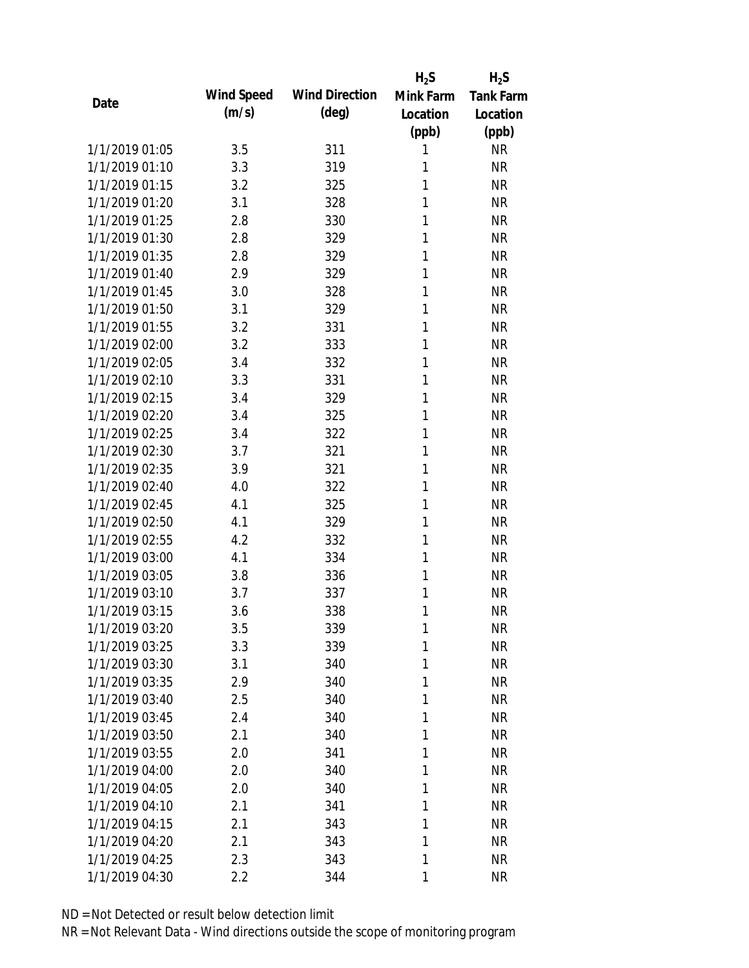|                |            |                       | $H_2S$    | $H_2S$           |
|----------------|------------|-----------------------|-----------|------------------|
| Date           | Wind Speed | <b>Wind Direction</b> | Mink Farm | <b>Tank Farm</b> |
|                | (m/s)      | $(\text{deg})$        | Location  | Location         |
|                |            |                       | (ppb)     | (ppb)            |
| 1/1/2019 01:05 | 3.5        | 311                   | 1         | <b>NR</b>        |
| 1/1/2019 01:10 | 3.3        | 319                   | 1         | <b>NR</b>        |
| 1/1/2019 01:15 | 3.2        | 325                   | 1         | <b>NR</b>        |
| 1/1/2019 01:20 | 3.1        | 328                   | 1         | <b>NR</b>        |
| 1/1/2019 01:25 | 2.8        | 330                   | 1         | <b>NR</b>        |
| 1/1/2019 01:30 | 2.8        | 329                   | 1         | <b>NR</b>        |
| 1/1/2019 01:35 | 2.8        | 329                   | 1         | <b>NR</b>        |
| 1/1/2019 01:40 | 2.9        | 329                   | 1         | <b>NR</b>        |
| 1/1/2019 01:45 | 3.0        | 328                   | 1         | <b>NR</b>        |
| 1/1/2019 01:50 | 3.1        | 329                   | 1         | <b>NR</b>        |
| 1/1/2019 01:55 | 3.2        | 331                   | 1         | <b>NR</b>        |
| 1/1/2019 02:00 | 3.2        | 333                   | 1         | <b>NR</b>        |
| 1/1/2019 02:05 | 3.4        | 332                   | 1         | <b>NR</b>        |
| 1/1/2019 02:10 | 3.3        | 331                   | 1         | <b>NR</b>        |
| 1/1/2019 02:15 | 3.4        | 329                   | 1         | <b>NR</b>        |
| 1/1/2019 02:20 | 3.4        | 325                   | 1         | <b>NR</b>        |
| 1/1/2019 02:25 | 3.4        | 322                   | 1         | <b>NR</b>        |
| 1/1/2019 02:30 | 3.7        | 321                   | 1         | <b>NR</b>        |
| 1/1/2019 02:35 | 3.9        | 321                   | 1         | <b>NR</b>        |
| 1/1/2019 02:40 | 4.0        | 322                   | 1         | <b>NR</b>        |
| 1/1/2019 02:45 | 4.1        | 325                   | 1         | <b>NR</b>        |
| 1/1/2019 02:50 | 4.1        | 329                   | 1         | <b>NR</b>        |
| 1/1/2019 02:55 | 4.2        | 332                   | 1         | <b>NR</b>        |
| 1/1/2019 03:00 | 4.1        | 334                   | 1         | <b>NR</b>        |
| 1/1/2019 03:05 | 3.8        | 336                   | 1         | <b>NR</b>        |
| 1/1/2019 03:10 | 3.7        | 337                   | 1         | <b>NR</b>        |
| 1/1/2019 03:15 | 3.6        | 338                   | 1         | <b>NR</b>        |
| 1/1/2019 03:20 | 3.5        | 339                   | 1         | <b>NR</b>        |
| 1/1/2019 03:25 | 3.3        | 339                   | 1         | <b>NR</b>        |
| 1/1/2019 03:30 | 3.1        | 340                   | 1         | <b>NR</b>        |
| 1/1/2019 03:35 | 2.9        | 340                   | 1         | <b>NR</b>        |
| 1/1/2019 03:40 | 2.5        | 340                   | 1         | <b>NR</b>        |
| 1/1/2019 03:45 | 2.4        | 340                   | 1         | <b>NR</b>        |
| 1/1/2019 03:50 | 2.1        | 340                   | 1         | <b>NR</b>        |
| 1/1/2019 03:55 | 2.0        | 341                   | 1         | <b>NR</b>        |
| 1/1/2019 04:00 | 2.0        | 340                   | 1         | <b>NR</b>        |
| 1/1/2019 04:05 | 2.0        | 340                   | 1         | <b>NR</b>        |
| 1/1/2019 04:10 | 2.1        | 341                   | 1         | <b>NR</b>        |
| 1/1/2019 04:15 | 2.1        | 343                   | 1         | <b>NR</b>        |
| 1/1/2019 04:20 | 2.1        | 343                   | 1         | <b>NR</b>        |
| 1/1/2019 04:25 | 2.3        | 343                   | 1         | <b>NR</b>        |
| 1/1/2019 04:30 | 2.2        | 344                   | 1         | <b>NR</b>        |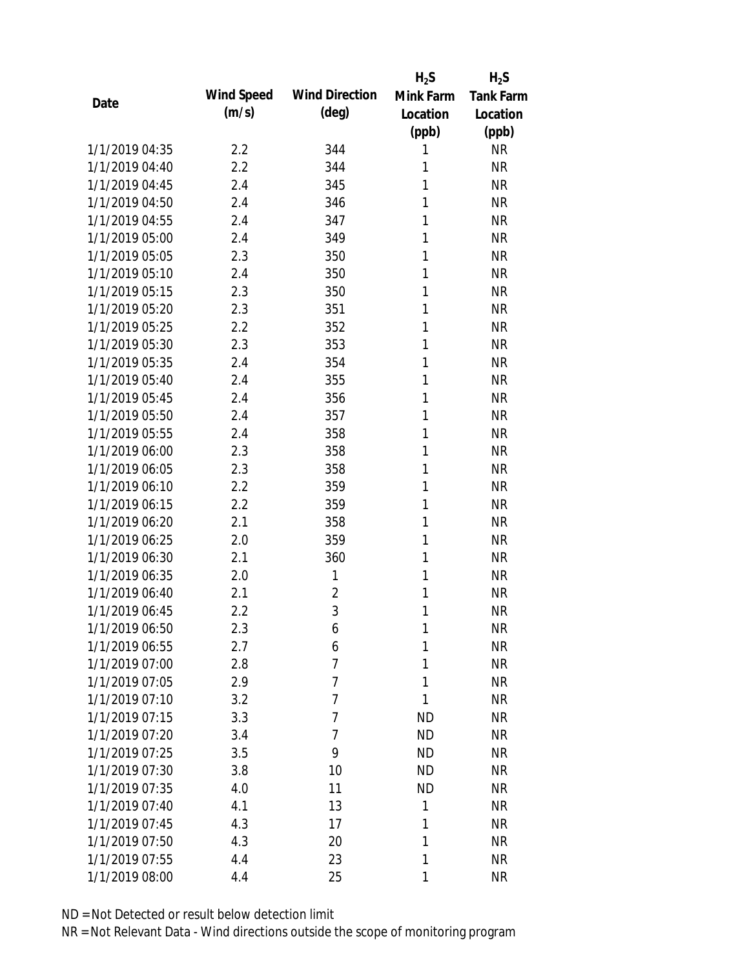|                |            |                       | $H_2S$    | $H_2S$           |
|----------------|------------|-----------------------|-----------|------------------|
| Date           | Wind Speed | <b>Wind Direction</b> | Mink Farm | <b>Tank Farm</b> |
|                | (m/s)      | $(\text{deg})$        | Location  | Location         |
|                |            |                       | (ppb)     | (ppb)            |
| 1/1/2019 04:35 | 2.2        | 344                   | 1         | <b>NR</b>        |
| 1/1/2019 04:40 | 2.2        | 344                   | 1         | <b>NR</b>        |
| 1/1/2019 04:45 | 2.4        | 345                   | 1         | <b>NR</b>        |
| 1/1/2019 04:50 | 2.4        | 346                   | 1         | <b>NR</b>        |
| 1/1/2019 04:55 | 2.4        | 347                   | 1         | <b>NR</b>        |
| 1/1/2019 05:00 | 2.4        | 349                   | 1         | <b>NR</b>        |
| 1/1/2019 05:05 | 2.3        | 350                   | 1         | <b>NR</b>        |
| 1/1/2019 05:10 | 2.4        | 350                   | 1         | <b>NR</b>        |
| 1/1/2019 05:15 | 2.3        | 350                   | 1         | <b>NR</b>        |
| 1/1/2019 05:20 | 2.3        | 351                   | 1         | <b>NR</b>        |
| 1/1/2019 05:25 | 2.2        | 352                   | 1         | <b>NR</b>        |
| 1/1/2019 05:30 | 2.3        | 353                   | 1         | <b>NR</b>        |
| 1/1/2019 05:35 | 2.4        | 354                   | 1         | <b>NR</b>        |
| 1/1/2019 05:40 | 2.4        | 355                   | 1         | <b>NR</b>        |
| 1/1/2019 05:45 | 2.4        | 356                   | 1         | <b>NR</b>        |
| 1/1/2019 05:50 | 2.4        | 357                   | 1         | <b>NR</b>        |
| 1/1/2019 05:55 | 2.4        | 358                   | 1         | <b>NR</b>        |
| 1/1/2019 06:00 | 2.3        | 358                   | 1         | <b>NR</b>        |
| 1/1/2019 06:05 | 2.3        | 358                   | 1         | <b>NR</b>        |
| 1/1/2019 06:10 | 2.2        | 359                   | 1         | <b>NR</b>        |
| 1/1/2019 06:15 | 2.2        | 359                   | 1         | <b>NR</b>        |
| 1/1/2019 06:20 | 2.1        | 358                   | 1         | <b>NR</b>        |
| 1/1/2019 06:25 | 2.0        | 359                   | 1         | <b>NR</b>        |
| 1/1/2019 06:30 | 2.1        | 360                   | 1         | <b>NR</b>        |
| 1/1/2019 06:35 | 2.0        | 1                     | 1         | <b>NR</b>        |
| 1/1/2019 06:40 | 2.1        | $\overline{2}$        | 1         | <b>NR</b>        |
| 1/1/2019 06:45 | 2.2        | 3                     | 1         | <b>NR</b>        |
| 1/1/2019 06:50 | 2.3        | 6                     | 1         | <b>NR</b>        |
| 1/1/2019 06:55 | 2.7        | 6                     | 1         | <b>NR</b>        |
| 1/1/2019 07:00 | 2.8        | $\overline{7}$        | 1         | <b>NR</b>        |
| 1/1/2019 07:05 | 2.9        | $\overline{7}$        | 1         | <b>NR</b>        |
| 1/1/2019 07:10 | 3.2        | 7                     | 1         | <b>NR</b>        |
| 1/1/2019 07:15 | 3.3        | 7                     | <b>ND</b> | <b>NR</b>        |
| 1/1/2019 07:20 | 3.4        | $\overline{7}$        | <b>ND</b> | <b>NR</b>        |
| 1/1/2019 07:25 | 3.5        | 9                     | <b>ND</b> | <b>NR</b>        |
| 1/1/2019 07:30 | 3.8        | 10                    | <b>ND</b> | <b>NR</b>        |
| 1/1/2019 07:35 | 4.0        | 11                    | <b>ND</b> | <b>NR</b>        |
| 1/1/2019 07:40 | 4.1        | 13                    | 1         | <b>NR</b>        |
| 1/1/2019 07:45 | 4.3        | 17                    | 1         | <b>NR</b>        |
| 1/1/2019 07:50 | 4.3        | 20                    | 1         | <b>NR</b>        |
| 1/1/2019 07:55 | 4.4        | 23                    | 1         | <b>NR</b>        |
| 1/1/2019 08:00 | 4.4        | 25                    | 1         | <b>NR</b>        |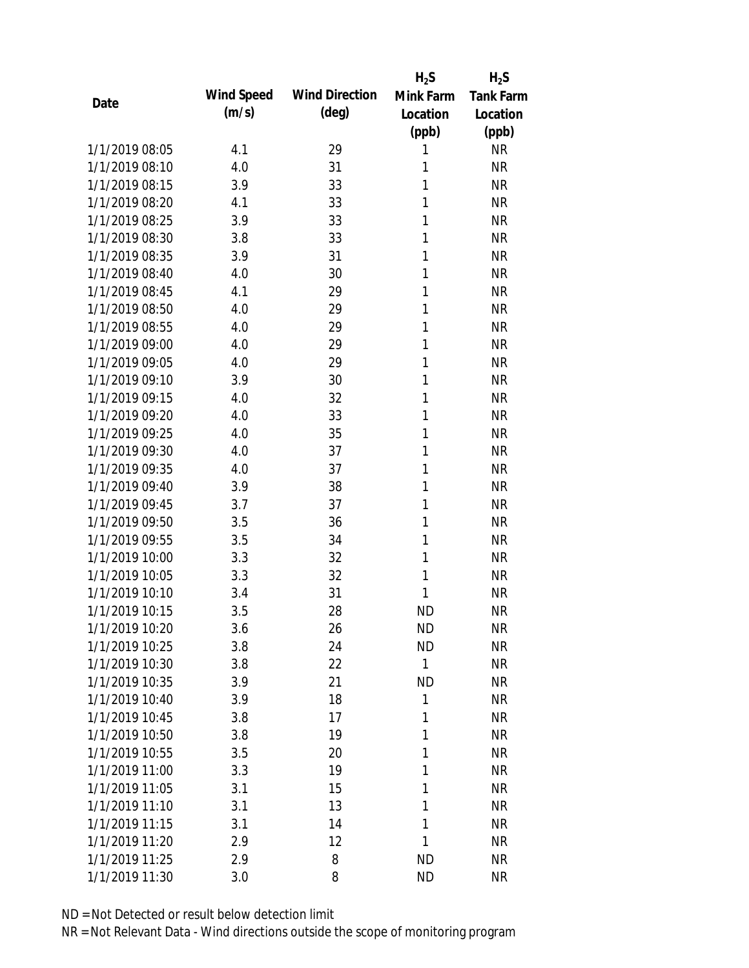|                |            |                       | $H_2S$       | $H_2S$           |
|----------------|------------|-----------------------|--------------|------------------|
| Date           | Wind Speed | <b>Wind Direction</b> | Mink Farm    | <b>Tank Farm</b> |
|                | (m/s)      | $(\text{deg})$        | Location     | Location         |
|                |            |                       | (ppb)        | (ppb)            |
| 1/1/2019 08:05 | 4.1        | 29                    | 1            | <b>NR</b>        |
| 1/1/2019 08:10 | 4.0        | 31                    | 1            | <b>NR</b>        |
| 1/1/2019 08:15 | 3.9        | 33                    | 1            | <b>NR</b>        |
| 1/1/2019 08:20 | 4.1        | 33                    | 1            | <b>NR</b>        |
| 1/1/2019 08:25 | 3.9        | 33                    | 1            | <b>NR</b>        |
| 1/1/2019 08:30 | 3.8        | 33                    | 1            | <b>NR</b>        |
| 1/1/2019 08:35 | 3.9        | 31                    | 1            | <b>NR</b>        |
| 1/1/2019 08:40 | 4.0        | 30                    | 1            | <b>NR</b>        |
| 1/1/2019 08:45 | 4.1        | 29                    | 1            | <b>NR</b>        |
| 1/1/2019 08:50 | 4.0        | 29                    | 1            | <b>NR</b>        |
| 1/1/2019 08:55 | 4.0        | 29                    | 1            | <b>NR</b>        |
| 1/1/2019 09:00 | 4.0        | 29                    | 1            | <b>NR</b>        |
| 1/1/2019 09:05 | 4.0        | 29                    | 1            | <b>NR</b>        |
| 1/1/2019 09:10 | 3.9        | 30                    | 1            | <b>NR</b>        |
| 1/1/2019 09:15 | 4.0        | 32                    | 1            | <b>NR</b>        |
| 1/1/2019 09:20 | 4.0        | 33                    | 1            | <b>NR</b>        |
| 1/1/2019 09:25 | 4.0        | 35                    | 1            | <b>NR</b>        |
| 1/1/2019 09:30 | 4.0        | 37                    | 1            | <b>NR</b>        |
| 1/1/2019 09:35 | 4.0        | 37                    | 1            | <b>NR</b>        |
| 1/1/2019 09:40 | 3.9        | 38                    | 1            | <b>NR</b>        |
| 1/1/2019 09:45 | 3.7        | 37                    | 1            | <b>NR</b>        |
| 1/1/2019 09:50 | 3.5        | 36                    | 1            | <b>NR</b>        |
| 1/1/2019 09:55 | 3.5        | 34                    | 1            | <b>NR</b>        |
| 1/1/2019 10:00 | 3.3        | 32                    | 1            | <b>NR</b>        |
| 1/1/2019 10:05 | 3.3        | 32                    | 1            | <b>NR</b>        |
| 1/1/2019 10:10 | 3.4        | 31                    | 1            | <b>NR</b>        |
| 1/1/2019 10:15 | 3.5        | 28                    | <b>ND</b>    | <b>NR</b>        |
| 1/1/2019 10:20 | 3.6        | 26                    | <b>ND</b>    | <b>NR</b>        |
| 1/1/2019 10:25 | 3.8        | 24                    | <b>ND</b>    | <b>NR</b>        |
| 1/1/2019 10:30 | 3.8        | 22                    | $\mathbf{1}$ | <b>NR</b>        |
| 1/1/2019 10:35 | 3.9        | 21                    | <b>ND</b>    | <b>NR</b>        |
| 1/1/2019 10:40 | 3.9        | 18                    | $\mathbf{1}$ | <b>NR</b>        |
| 1/1/2019 10:45 | 3.8        | 17                    | 1            | <b>NR</b>        |
| 1/1/2019 10:50 | 3.8        | 19                    | 1            | <b>NR</b>        |
| 1/1/2019 10:55 | 3.5        | 20                    | 1            | <b>NR</b>        |
| 1/1/2019 11:00 | 3.3        | 19                    | 1            | <b>NR</b>        |
| 1/1/2019 11:05 | 3.1        | 15                    | 1            | <b>NR</b>        |
| 1/1/2019 11:10 | 3.1        | 13                    | 1            | <b>NR</b>        |
| 1/1/2019 11:15 | 3.1        | 14                    | 1            | <b>NR</b>        |
| 1/1/2019 11:20 | 2.9        | 12                    | 1            | <b>NR</b>        |
| 1/1/2019 11:25 | 2.9        | 8                     | <b>ND</b>    | <b>NR</b>        |
| 1/1/2019 11:30 | 3.0        | 8                     | <b>ND</b>    | <b>NR</b>        |
|                |            |                       |              |                  |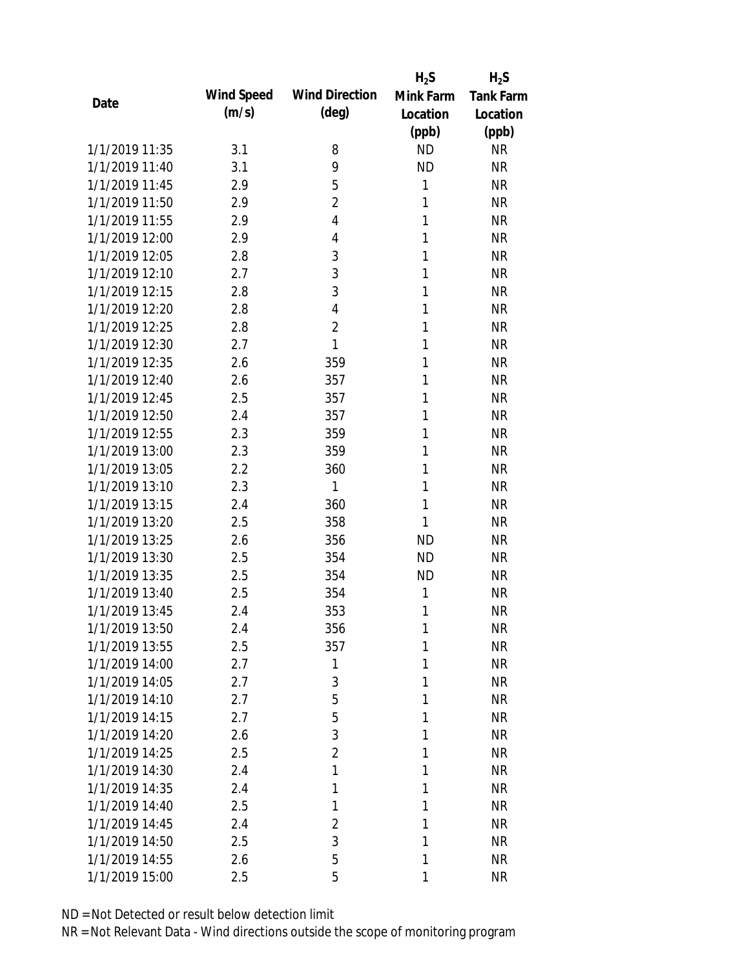|                |            |                       | $H_2S$       | $H_2S$           |
|----------------|------------|-----------------------|--------------|------------------|
| Date           | Wind Speed | <b>Wind Direction</b> | Mink Farm    | <b>Tank Farm</b> |
|                | (m/s)      | $(\text{deg})$        | Location     | Location         |
|                |            |                       | (ppb)        | (ppb)            |
| 1/1/2019 11:35 | 3.1        | 8                     | <b>ND</b>    | <b>NR</b>        |
| 1/1/2019 11:40 | 3.1        | 9                     | <b>ND</b>    | <b>NR</b>        |
| 1/1/2019 11:45 | 2.9        | 5                     | $\mathbf{1}$ | <b>NR</b>        |
| 1/1/2019 11:50 | 2.9        | $\overline{2}$        | 1            | <b>NR</b>        |
| 1/1/2019 11:55 | 2.9        | 4                     | 1            | <b>NR</b>        |
| 1/1/2019 12:00 | 2.9        | 4                     | 1            | <b>NR</b>        |
| 1/1/2019 12:05 | 2.8        | 3                     | 1            | <b>NR</b>        |
| 1/1/2019 12:10 | 2.7        | 3                     | 1            | <b>NR</b>        |
| 1/1/2019 12:15 | 2.8        | 3                     | 1            | <b>NR</b>        |
| 1/1/2019 12:20 | 2.8        | 4                     | 1            | <b>NR</b>        |
| 1/1/2019 12:25 | 2.8        | $\overline{2}$        | 1            | <b>NR</b>        |
| 1/1/2019 12:30 | 2.7        | 1                     | 1            | <b>NR</b>        |
| 1/1/2019 12:35 | 2.6        | 359                   | $\mathbf{1}$ | <b>NR</b>        |
| 1/1/2019 12:40 | 2.6        | 357                   | 1            | <b>NR</b>        |
| 1/1/2019 12:45 | 2.5        | 357                   | 1            | <b>NR</b>        |
| 1/1/2019 12:50 | 2.4        | 357                   | 1            | <b>NR</b>        |
| 1/1/2019 12:55 | 2.3        | 359                   | 1            | <b>NR</b>        |
| 1/1/2019 13:00 | 2.3        | 359                   | 1            | <b>NR</b>        |
| 1/1/2019 13:05 | 2.2        | 360                   | 1            | <b>NR</b>        |
| 1/1/2019 13:10 | 2.3        | 1                     | 1            | <b>NR</b>        |
| 1/1/2019 13:15 | 2.4        | 360                   | 1            | <b>NR</b>        |
| 1/1/2019 13:20 | 2.5        | 358                   | 1            | <b>NR</b>        |
| 1/1/2019 13:25 | 2.6        | 356                   | <b>ND</b>    | <b>NR</b>        |
| 1/1/2019 13:30 | 2.5        | 354                   | <b>ND</b>    | <b>NR</b>        |
| 1/1/2019 13:35 | 2.5        | 354                   | <b>ND</b>    | <b>NR</b>        |
| 1/1/2019 13:40 | 2.5        | 354                   | 1            | <b>NR</b>        |
| 1/1/2019 13:45 | 2.4        | 353                   | 1            | <b>NR</b>        |
| 1/1/2019 13:50 | 2.4        | 356                   | 1            | <b>NR</b>        |
| 1/1/2019 13:55 | 2.5        | 357                   | 1            | <b>NR</b>        |
| 1/1/2019 14:00 | 2.7        | 1                     | 1            | <b>NR</b>        |
| 1/1/2019 14:05 | 2.7        | 3                     | 1            | <b>NR</b>        |
| 1/1/2019 14:10 | 2.7        | 5                     | 1            | NR               |
| 1/1/2019 14:15 | 2.7        | 5                     | 1            | NR               |
| 1/1/2019 14:20 | 2.6        | 3                     | 1            | <b>NR</b>        |
| 1/1/2019 14:25 | 2.5        | $\overline{2}$        | 1            | <b>NR</b>        |
| 1/1/2019 14:30 | 2.4        | 1                     | 1            | <b>NR</b>        |
| 1/1/2019 14:35 | 2.4        | 1                     | 1            | <b>NR</b>        |
| 1/1/2019 14:40 | 2.5        | 1                     | 1            | <b>NR</b>        |
| 1/1/2019 14:45 | 2.4        | $\overline{2}$        | 1            | <b>NR</b>        |
| 1/1/2019 14:50 | 2.5        | 3                     | 1            | <b>NR</b>        |
| 1/1/2019 14:55 | 2.6        | 5                     | 1            | <b>NR</b>        |
| 1/1/2019 15:00 | 2.5        | 5                     | 1            | <b>NR</b>        |
|                |            |                       |              |                  |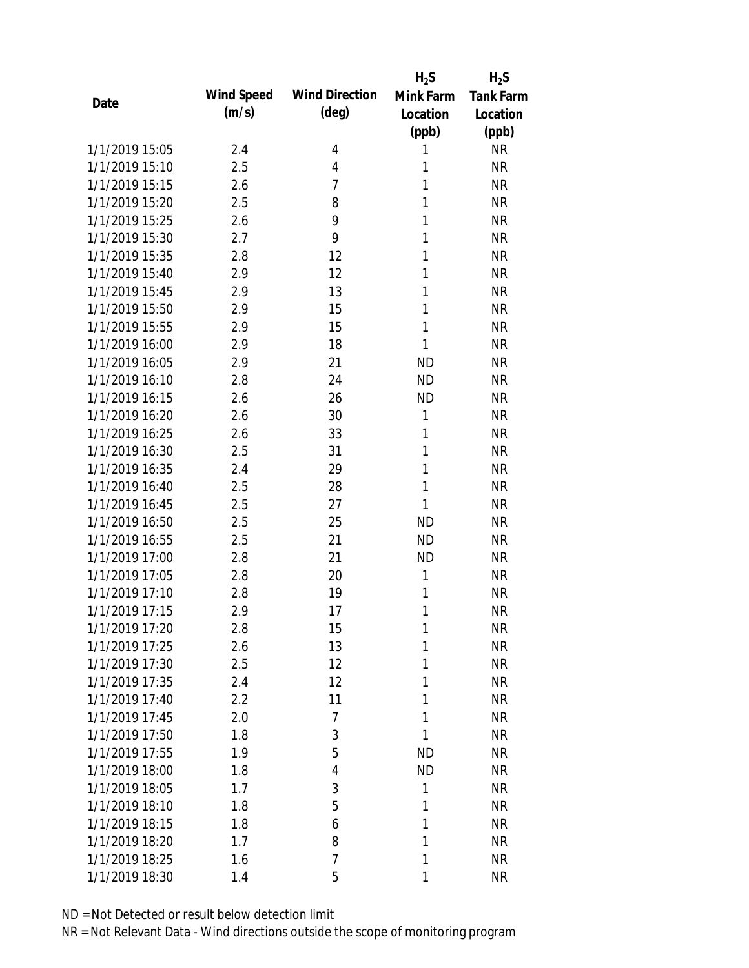|                |            |                       | $H_2S$       | $H_2S$           |
|----------------|------------|-----------------------|--------------|------------------|
| Date           | Wind Speed | <b>Wind Direction</b> | Mink Farm    | <b>Tank Farm</b> |
|                | (m/s)      | $(\text{deg})$        | Location     | Location         |
|                |            |                       | (ppb)        | (ppb)            |
| 1/1/2019 15:05 | 2.4        | 4                     | 1            | <b>NR</b>        |
| 1/1/2019 15:10 | 2.5        | 4                     | 1            | <b>NR</b>        |
| 1/1/2019 15:15 | 2.6        | 7                     | 1            | <b>NR</b>        |
| 1/1/2019 15:20 | 2.5        | 8                     | 1            | <b>NR</b>        |
| 1/1/2019 15:25 | 2.6        | 9                     | 1            | <b>NR</b>        |
| 1/1/2019 15:30 | 2.7        | 9                     | 1            | <b>NR</b>        |
| 1/1/2019 15:35 | 2.8        | 12                    | 1            | <b>NR</b>        |
| 1/1/2019 15:40 | 2.9        | 12                    | 1            | <b>NR</b>        |
| 1/1/2019 15:45 | 2.9        | 13                    | 1            | <b>NR</b>        |
| 1/1/2019 15:50 | 2.9        | 15                    | 1            | <b>NR</b>        |
| 1/1/2019 15:55 | 2.9        | 15                    | 1            | <b>NR</b>        |
| 1/1/2019 16:00 | 2.9        | 18                    | 1            | <b>NR</b>        |
| 1/1/2019 16:05 | 2.9        | 21                    | <b>ND</b>    | <b>NR</b>        |
| 1/1/2019 16:10 | 2.8        | 24                    | <b>ND</b>    | <b>NR</b>        |
| 1/1/2019 16:15 | 2.6        | 26                    | <b>ND</b>    | <b>NR</b>        |
| 1/1/2019 16:20 | 2.6        | 30                    | 1            | <b>NR</b>        |
| 1/1/2019 16:25 | 2.6        | 33                    | 1            | <b>NR</b>        |
| 1/1/2019 16:30 | 2.5        | 31                    | 1            | <b>NR</b>        |
| 1/1/2019 16:35 | 2.4        | 29                    | $\mathbf{1}$ | <b>NR</b>        |
| 1/1/2019 16:40 | 2.5        | 28                    | 1            | <b>NR</b>        |
| 1/1/2019 16:45 | 2.5        | 27                    | 1            | <b>NR</b>        |
| 1/1/2019 16:50 | 2.5        | 25                    | <b>ND</b>    | <b>NR</b>        |
| 1/1/2019 16:55 | 2.5        | 21                    | <b>ND</b>    | <b>NR</b>        |
| 1/1/2019 17:00 | 2.8        | 21                    | <b>ND</b>    | <b>NR</b>        |
| 1/1/2019 17:05 | 2.8        | 20                    | 1            | <b>NR</b>        |
| 1/1/2019 17:10 | 2.8        | 19                    | 1            | <b>NR</b>        |
| 1/1/2019 17:15 | 2.9        | 17                    | 1            | <b>NR</b>        |
| 1/1/2019 17:20 | 2.8        | 15                    | 1            | <b>NR</b>        |
| 1/1/2019 17:25 | 2.6        | 13                    | 1            | <b>NR</b>        |
| 1/1/2019 17:30 | 2.5        | 12                    | 1            | NR               |
| 1/1/2019 17:35 | 2.4        | 12                    | 1            | <b>NR</b>        |
| 1/1/2019 17:40 | 2.2        | 11                    | 1            | NR               |
| 1/1/2019 17:45 | 2.0        | 7                     | 1            | NR               |
| 1/1/2019 17:50 | 1.8        | 3                     | 1            | <b>NR</b>        |
| 1/1/2019 17:55 | 1.9        | 5                     | <b>ND</b>    | <b>NR</b>        |
| 1/1/2019 18:00 | 1.8        | 4                     | <b>ND</b>    | <b>NR</b>        |
| 1/1/2019 18:05 | 1.7        | 3                     | 1            | <b>NR</b>        |
| 1/1/2019 18:10 | 1.8        | 5                     | 1            | <b>NR</b>        |
| 1/1/2019 18:15 | 1.8        | 6                     | 1            | <b>NR</b>        |
| 1/1/2019 18:20 | 1.7        | 8                     | 1            | <b>NR</b>        |
| 1/1/2019 18:25 | 1.6        | 7                     | 1            | NR               |
| 1/1/2019 18:30 | 1.4        | 5                     | 1            | <b>NR</b>        |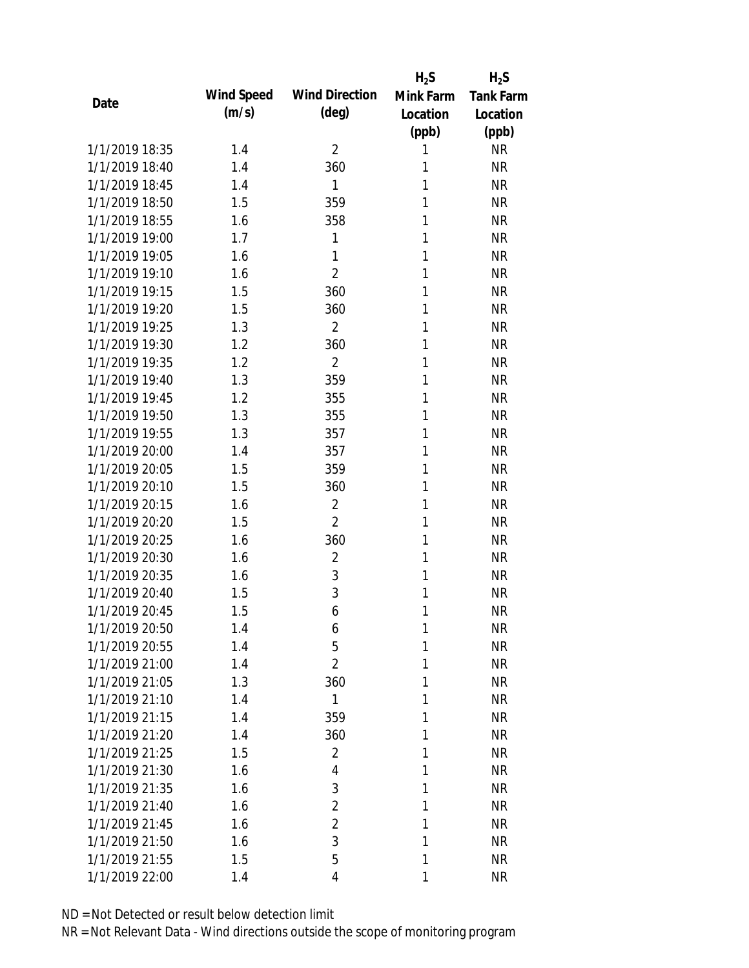|      |                |            |                       | $H_2S$    | $H_2S$           |
|------|----------------|------------|-----------------------|-----------|------------------|
| Date |                | Wind Speed | <b>Wind Direction</b> | Mink Farm | <b>Tank Farm</b> |
|      |                | (m/s)      | (deg)                 | Location  | Location         |
|      |                |            |                       | (ppb)     | (ppb)            |
|      | 1/1/2019 18:35 | 1.4        | $\overline{2}$        | 1         | <b>NR</b>        |
|      | 1/1/2019 18:40 | 1.4        | 360                   | 1         | <b>NR</b>        |
|      | 1/1/2019 18:45 | 1.4        | 1                     | 1         | <b>NR</b>        |
|      | 1/1/2019 18:50 | 1.5        | 359                   | 1         | <b>NR</b>        |
|      | 1/1/2019 18:55 | 1.6        | 358                   | 1         | <b>NR</b>        |
|      | 1/1/2019 19:00 | 1.7        | 1                     | 1         | <b>NR</b>        |
|      | 1/1/2019 19:05 | 1.6        | 1                     | 1         | <b>NR</b>        |
|      | 1/1/2019 19:10 | 1.6        | $\overline{2}$        | 1         | <b>NR</b>        |
|      | 1/1/2019 19:15 | 1.5        | 360                   | 1         | <b>NR</b>        |
|      | 1/1/2019 19:20 | 1.5        | 360                   | 1         | <b>NR</b>        |
|      | 1/1/2019 19:25 | 1.3        | $\overline{2}$        | 1         | <b>NR</b>        |
|      | 1/1/2019 19:30 | 1.2        | 360                   | 1         | <b>NR</b>        |
|      | 1/1/2019 19:35 | 1.2        | $\overline{2}$        | 1         | <b>NR</b>        |
|      | 1/1/2019 19:40 | 1.3        | 359                   | 1         | <b>NR</b>        |
|      | 1/1/2019 19:45 | 1.2        | 355                   | 1         | <b>NR</b>        |
|      | 1/1/2019 19:50 | 1.3        | 355                   | 1         | <b>NR</b>        |
|      | 1/1/2019 19:55 | 1.3        | 357                   | 1         | <b>NR</b>        |
|      | 1/1/2019 20:00 | 1.4        | 357                   | 1         | <b>NR</b>        |
|      | 1/1/2019 20:05 | 1.5        | 359                   | 1         | <b>NR</b>        |
|      | 1/1/2019 20:10 | 1.5        | 360                   | 1         | <b>NR</b>        |
|      | 1/1/2019 20:15 | 1.6        | $\overline{2}$        | 1         | <b>NR</b>        |
|      | 1/1/2019 20:20 | 1.5        | $\overline{2}$        | 1         | <b>NR</b>        |
|      | 1/1/2019 20:25 | 1.6        | 360                   | 1         | <b>NR</b>        |
|      | 1/1/2019 20:30 | 1.6        | $\overline{2}$        | 1         | <b>NR</b>        |
|      | 1/1/2019 20:35 | 1.6        | 3                     | 1         | <b>NR</b>        |
|      | 1/1/2019 20:40 | 1.5        | 3                     | 1         | <b>NR</b>        |
|      | 1/1/2019 20:45 | 1.5        | 6                     | 1         | <b>NR</b>        |
|      | 1/1/2019 20:50 | 1.4        | 6                     | 1         | <b>NR</b>        |
|      | 1/1/2019 20:55 | 1.4        | 5                     | 1         | <b>NR</b>        |
|      | 1/1/2019 21:00 | 1.4        | $\overline{2}$        | 1         | <b>NR</b>        |
|      | 1/1/2019 21:05 | 1.3        | 360                   | 1         | <b>NR</b>        |
|      | 1/1/2019 21:10 | 1.4        | 1                     | 1         | <b>NR</b>        |
|      | 1/1/2019 21:15 | 1.4        | 359                   | 1         | <b>NR</b>        |
|      | 1/1/2019 21:20 | 1.4        | 360                   | 1         | <b>NR</b>        |
|      | 1/1/2019 21:25 | 1.5        | $\overline{2}$        | 1         | <b>NR</b>        |
|      | 1/1/2019 21:30 | 1.6        | 4                     | 1         | <b>NR</b>        |
|      | 1/1/2019 21:35 | 1.6        | 3                     | 1         | <b>NR</b>        |
|      | 1/1/2019 21:40 | 1.6        | $\overline{2}$        | 1         | <b>NR</b>        |
|      | 1/1/2019 21:45 | 1.6        | $\overline{2}$        | 1         | <b>NR</b>        |
|      | 1/1/2019 21:50 | 1.6        | 3                     | 1         | <b>NR</b>        |
|      | 1/1/2019 21:55 | 1.5        | 5                     | 1         | <b>NR</b>        |
|      | 1/1/2019 22:00 | 1.4        | $\overline{4}$        | 1         | <b>NR</b>        |
|      |                |            |                       |           |                  |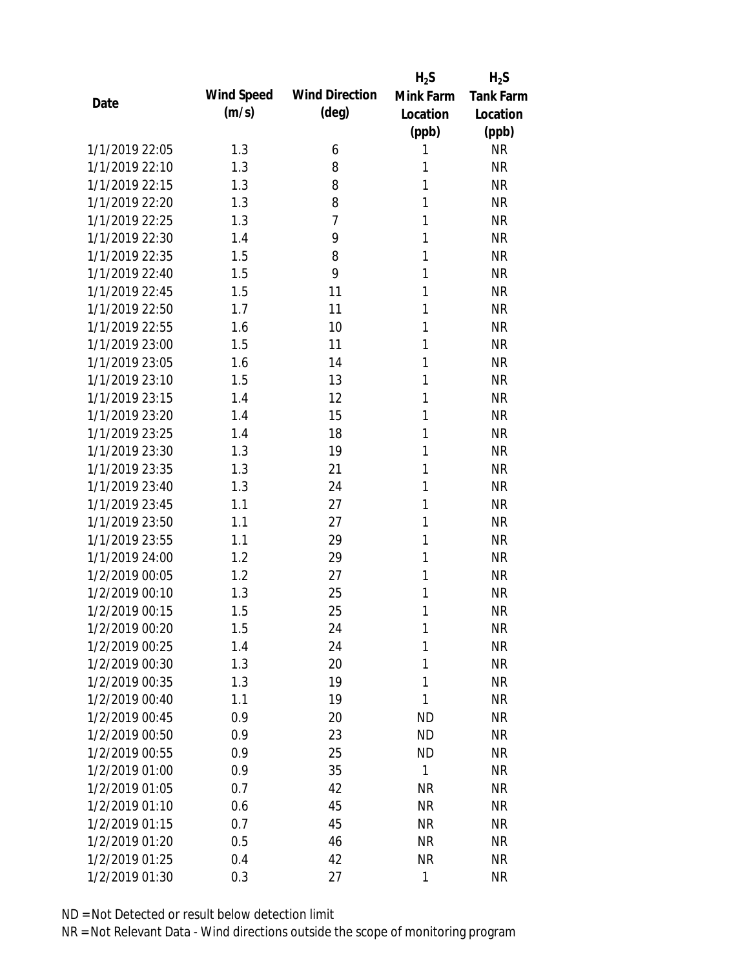|                |            |                       | $H_2S$       | $H_2S$           |
|----------------|------------|-----------------------|--------------|------------------|
| Date           | Wind Speed | <b>Wind Direction</b> | Mink Farm    | <b>Tank Farm</b> |
|                | (m/s)      | (deg)                 | Location     | Location         |
|                |            |                       | (ppb)        | (ppb)            |
| 1/1/2019 22:05 | 1.3        | 6                     | 1            | <b>NR</b>        |
| 1/1/2019 22:10 | 1.3        | 8                     | 1            | <b>NR</b>        |
| 1/1/2019 22:15 | 1.3        | 8                     | 1            | <b>NR</b>        |
| 1/1/2019 22:20 | 1.3        | 8                     | 1            | <b>NR</b>        |
| 1/1/2019 22:25 | 1.3        | $\overline{7}$        | 1            | <b>NR</b>        |
| 1/1/2019 22:30 | 1.4        | 9                     | 1            | <b>NR</b>        |
| 1/1/2019 22:35 | 1.5        | 8                     | 1            | <b>NR</b>        |
| 1/1/2019 22:40 | 1.5        | 9                     | 1            | <b>NR</b>        |
| 1/1/2019 22:45 | 1.5        | 11                    | 1            | <b>NR</b>        |
| 1/1/2019 22:50 | 1.7        | 11                    | 1            | <b>NR</b>        |
| 1/1/2019 22:55 | 1.6        | 10                    | 1            | <b>NR</b>        |
| 1/1/2019 23:00 | 1.5        | 11                    | 1            | <b>NR</b>        |
| 1/1/2019 23:05 | 1.6        | 14                    | 1            | <b>NR</b>        |
| 1/1/2019 23:10 | 1.5        | 13                    | 1            | <b>NR</b>        |
| 1/1/2019 23:15 | 1.4        | 12                    | 1            | <b>NR</b>        |
| 1/1/2019 23:20 | 1.4        | 15                    | 1            | <b>NR</b>        |
| 1/1/2019 23:25 | 1.4        | 18                    | 1            | <b>NR</b>        |
| 1/1/2019 23:30 | 1.3        | 19                    | 1            | <b>NR</b>        |
| 1/1/2019 23:35 | 1.3        | 21                    | 1            | <b>NR</b>        |
| 1/1/2019 23:40 | 1.3        | 24                    | 1            | <b>NR</b>        |
| 1/1/2019 23:45 | 1.1        | 27                    | 1            | <b>NR</b>        |
| 1/1/2019 23:50 | 1.1        | 27                    | 1            | <b>NR</b>        |
| 1/1/2019 23:55 | 1.1        | 29                    | 1            | <b>NR</b>        |
| 1/1/2019 24:00 | 1.2        | 29                    | 1            | <b>NR</b>        |
| 1/2/2019 00:05 | 1.2        | 27                    | 1            | <b>NR</b>        |
| 1/2/2019 00:10 | 1.3        | 25                    | 1            | <b>NR</b>        |
| 1/2/2019 00:15 | 1.5        | 25                    | 1            | <b>NR</b>        |
| 1/2/2019 00:20 | 1.5        | 24                    | 1            | <b>NR</b>        |
| 1/2/2019 00:25 | 1.4        | 24                    | 1            | <b>NR</b>        |
| 1/2/2019 00:30 | 1.3        | 20                    | 1            | <b>NR</b>        |
| 1/2/2019 00:35 | 1.3        | 19                    | $\mathbf{1}$ | <b>NR</b>        |
| 1/2/2019 00:40 | 1.1        | 19                    | 1            | <b>NR</b>        |
| 1/2/2019 00:45 | 0.9        | 20                    | <b>ND</b>    | <b>NR</b>        |
| 1/2/2019 00:50 | 0.9        | 23                    | <b>ND</b>    | <b>NR</b>        |
| 1/2/2019 00:55 | 0.9        | 25                    | <b>ND</b>    | <b>NR</b>        |
| 1/2/2019 01:00 | 0.9        | 35                    | 1            | <b>NR</b>        |
| 1/2/2019 01:05 | 0.7        | 42                    | <b>NR</b>    | <b>NR</b>        |
| 1/2/2019 01:10 | 0.6        | 45                    | <b>NR</b>    | <b>NR</b>        |
| 1/2/2019 01:15 | 0.7        | 45                    | <b>NR</b>    | <b>NR</b>        |
| 1/2/2019 01:20 | 0.5        | 46                    | <b>NR</b>    | <b>NR</b>        |
| 1/2/2019 01:25 | 0.4        | 42                    | <b>NR</b>    | <b>NR</b>        |
| 1/2/2019 01:30 | 0.3        | 27                    | 1            | <b>NR</b>        |
|                |            |                       |              |                  |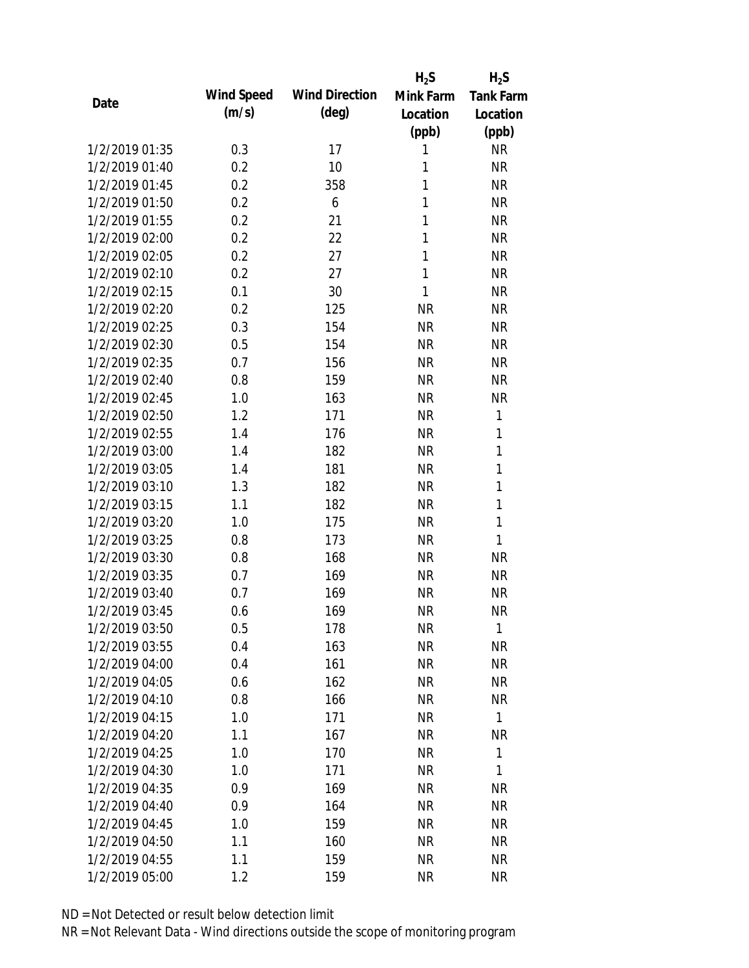|                |            |                       | $H_2S$    | $H_2S$           |
|----------------|------------|-----------------------|-----------|------------------|
| Date           | Wind Speed | <b>Wind Direction</b> | Mink Farm | <b>Tank Farm</b> |
|                | (m/s)      | $(\text{deg})$        | Location  | Location         |
|                |            |                       | (ppb)     | (ppb)            |
| 1/2/2019 01:35 | 0.3        | 17                    | 1         | <b>NR</b>        |
| 1/2/2019 01:40 | 0.2        | 10                    | 1         | <b>NR</b>        |
| 1/2/2019 01:45 | 0.2        | 358                   | 1         | <b>NR</b>        |
| 1/2/2019 01:50 | 0.2        | 6                     | 1         | <b>NR</b>        |
| 1/2/2019 01:55 | 0.2        | 21                    | 1         | <b>NR</b>        |
| 1/2/2019 02:00 | 0.2        | 22                    | 1         | <b>NR</b>        |
| 1/2/2019 02:05 | 0.2        | 27                    | 1         | <b>NR</b>        |
| 1/2/2019 02:10 | 0.2        | 27                    | 1         | <b>NR</b>        |
| 1/2/2019 02:15 | 0.1        | 30                    | 1         | <b>NR</b>        |
| 1/2/2019 02:20 | 0.2        | 125                   | <b>NR</b> | <b>NR</b>        |
| 1/2/2019 02:25 | 0.3        | 154                   | <b>NR</b> | <b>NR</b>        |
| 1/2/2019 02:30 | 0.5        | 154                   | <b>NR</b> | <b>NR</b>        |
| 1/2/2019 02:35 | 0.7        | 156                   | <b>NR</b> | <b>NR</b>        |
| 1/2/2019 02:40 | 0.8        | 159                   | <b>NR</b> | <b>NR</b>        |
| 1/2/2019 02:45 | 1.0        | 163                   | <b>NR</b> | <b>NR</b>        |
| 1/2/2019 02:50 | 1.2        | 171                   | <b>NR</b> | 1                |
| 1/2/2019 02:55 | 1.4        | 176                   | <b>NR</b> | 1                |
| 1/2/2019 03:00 | 1.4        | 182                   | <b>NR</b> | 1                |
| 1/2/2019 03:05 | 1.4        | 181                   | <b>NR</b> | 1                |
| 1/2/2019 03:10 | 1.3        | 182                   | <b>NR</b> | 1                |
| 1/2/2019 03:15 | 1.1        | 182                   | <b>NR</b> | $\mathbf{1}$     |
| 1/2/2019 03:20 | 1.0        | 175                   | <b>NR</b> | $\mathbf{1}$     |
| 1/2/2019 03:25 | 0.8        | 173                   | <b>NR</b> | $\mathbf{1}$     |
| 1/2/2019 03:30 | 0.8        | 168                   | <b>NR</b> | <b>NR</b>        |
| 1/2/2019 03:35 | 0.7        | 169                   | <b>NR</b> | <b>NR</b>        |
| 1/2/2019 03:40 | 0.7        | 169                   | <b>NR</b> | <b>NR</b>        |
| 1/2/2019 03:45 | 0.6        | 169                   | <b>NR</b> | <b>NR</b>        |
| 1/2/2019 03:50 | 0.5        | 178                   | <b>NR</b> | 1                |
| 1/2/2019 03:55 | 0.4        | 163                   | <b>NR</b> | <b>NR</b>        |
| 1/2/2019 04:00 | 0.4        | 161                   | <b>NR</b> | <b>NR</b>        |
| 1/2/2019 04:05 | 0.6        | 162                   | <b>NR</b> | <b>NR</b>        |
| 1/2/2019 04:10 | 0.8        | 166                   | <b>NR</b> | <b>NR</b>        |
| 1/2/2019 04:15 | 1.0        | 171                   | <b>NR</b> | $\mathbf{1}$     |
| 1/2/2019 04:20 | 1.1        | 167                   | <b>NR</b> | <b>NR</b>        |
| 1/2/2019 04:25 | 1.0        | 170                   | <b>NR</b> | 1                |
| 1/2/2019 04:30 | 1.0        | 171                   | <b>NR</b> | 1                |
| 1/2/2019 04:35 | 0.9        | 169                   | <b>NR</b> | <b>NR</b>        |
| 1/2/2019 04:40 | 0.9        | 164                   | <b>NR</b> | <b>NR</b>        |
| 1/2/2019 04:45 | 1.0        | 159                   | <b>NR</b> | <b>NR</b>        |
| 1/2/2019 04:50 | 1.1        | 160                   | <b>NR</b> | <b>NR</b>        |
| 1/2/2019 04:55 | 1.1        | 159                   | <b>NR</b> | <b>NR</b>        |
| 1/2/2019 05:00 | 1.2        | 159                   | <b>NR</b> | <b>NR</b>        |
|                |            |                       |           |                  |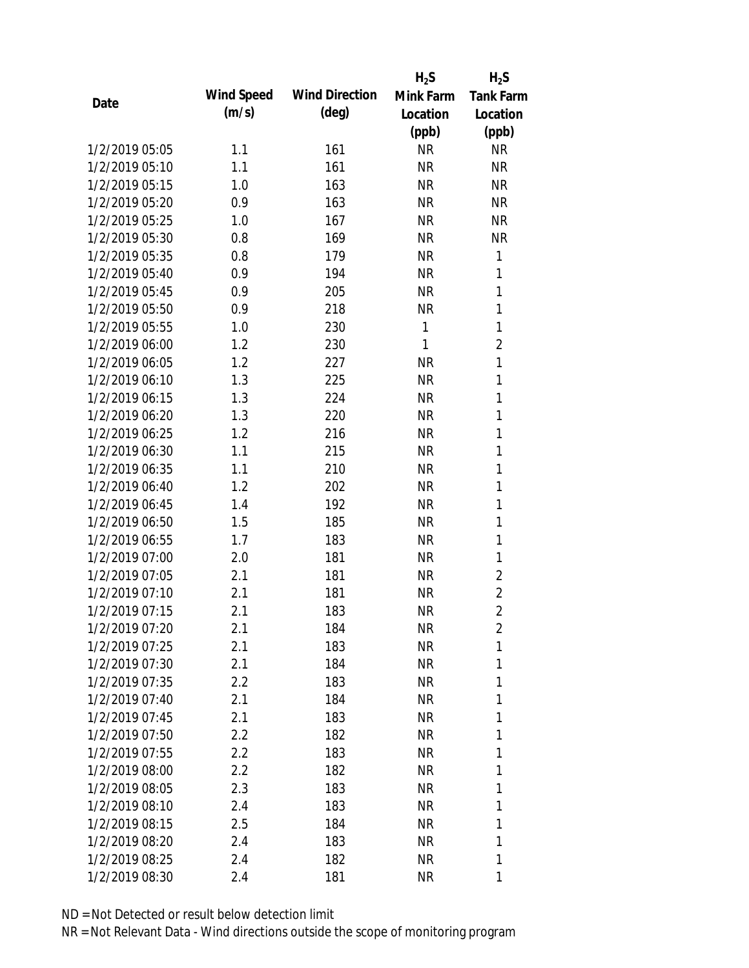|      |                |            |                       | $H_2S$       | $H_2S$           |
|------|----------------|------------|-----------------------|--------------|------------------|
| Date |                | Wind Speed | <b>Wind Direction</b> | Mink Farm    | <b>Tank Farm</b> |
|      |                | (m/s)      | $(\text{deg})$        | Location     | Location         |
|      |                |            |                       | (ppb)        | (ppb)            |
|      | 1/2/2019 05:05 | 1.1        | 161                   | <b>NR</b>    | <b>NR</b>        |
|      | 1/2/2019 05:10 | 1.1        | 161                   | <b>NR</b>    | <b>NR</b>        |
|      | 1/2/2019 05:15 | 1.0        | 163                   | <b>NR</b>    | <b>NR</b>        |
|      | 1/2/2019 05:20 | 0.9        | 163                   | <b>NR</b>    | <b>NR</b>        |
|      | 1/2/2019 05:25 | 1.0        | 167                   | <b>NR</b>    | <b>NR</b>        |
|      | 1/2/2019 05:30 | 0.8        | 169                   | <b>NR</b>    | <b>NR</b>        |
|      | 1/2/2019 05:35 | 0.8        | 179                   | <b>NR</b>    | 1                |
|      | 1/2/2019 05:40 | 0.9        | 194                   | <b>NR</b>    | 1                |
|      | 1/2/2019 05:45 | 0.9        | 205                   | <b>NR</b>    | $\mathbf{1}$     |
|      | 1/2/2019 05:50 | 0.9        | 218                   | <b>NR</b>    | $\mathbf{1}$     |
|      | 1/2/2019 05:55 | 1.0        | 230                   | $\mathbf{1}$ | 1                |
|      | 1/2/2019 06:00 | 1.2        | 230                   | 1            | $\overline{2}$   |
|      | 1/2/2019 06:05 | 1.2        | 227                   | <b>NR</b>    | $\mathbf{1}$     |
|      | 1/2/2019 06:10 | 1.3        | 225                   | <b>NR</b>    | $\mathbf{1}$     |
|      | 1/2/2019 06:15 | 1.3        | 224                   | <b>NR</b>    | $\mathbf{1}$     |
|      | 1/2/2019 06:20 | 1.3        | 220                   | <b>NR</b>    | 1                |
|      | 1/2/2019 06:25 | 1.2        | 216                   | <b>NR</b>    | 1                |
|      | 1/2/2019 06:30 | 1.1        | 215                   | <b>NR</b>    | $\mathbf{1}$     |
|      | 1/2/2019 06:35 | 1.1        | 210                   | <b>NR</b>    | $\mathbf{1}$     |
|      | 1/2/2019 06:40 | 1.2        | 202                   | <b>NR</b>    | 1                |
|      | 1/2/2019 06:45 | 1.4        | 192                   | <b>NR</b>    | $\mathbf{1}$     |
|      | 1/2/2019 06:50 | 1.5        | 185                   | <b>NR</b>    | 1                |
|      | 1/2/2019 06:55 | 1.7        | 183                   | <b>NR</b>    | 1                |
|      | 1/2/2019 07:00 | 2.0        | 181                   | <b>NR</b>    | 1                |
|      | 1/2/2019 07:05 | 2.1        | 181                   | <b>NR</b>    | $\overline{2}$   |
|      | 1/2/2019 07:10 | 2.1        | 181                   | <b>NR</b>    | $\overline{2}$   |
|      | 1/2/2019 07:15 | 2.1        | 183                   | <b>NR</b>    | $\overline{2}$   |
|      | 1/2/2019 07:20 | 2.1        | 184                   | <b>NR</b>    | $\overline{2}$   |
|      | 1/2/2019 07:25 | 2.1        | 183                   | <b>NR</b>    | 1                |
|      | 1/2/2019 07:30 | 2.1        | 184                   | NR           | 1                |
|      | 1/2/2019 07:35 | 2.2        | 183                   | NR           | 1                |
|      | 1/2/2019 07:40 | 2.1        | 184                   | NR           | 1                |
|      | 1/2/2019 07:45 | 2.1        | 183                   | NR           | 1                |
|      | 1/2/2019 07:50 | 2.2        | 182                   | NR           | 1                |
|      | 1/2/2019 07:55 | 2.2        | 183                   | NR           | 1                |
|      | 1/2/2019 08:00 | 2.2        | 182                   | <b>NR</b>    | 1                |
|      | 1/2/2019 08:05 | 2.3        | 183                   | NR           | 1                |
|      | 1/2/2019 08:10 | 2.4        | 183                   | NR           | 1                |
|      | 1/2/2019 08:15 | 2.5        | 184                   | NR           | 1                |
|      | 1/2/2019 08:20 | 2.4        | 183                   | NR           | 1                |
|      | 1/2/2019 08:25 | 2.4        | 182                   | <b>NR</b>    | 1                |
|      | 1/2/2019 08:30 | 2.4        | 181                   | <b>NR</b>    | 1                |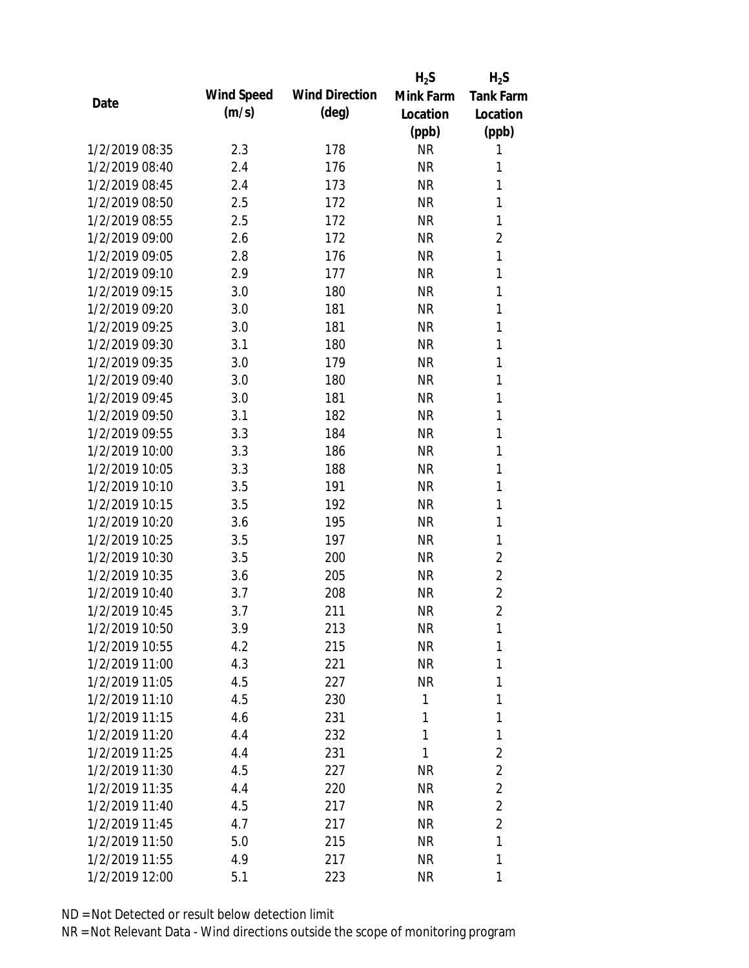|                |            |                       | $H_2S$    | $H_2S$           |
|----------------|------------|-----------------------|-----------|------------------|
| Date           | Wind Speed | <b>Wind Direction</b> | Mink Farm | <b>Tank Farm</b> |
|                | (m/s)      | (deg)                 | Location  | Location         |
|                |            |                       | (ppb)     | (ppb)            |
| 1/2/2019 08:35 | 2.3        | 178                   | <b>NR</b> | 1                |
| 1/2/2019 08:40 | 2.4        | 176                   | <b>NR</b> | 1                |
| 1/2/2019 08:45 | 2.4        | 173                   | <b>NR</b> | 1                |
| 1/2/2019 08:50 | 2.5        | 172                   | <b>NR</b> | 1                |
| 1/2/2019 08:55 | 2.5        | 172                   | <b>NR</b> | 1                |
| 1/2/2019 09:00 | 2.6        | 172                   | <b>NR</b> | $\overline{2}$   |
| 1/2/2019 09:05 | 2.8        | 176                   | <b>NR</b> | $\mathbf{1}$     |
| 1/2/2019 09:10 | 2.9        | 177                   | <b>NR</b> | 1                |
| 1/2/2019 09:15 | 3.0        | 180                   | <b>NR</b> | 1                |
| 1/2/2019 09:20 | 3.0        | 181                   | <b>NR</b> | 1                |
| 1/2/2019 09:25 | 3.0        | 181                   | <b>NR</b> | 1                |
| 1/2/2019 09:30 | 3.1        | 180                   | <b>NR</b> | 1                |
| 1/2/2019 09:35 | 3.0        | 179                   | <b>NR</b> | 1                |
| 1/2/2019 09:40 | 3.0        | 180                   | <b>NR</b> | 1                |
| 1/2/2019 09:45 | 3.0        | 181                   | <b>NR</b> | 1                |
| 1/2/2019 09:50 | 3.1        | 182                   | <b>NR</b> | 1                |
| 1/2/2019 09:55 | 3.3        | 184                   | <b>NR</b> | 1                |
| 1/2/2019 10:00 | 3.3        | 186                   | <b>NR</b> | 1                |
| 1/2/2019 10:05 | 3.3        | 188                   | <b>NR</b> | 1                |
| 1/2/2019 10:10 | 3.5        | 191                   | <b>NR</b> | 1                |
| 1/2/2019 10:15 | 3.5        | 192                   | <b>NR</b> | 1                |
| 1/2/2019 10:20 | 3.6        | 195                   | <b>NR</b> | 1                |
| 1/2/2019 10:25 | 3.5        | 197                   | <b>NR</b> | 1                |
| 1/2/2019 10:30 | 3.5        | 200                   | <b>NR</b> | $\overline{2}$   |
| 1/2/2019 10:35 | 3.6        | 205                   | <b>NR</b> | $\overline{2}$   |
| 1/2/2019 10:40 | 3.7        | 208                   | <b>NR</b> | $\overline{2}$   |
| 1/2/2019 10:45 | 3.7        | 211                   | <b>NR</b> | $\overline{2}$   |
| 1/2/2019 10:50 | 3.9        | 213                   | <b>NR</b> | 1                |
| 1/2/2019 10:55 | 4.2        | 215                   | <b>NR</b> | 1                |
| 1/2/2019 11:00 | 4.3        | 221                   | NR        | 1                |
| 1/2/2019 11:05 | 4.5        | 227                   | <b>NR</b> | 1                |
| 1/2/2019 11:10 | 4.5        | 230                   | 1         | 1                |
| 1/2/2019 11:15 | 4.6        | 231                   | 1         | 1                |
| 1/2/2019 11:20 | 4.4        | 232                   | 1         | 1                |
| 1/2/2019 11:25 | 4.4        | 231                   | 1         | $\overline{2}$   |
| 1/2/2019 11:30 | 4.5        | 227                   | <b>NR</b> | $\overline{2}$   |
| 1/2/2019 11:35 | 4.4        | 220                   | <b>NR</b> | $\overline{2}$   |
| 1/2/2019 11:40 | 4.5        | 217                   | <b>NR</b> | $\overline{2}$   |
| 1/2/2019 11:45 | 4.7        | 217                   | NR.       | $\overline{2}$   |
| 1/2/2019 11:50 | 5.0        | 215                   | <b>NR</b> | 1                |
| 1/2/2019 11:55 | 4.9        | 217                   | <b>NR</b> | 1                |
| 1/2/2019 12:00 | 5.1        | 223                   | <b>NR</b> | 1                |
|                |            |                       |           |                  |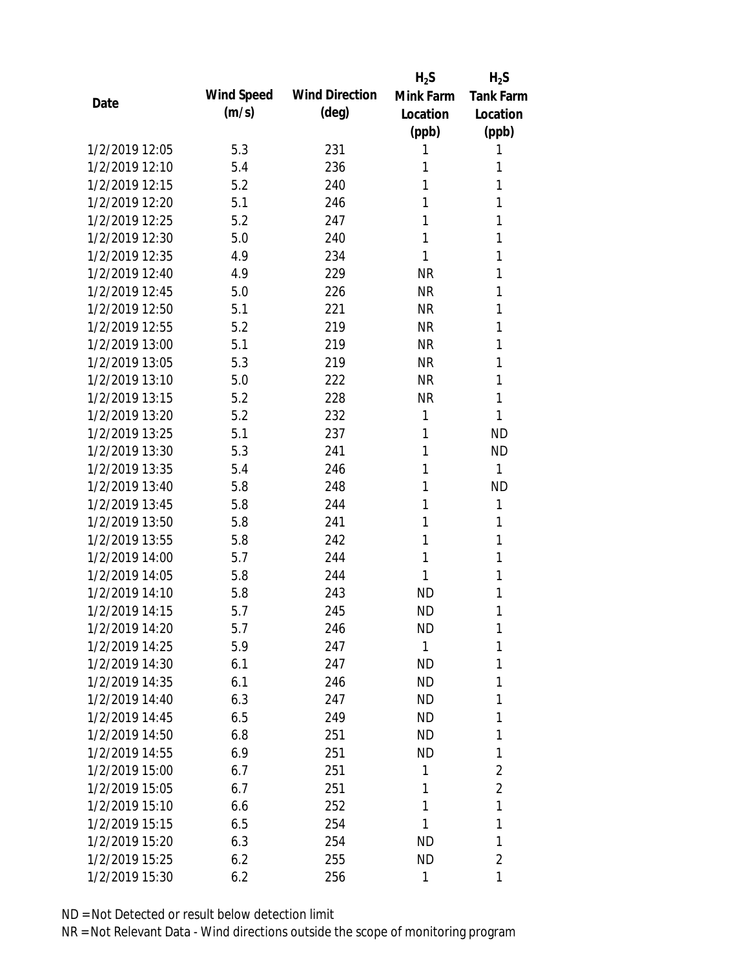|                |            |                       | $H_2S$       | $H_2S$           |
|----------------|------------|-----------------------|--------------|------------------|
| Date           | Wind Speed | <b>Wind Direction</b> | Mink Farm    | <b>Tank Farm</b> |
|                | (m/s)      | $(\text{deg})$        | Location     | Location         |
|                |            |                       | (ppb)        | (ppb)            |
| 1/2/2019 12:05 | 5.3        | 231                   | 1            | 1                |
| 1/2/2019 12:10 | 5.4        | 236                   | 1            | 1                |
| 1/2/2019 12:15 | 5.2        | 240                   | 1            | 1                |
| 1/2/2019 12:20 | 5.1        | 246                   | 1            | 1                |
| 1/2/2019 12:25 | 5.2        | 247                   | 1            | 1                |
| 1/2/2019 12:30 | 5.0        | 240                   | 1            | 1                |
| 1/2/2019 12:35 | 4.9        | 234                   | 1            | 1                |
| 1/2/2019 12:40 | 4.9        | 229                   | <b>NR</b>    | 1                |
| 1/2/2019 12:45 | 5.0        | 226                   | <b>NR</b>    | 1                |
| 1/2/2019 12:50 | 5.1        | 221                   | <b>NR</b>    | 1                |
| 1/2/2019 12:55 | 5.2        | 219                   | <b>NR</b>    | 1                |
| 1/2/2019 13:00 | 5.1        | 219                   | <b>NR</b>    | 1                |
| 1/2/2019 13:05 | 5.3        | 219                   | <b>NR</b>    | 1                |
| 1/2/2019 13:10 | 5.0        | 222                   | <b>NR</b>    | 1                |
| 1/2/2019 13:15 | 5.2        | 228                   | <b>NR</b>    | 1                |
| 1/2/2019 13:20 | 5.2        | 232                   | 1            | 1                |
| 1/2/2019 13:25 | 5.1        | 237                   | 1            | <b>ND</b>        |
| 1/2/2019 13:30 | 5.3        | 241                   | 1            | <b>ND</b>        |
| 1/2/2019 13:35 | 5.4        | 246                   | 1            | 1                |
| 1/2/2019 13:40 | 5.8        | 248                   | 1            | <b>ND</b>        |
| 1/2/2019 13:45 | 5.8        | 244                   | 1            | 1                |
| 1/2/2019 13:50 | 5.8        | 241                   | 1            | 1                |
| 1/2/2019 13:55 | 5.8        | 242                   | 1            | 1                |
| 1/2/2019 14:00 | 5.7        | 244                   | 1            | 1                |
| 1/2/2019 14:05 | 5.8        | 244                   | 1            | 1                |
| 1/2/2019 14:10 | 5.8        | 243                   | <b>ND</b>    | 1                |
| 1/2/2019 14:15 | 5.7        | 245                   | <b>ND</b>    | 1                |
| 1/2/2019 14:20 | 5.7        | 246                   | ND           | 1                |
| 1/2/2019 14:25 | 5.9        | 247                   | $\mathbf{1}$ | 1                |
| 1/2/2019 14:30 | 6.1        | 247                   | <b>ND</b>    | 1                |
| 1/2/2019 14:35 | 6.1        | 246                   | <b>ND</b>    | 1                |
| 1/2/2019 14:40 | 6.3        | 247                   | <b>ND</b>    | 1                |
| 1/2/2019 14:45 | 6.5        | 249                   | <b>ND</b>    | 1                |
| 1/2/2019 14:50 | 6.8        | 251                   | <b>ND</b>    | 1                |
| 1/2/2019 14:55 | 6.9        | 251                   | <b>ND</b>    | 1                |
| 1/2/2019 15:00 | 6.7        | 251                   | 1            | 2                |
| 1/2/2019 15:05 | 6.7        | 251                   | 1            | $\overline{2}$   |
| 1/2/2019 15:10 | 6.6        | 252                   | 1            | 1                |
| 1/2/2019 15:15 | 6.5        | 254                   | 1            | 1                |
| 1/2/2019 15:20 | 6.3        | 254                   | <b>ND</b>    | 1                |
| 1/2/2019 15:25 | 6.2        | 255                   | <b>ND</b>    | $\overline{2}$   |
| 1/2/2019 15:30 | 6.2        | 256                   | 1            | 1                |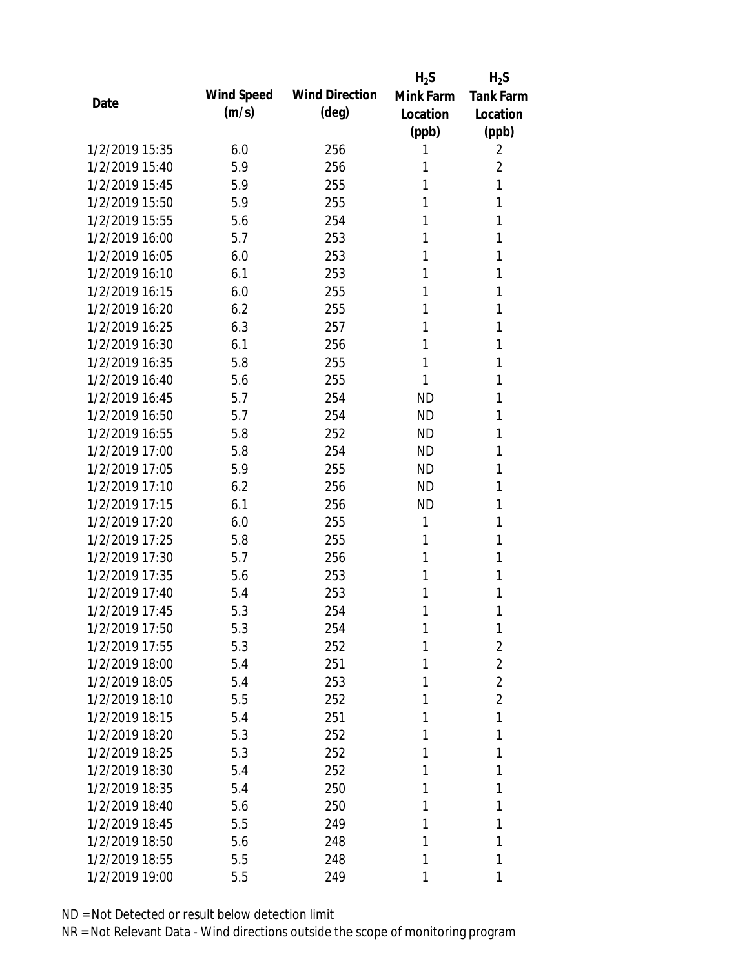|                |            |                       | $H_2S$    | $H_2S$           |
|----------------|------------|-----------------------|-----------|------------------|
| Date           | Wind Speed | <b>Wind Direction</b> | Mink Farm | <b>Tank Farm</b> |
|                | (m/s)      | $(\text{deg})$        | Location  | Location         |
|                |            |                       | (ppb)     | (ppb)            |
| 1/2/2019 15:35 | 6.0        | 256                   | 1         | 2                |
| 1/2/2019 15:40 | 5.9        | 256                   | 1         | $\overline{2}$   |
| 1/2/2019 15:45 | 5.9        | 255                   | 1         | 1                |
| 1/2/2019 15:50 | 5.9        | 255                   | 1         | 1                |
| 1/2/2019 15:55 | 5.6        | 254                   | 1         | 1                |
| 1/2/2019 16:00 | 5.7        | 253                   | 1         | 1                |
| 1/2/2019 16:05 | 6.0        | 253                   | 1         | 1                |
| 1/2/2019 16:10 | 6.1        | 253                   | 1         | 1                |
| 1/2/2019 16:15 | 6.0        | 255                   | 1         | 1                |
| 1/2/2019 16:20 | 6.2        | 255                   | 1         | 1                |
| 1/2/2019 16:25 | 6.3        | 257                   | 1         | 1                |
| 1/2/2019 16:30 | 6.1        | 256                   | 1         | 1                |
| 1/2/2019 16:35 | 5.8        | 255                   | 1         | 1                |
| 1/2/2019 16:40 | 5.6        | 255                   | 1         | 1                |
| 1/2/2019 16:45 | 5.7        | 254                   | <b>ND</b> | 1                |
| 1/2/2019 16:50 | 5.7        | 254                   | <b>ND</b> | 1                |
| 1/2/2019 16:55 | 5.8        | 252                   | <b>ND</b> | 1                |
| 1/2/2019 17:00 | 5.8        | 254                   | <b>ND</b> | 1                |
| 1/2/2019 17:05 | 5.9        | 255                   | <b>ND</b> | 1                |
| 1/2/2019 17:10 | 6.2        | 256                   | <b>ND</b> | 1                |
| 1/2/2019 17:15 | 6.1        | 256                   | <b>ND</b> | 1                |
| 1/2/2019 17:20 | 6.0        | 255                   | 1         | 1                |
| 1/2/2019 17:25 | 5.8        | 255                   | 1         | 1                |
| 1/2/2019 17:30 | 5.7        | 256                   | 1         | 1                |
| 1/2/2019 17:35 | 5.6        | 253                   | 1         | 1                |
| 1/2/2019 17:40 | 5.4        | 253                   | 1         | 1                |
| 1/2/2019 17:45 | 5.3        | 254                   | 1         | 1                |
| 1/2/2019 17:50 | 5.3        | 254                   | 1         | 1                |
| 1/2/2019 17:55 | 5.3        | 252                   | 1         | $\overline{2}$   |
| 1/2/2019 18:00 | 5.4        | 251                   | 1         | $\overline{2}$   |
| 1/2/2019 18:05 | 5.4        | 253                   | 1         | $\overline{2}$   |
| 1/2/2019 18:10 | 5.5        | 252                   | 1         | $\overline{2}$   |
| 1/2/2019 18:15 | 5.4        | 251                   | 1         | 1                |
| 1/2/2019 18:20 | 5.3        | 252                   | 1         | 1                |
| 1/2/2019 18:25 | 5.3        | 252                   | 1         | 1                |
| 1/2/2019 18:30 | 5.4        | 252                   | 1         | 1                |
| 1/2/2019 18:35 | 5.4        | 250                   | 1         | 1                |
| 1/2/2019 18:40 | 5.6        | 250                   | 1         | 1                |
| 1/2/2019 18:45 | 5.5        | 249                   | 1         | 1                |
| 1/2/2019 18:50 | 5.6        | 248                   | 1         | 1                |
| 1/2/2019 18:55 | 5.5        | 248                   | 1         | 1                |
| 1/2/2019 19:00 | 5.5        | 249                   | 1         | 1                |
|                |            |                       |           |                  |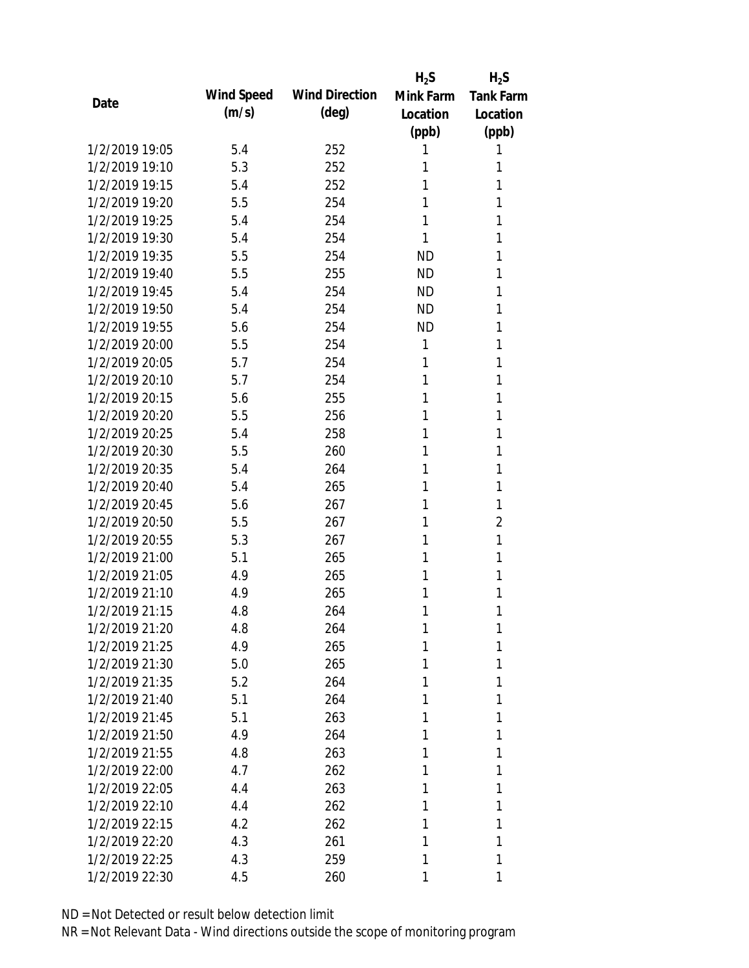|                |            |                       | $H_2S$    | $H_2S$           |
|----------------|------------|-----------------------|-----------|------------------|
| Date           | Wind Speed | <b>Wind Direction</b> | Mink Farm | <b>Tank Farm</b> |
|                | (m/s)      | $(\text{deg})$        | Location  | Location         |
|                |            |                       | (ppb)     | (ppb)            |
| 1/2/2019 19:05 | 5.4        | 252                   | 1         | 1                |
| 1/2/2019 19:10 | 5.3        | 252                   | 1         | 1                |
| 1/2/2019 19:15 | 5.4        | 252                   | 1         | 1                |
| 1/2/2019 19:20 | 5.5        | 254                   | 1         | 1                |
| 1/2/2019 19:25 | 5.4        | 254                   | 1         | 1                |
| 1/2/2019 19:30 | 5.4        | 254                   | 1         | 1                |
| 1/2/2019 19:35 | 5.5        | 254                   | <b>ND</b> | 1                |
| 1/2/2019 19:40 | 5.5        | 255                   | <b>ND</b> | 1                |
| 1/2/2019 19:45 | 5.4        | 254                   | <b>ND</b> | 1                |
| 1/2/2019 19:50 | 5.4        | 254                   | <b>ND</b> | 1                |
| 1/2/2019 19:55 | 5.6        | 254                   | <b>ND</b> | 1                |
| 1/2/2019 20:00 | 5.5        | 254                   | 1         | 1                |
| 1/2/2019 20:05 | 5.7        | 254                   | 1         | 1                |
| 1/2/2019 20:10 | 5.7        | 254                   | 1         | 1                |
| 1/2/2019 20:15 | 5.6        | 255                   | 1         | 1                |
| 1/2/2019 20:20 | 5.5        | 256                   | 1         | 1                |
| 1/2/2019 20:25 | 5.4        | 258                   | 1         | 1                |
| 1/2/2019 20:30 | 5.5        | 260                   | 1         | 1                |
| 1/2/2019 20:35 | 5.4        | 264                   | 1         | 1                |
| 1/2/2019 20:40 | 5.4        | 265                   | 1         | 1                |
| 1/2/2019 20:45 | 5.6        | 267                   | 1         | 1                |
| 1/2/2019 20:50 | 5.5        | 267                   | 1         | 2                |
| 1/2/2019 20:55 | 5.3        | 267                   | 1         | 1                |
| 1/2/2019 21:00 | 5.1        | 265                   | 1         | 1                |
| 1/2/2019 21:05 | 4.9        | 265                   | 1         | 1                |
| 1/2/2019 21:10 | 4.9        | 265                   | 1         | 1                |
| 1/2/2019 21:15 | 4.8        | 264                   | 1         | 1                |
| 1/2/2019 21:20 | 4.8        | 264                   | 1         | 1                |
| 1/2/2019 21:25 | 4.9        | 265                   | 1         | 1                |
| 1/2/2019 21:30 | 5.0        | 265                   | 1         | 1                |
| 1/2/2019 21:35 | 5.2        | 264                   | 1         | 1                |
| 1/2/2019 21:40 | 5.1        | 264                   | 1         | 1                |
| 1/2/2019 21:45 | 5.1        | 263                   | 1         | 1                |
| 1/2/2019 21:50 | 4.9        | 264                   | 1         | 1                |
| 1/2/2019 21:55 | 4.8        | 263                   | 1         | 1                |
| 1/2/2019 22:00 | 4.7        | 262                   | 1         | 1                |
| 1/2/2019 22:05 | 4.4        | 263                   | 1         | 1                |
| 1/2/2019 22:10 | 4.4        | 262                   | 1         | 1                |
| 1/2/2019 22:15 | 4.2        | 262                   | 1         | 1                |
| 1/2/2019 22:20 | 4.3        | 261                   | 1         | 1                |
| 1/2/2019 22:25 | 4.3        | 259                   | 1         | 1                |
| 1/2/2019 22:30 | 4.5        | 260                   | 1         | 1                |
|                |            |                       |           |                  |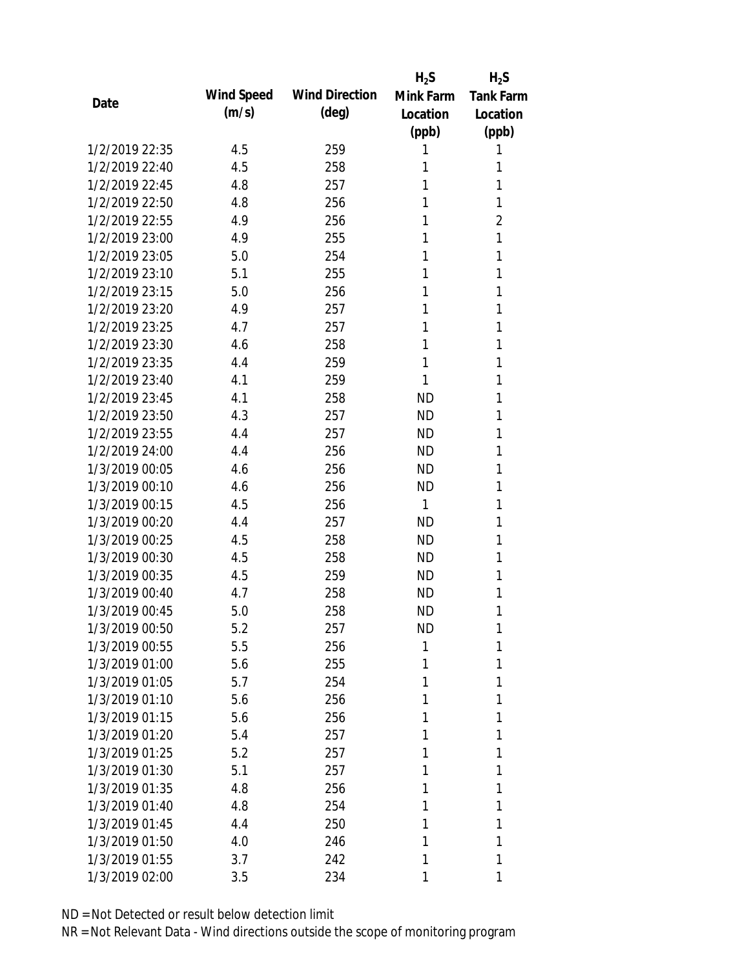|                |            |                       | $H_2S$    | $H_2S$           |
|----------------|------------|-----------------------|-----------|------------------|
| Date           | Wind Speed | <b>Wind Direction</b> | Mink Farm | <b>Tank Farm</b> |
|                | (m/s)      | (deg)                 | Location  | Location         |
|                |            |                       | (ppb)     | (ppb)            |
| 1/2/2019 22:35 | 4.5        | 259                   | 1         | 1                |
| 1/2/2019 22:40 | 4.5        | 258                   | 1         | 1                |
| 1/2/2019 22:45 | 4.8        | 257                   | 1         | 1                |
| 1/2/2019 22:50 | 4.8        | 256                   | 1         | 1                |
| 1/2/2019 22:55 | 4.9        | 256                   | 1         | $\overline{2}$   |
| 1/2/2019 23:00 | 4.9        | 255                   | 1         | 1                |
| 1/2/2019 23:05 | 5.0        | 254                   | 1         | 1                |
| 1/2/2019 23:10 | 5.1        | 255                   | 1         | 1                |
| 1/2/2019 23:15 | 5.0        | 256                   | 1         | 1                |
| 1/2/2019 23:20 | 4.9        | 257                   | 1         | 1                |
| 1/2/2019 23:25 | 4.7        | 257                   | 1         | 1                |
| 1/2/2019 23:30 | 4.6        | 258                   | 1         | 1                |
| 1/2/2019 23:35 | 4.4        | 259                   | 1         | 1                |
| 1/2/2019 23:40 | 4.1        | 259                   | 1         | 1                |
| 1/2/2019 23:45 | 4.1        | 258                   | <b>ND</b> | 1                |
| 1/2/2019 23:50 | 4.3        | 257                   | <b>ND</b> | 1                |
| 1/2/2019 23:55 | 4.4        | 257                   | <b>ND</b> | 1                |
| 1/2/2019 24:00 | 4.4        | 256                   | <b>ND</b> | 1                |
| 1/3/2019 00:05 | 4.6        | 256                   | <b>ND</b> | 1                |
| 1/3/2019 00:10 | 4.6        | 256                   | <b>ND</b> | 1                |
| 1/3/2019 00:15 | 4.5        | 256                   | 1         | 1                |
| 1/3/2019 00:20 | 4.4        | 257                   | <b>ND</b> | 1                |
| 1/3/2019 00:25 | 4.5        | 258                   | <b>ND</b> | 1                |
| 1/3/2019 00:30 | 4.5        | 258                   | <b>ND</b> | 1                |
| 1/3/2019 00:35 | 4.5        | 259                   | <b>ND</b> | 1                |
| 1/3/2019 00:40 | 4.7        | 258                   | <b>ND</b> | 1                |
| 1/3/2019 00:45 | 5.0        | 258                   | <b>ND</b> | 1                |
| 1/3/2019 00:50 | 5.2        | 257                   | <b>ND</b> | 1                |
| 1/3/2019 00:55 | 5.5        | 256                   | 1         | 1                |
| 1/3/2019 01:00 | 5.6        | 255                   | 1         | 1                |
| 1/3/2019 01:05 | 5.7        | 254                   | 1         | 1                |
| 1/3/2019 01:10 | 5.6        | 256                   | 1         | 1                |
| 1/3/2019 01:15 | 5.6        | 256                   | 1         | 1                |
| 1/3/2019 01:20 | 5.4        | 257                   | 1         | 1                |
| 1/3/2019 01:25 | 5.2        | 257                   | 1         | 1                |
| 1/3/2019 01:30 | 5.1        | 257                   | 1         | 1                |
| 1/3/2019 01:35 | 4.8        | 256                   | 1         | 1                |
| 1/3/2019 01:40 | 4.8        | 254                   | 1         | 1                |
| 1/3/2019 01:45 | 4.4        | 250                   | 1         | 1                |
| 1/3/2019 01:50 | 4.0        | 246                   | 1         | 1                |
| 1/3/2019 01:55 | 3.7        | 242                   | 1         | 1                |
| 1/3/2019 02:00 | 3.5        | 234                   | 1         | 1                |
|                |            |                       |           |                  |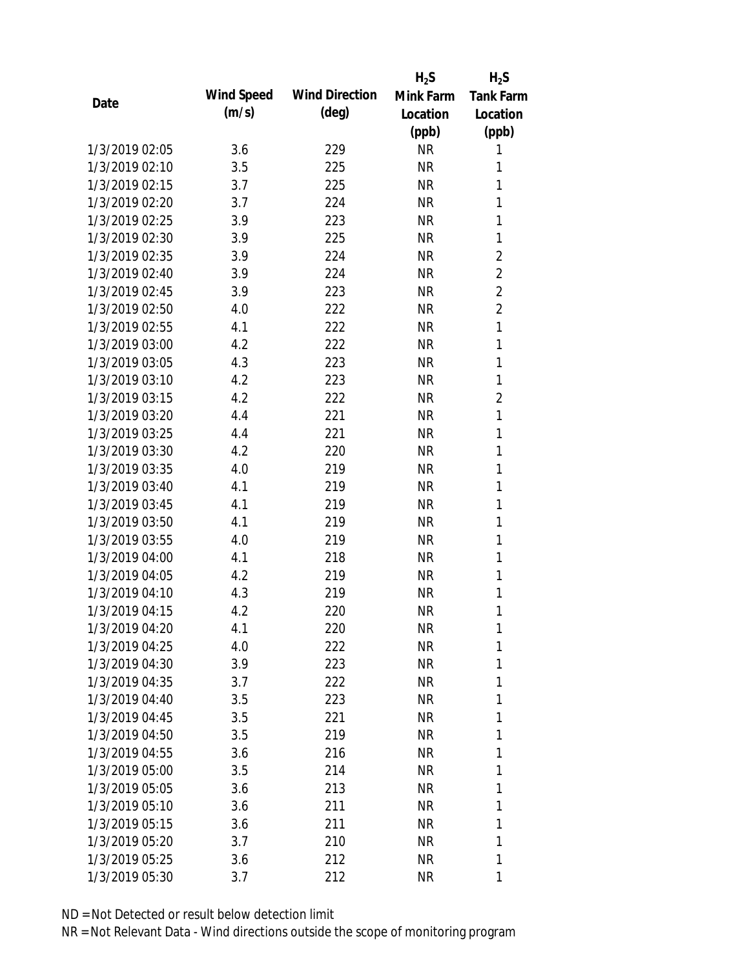|                |            |                       | $H_2S$    | $H_2S$           |
|----------------|------------|-----------------------|-----------|------------------|
| Date           | Wind Speed | <b>Wind Direction</b> | Mink Farm | <b>Tank Farm</b> |
|                | (m/s)      | (deg)                 | Location  | Location         |
|                |            |                       | (ppb)     | (ppb)            |
| 1/3/2019 02:05 | 3.6        | 229                   | <b>NR</b> | 1                |
| 1/3/2019 02:10 | 3.5        | 225                   | <b>NR</b> | 1                |
| 1/3/2019 02:15 | 3.7        | 225                   | <b>NR</b> | 1                |
| 1/3/2019 02:20 | 3.7        | 224                   | <b>NR</b> | 1                |
| 1/3/2019 02:25 | 3.9        | 223                   | <b>NR</b> | 1                |
| 1/3/2019 02:30 | 3.9        | 225                   | <b>NR</b> | 1                |
| 1/3/2019 02:35 | 3.9        | 224                   | <b>NR</b> | $\overline{2}$   |
| 1/3/2019 02:40 | 3.9        | 224                   | <b>NR</b> | $\overline{2}$   |
| 1/3/2019 02:45 | 3.9        | 223                   | <b>NR</b> | $\overline{2}$   |
| 1/3/2019 02:50 | 4.0        | 222                   | <b>NR</b> | $\overline{2}$   |
| 1/3/2019 02:55 | 4.1        | 222                   | <b>NR</b> | 1                |
| 1/3/2019 03:00 | 4.2        | 222                   | <b>NR</b> | 1                |
| 1/3/2019 03:05 | 4.3        | 223                   | <b>NR</b> | $\mathbf{1}$     |
| 1/3/2019 03:10 | 4.2        | 223                   | <b>NR</b> | 1                |
| 1/3/2019 03:15 | 4.2        | 222                   | <b>NR</b> | $\overline{2}$   |
| 1/3/2019 03:20 | 4.4        | 221                   | <b>NR</b> | $\mathbf{1}$     |
| 1/3/2019 03:25 | 4.4        | 221                   | <b>NR</b> | 1                |
| 1/3/2019 03:30 | 4.2        | 220                   | <b>NR</b> | 1                |
| 1/3/2019 03:35 | 4.0        | 219                   | <b>NR</b> | $\mathbf{1}$     |
| 1/3/2019 03:40 | 4.1        | 219                   | <b>NR</b> | 1                |
| 1/3/2019 03:45 | 4.1        | 219                   | <b>NR</b> | 1                |
| 1/3/2019 03:50 | 4.1        | 219                   | <b>NR</b> | 1                |
| 1/3/2019 03:55 | 4.0        | 219                   | <b>NR</b> | 1                |
| 1/3/2019 04:00 | 4.1        | 218                   | <b>NR</b> | 1                |
| 1/3/2019 04:05 | 4.2        | 219                   | <b>NR</b> | 1                |
| 1/3/2019 04:10 | 4.3        | 219                   | <b>NR</b> | 1                |
| 1/3/2019 04:15 | 4.2        | 220                   | <b>NR</b> | 1                |
| 1/3/2019 04:20 | 4.1        | 220                   | <b>NR</b> | 1                |
| 1/3/2019 04:25 | 4.0        | 222                   | <b>NR</b> | 1                |
| 1/3/2019 04:30 | 3.9        | 223                   | NR        | 1                |
| 1/3/2019 04:35 | 3.7        | 222                   | NR        | 1                |
| 1/3/2019 04:40 | 3.5        | 223                   | NR        | 1                |
| 1/3/2019 04:45 | 3.5        | 221                   | NR        | 1                |
| 1/3/2019 04:50 | 3.5        | 219                   | NR        | 1                |
| 1/3/2019 04:55 | 3.6        | 216                   | NR        | 1                |
| 1/3/2019 05:00 | 3.5        | 214                   | <b>NR</b> | 1                |
| 1/3/2019 05:05 | 3.6        | 213                   | NR        | 1                |
| 1/3/2019 05:10 | 3.6        | 211                   | NR        | 1                |
| 1/3/2019 05:15 | 3.6        | 211                   | NR        | 1                |
| 1/3/2019 05:20 | 3.7        | 210                   | NR        | 1                |
| 1/3/2019 05:25 | 3.6        | 212                   | <b>NR</b> | 1                |
| 1/3/2019 05:30 | 3.7        | 212                   | <b>NR</b> | 1                |
|                |            |                       |           |                  |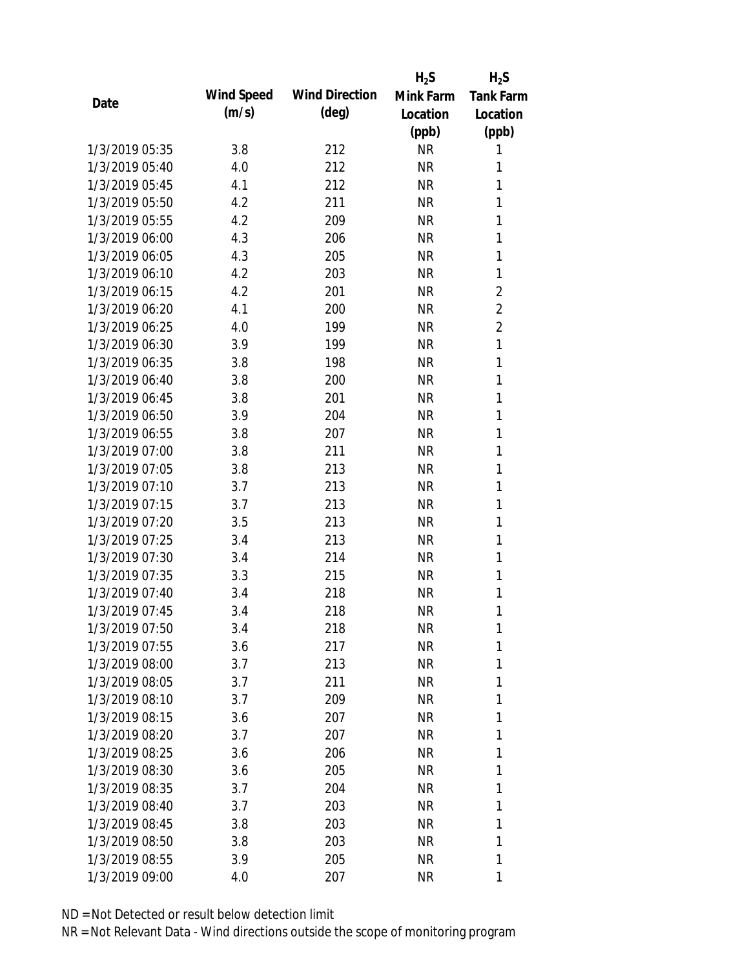|                |            |                       | $H_2S$    | $H_2S$           |
|----------------|------------|-----------------------|-----------|------------------|
| Date           | Wind Speed | <b>Wind Direction</b> | Mink Farm | <b>Tank Farm</b> |
|                | (m/s)      | $(\text{deg})$        | Location  | Location         |
|                |            |                       | (ppb)     | (ppb)            |
| 1/3/2019 05:35 | 3.8        | 212                   | <b>NR</b> | 1                |
| 1/3/2019 05:40 | 4.0        | 212                   | <b>NR</b> | 1                |
| 1/3/2019 05:45 | 4.1        | 212                   | <b>NR</b> | 1                |
| 1/3/2019 05:50 | 4.2        | 211                   | <b>NR</b> | 1                |
| 1/3/2019 05:55 | 4.2        | 209                   | <b>NR</b> | 1                |
| 1/3/2019 06:00 | 4.3        | 206                   | <b>NR</b> | 1                |
| 1/3/2019 06:05 | 4.3        | 205                   | <b>NR</b> | 1                |
| 1/3/2019 06:10 | 4.2        | 203                   | <b>NR</b> | 1                |
| 1/3/2019 06:15 | 4.2        | 201                   | <b>NR</b> | $\overline{2}$   |
| 1/3/2019 06:20 | 4.1        | 200                   | <b>NR</b> | $\overline{2}$   |
| 1/3/2019 06:25 | 4.0        | 199                   | <b>NR</b> | $\overline{2}$   |
| 1/3/2019 06:30 | 3.9        | 199                   | <b>NR</b> | $\mathbf{1}$     |
| 1/3/2019 06:35 | 3.8        | 198                   | <b>NR</b> | $\mathbf{1}$     |
| 1/3/2019 06:40 | 3.8        | 200                   | <b>NR</b> | 1                |
| 1/3/2019 06:45 | 3.8        | 201                   | <b>NR</b> | 1                |
| 1/3/2019 06:50 | 3.9        | 204                   | <b>NR</b> | 1                |
| 1/3/2019 06:55 | 3.8        | 207                   | <b>NR</b> | 1                |
| 1/3/2019 07:00 | 3.8        | 211                   | <b>NR</b> | 1                |
| 1/3/2019 07:05 | 3.8        | 213                   | <b>NR</b> | 1                |
| 1/3/2019 07:10 | 3.7        | 213                   | <b>NR</b> | 1                |
| 1/3/2019 07:15 | 3.7        | 213                   | <b>NR</b> | 1                |
| 1/3/2019 07:20 | 3.5        | 213                   | <b>NR</b> | 1                |
| 1/3/2019 07:25 | 3.4        | 213                   | <b>NR</b> | 1                |
| 1/3/2019 07:30 | 3.4        | 214                   | <b>NR</b> | 1                |
| 1/3/2019 07:35 | 3.3        | 215                   | <b>NR</b> | 1                |
| 1/3/2019 07:40 | 3.4        | 218                   | <b>NR</b> | 1                |
| 1/3/2019 07:45 | 3.4        | 218                   | <b>NR</b> | 1                |
| 1/3/2019 07:50 | 3.4        | 218                   | <b>NR</b> | 1                |
| 1/3/2019 07:55 | 3.6        | 217                   | <b>NR</b> | 1                |
| 1/3/2019 08:00 | 3.7        | 213                   | <b>NR</b> | 1                |
| 1/3/2019 08:05 | 3.7        | 211                   | <b>NR</b> | 1                |
| 1/3/2019 08:10 | 3.7        | 209                   | NR        | 1                |
| 1/3/2019 08:15 | 3.6        | 207                   | NR        | 1                |
| 1/3/2019 08:20 | 3.7        | 207                   | NR        | 1                |
| 1/3/2019 08:25 | 3.6        | 206                   | NR        | 1                |
| 1/3/2019 08:30 | 3.6        | 205                   | <b>NR</b> | 1                |
| 1/3/2019 08:35 | 3.7        | 204                   | <b>NR</b> | 1                |
| 1/3/2019 08:40 | 3.7        | 203                   | NR        | 1                |
| 1/3/2019 08:45 | 3.8        | 203                   | NR        | 1                |
| 1/3/2019 08:50 | 3.8        | 203                   | NR        | 1                |
| 1/3/2019 08:55 | 3.9        | 205                   | <b>NR</b> | 1                |
| 1/3/2019 09:00 | 4.0        | 207                   | <b>NR</b> | 1                |
|                |            |                       |           |                  |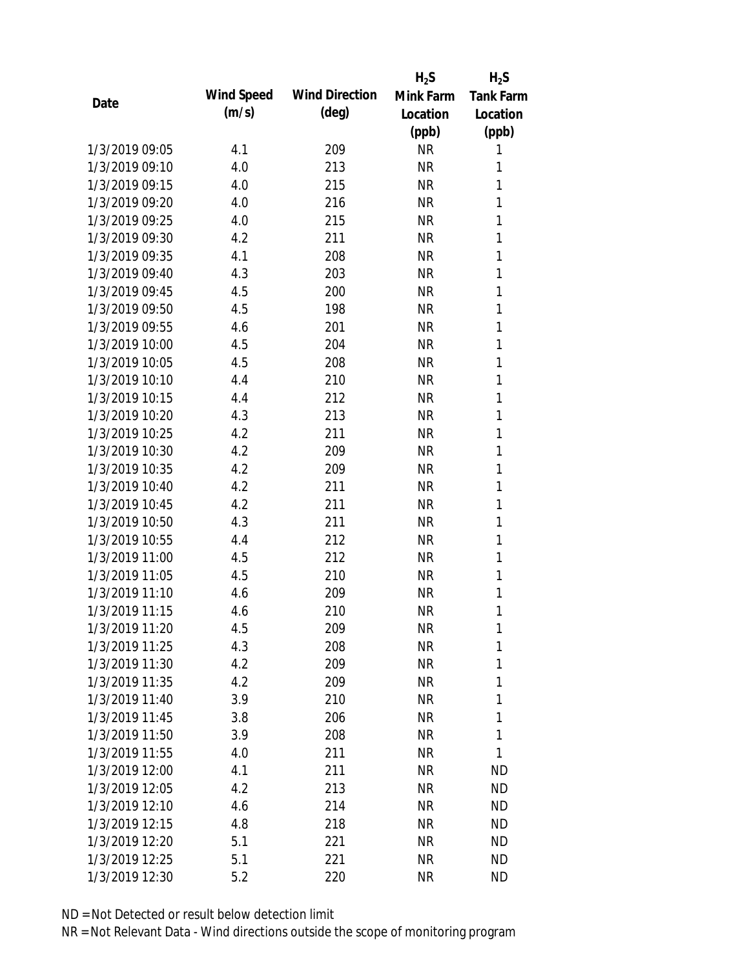|                |            |                       | $H_2S$    | $H_2S$           |
|----------------|------------|-----------------------|-----------|------------------|
| Date           | Wind Speed | <b>Wind Direction</b> | Mink Farm | <b>Tank Farm</b> |
|                | (m/s)      | (deg)                 | Location  | Location         |
|                |            |                       | (ppb)     | (ppb)            |
| 1/3/2019 09:05 | 4.1        | 209                   | <b>NR</b> | 1                |
| 1/3/2019 09:10 | 4.0        | 213                   | <b>NR</b> | 1                |
| 1/3/2019 09:15 | 4.0        | 215                   | <b>NR</b> | 1                |
| 1/3/2019 09:20 | 4.0        | 216                   | <b>NR</b> | 1                |
| 1/3/2019 09:25 | 4.0        | 215                   | <b>NR</b> | 1                |
| 1/3/2019 09:30 | 4.2        | 211                   | <b>NR</b> | 1                |
| 1/3/2019 09:35 | 4.1        | 208                   | <b>NR</b> | 1                |
| 1/3/2019 09:40 | 4.3        | 203                   | <b>NR</b> | 1                |
| 1/3/2019 09:45 | 4.5        | 200                   | <b>NR</b> | $\mathbf{1}$     |
| 1/3/2019 09:50 | 4.5        | 198                   | <b>NR</b> | $\mathbf{1}$     |
| 1/3/2019 09:55 | 4.6        | 201                   | <b>NR</b> | 1                |
| 1/3/2019 10:00 | 4.5        | 204                   | <b>NR</b> | 1                |
| 1/3/2019 10:05 | 4.5        | 208                   | <b>NR</b> | 1                |
| 1/3/2019 10:10 | 4.4        | 210                   | <b>NR</b> | 1                |
| 1/3/2019 10:15 | 4.4        | 212                   | <b>NR</b> | 1                |
| 1/3/2019 10:20 | 4.3        | 213                   | <b>NR</b> | 1                |
| 1/3/2019 10:25 | 4.2        | 211                   | <b>NR</b> | 1                |
| 1/3/2019 10:30 | 4.2        | 209                   | <b>NR</b> | 1                |
| 1/3/2019 10:35 | 4.2        | 209                   | <b>NR</b> | 1                |
| 1/3/2019 10:40 | 4.2        | 211                   | <b>NR</b> | 1                |
| 1/3/2019 10:45 | 4.2        | 211                   | <b>NR</b> | 1                |
| 1/3/2019 10:50 | 4.3        | 211                   | <b>NR</b> | 1                |
| 1/3/2019 10:55 | 4.4        | 212                   | <b>NR</b> | 1                |
| 1/3/2019 11:00 | 4.5        | 212                   | <b>NR</b> | 1                |
| 1/3/2019 11:05 | 4.5        | 210                   | <b>NR</b> | 1                |
| 1/3/2019 11:10 | 4.6        | 209                   | <b>NR</b> | 1                |
| 1/3/2019 11:15 | 4.6        | 210                   | <b>NR</b> | 1                |
| 1/3/2019 11:20 | 4.5        | 209                   | <b>NR</b> | 1                |
| 1/3/2019 11:25 | 4.3        | 208                   | <b>NR</b> | 1                |
| 1/3/2019 11:30 | 4.2        | 209                   | <b>NR</b> | 1                |
| 1/3/2019 11:35 | 4.2        | 209                   | <b>NR</b> | 1                |
| 1/3/2019 11:40 | 3.9        | 210                   | <b>NR</b> | 1                |
| 1/3/2019 11:45 | 3.8        | 206                   | <b>NR</b> | 1                |
| 1/3/2019 11:50 | 3.9        | 208                   | <b>NR</b> | 1                |
| 1/3/2019 11:55 | 4.0        | 211                   | <b>NR</b> | 1                |
| 1/3/2019 12:00 | 4.1        | 211                   | <b>NR</b> | <b>ND</b>        |
| 1/3/2019 12:05 | 4.2        | 213                   | <b>NR</b> | <b>ND</b>        |
| 1/3/2019 12:10 | 4.6        | 214                   | <b>NR</b> | <b>ND</b>        |
| 1/3/2019 12:15 | 4.8        | 218                   | <b>NR</b> | <b>ND</b>        |
| 1/3/2019 12:20 | 5.1        | 221                   | <b>NR</b> | <b>ND</b>        |
| 1/3/2019 12:25 | 5.1        | 221                   | <b>NR</b> | <b>ND</b>        |
| 1/3/2019 12:30 | 5.2        | 220                   | <b>NR</b> | <b>ND</b>        |
|                |            |                       |           |                  |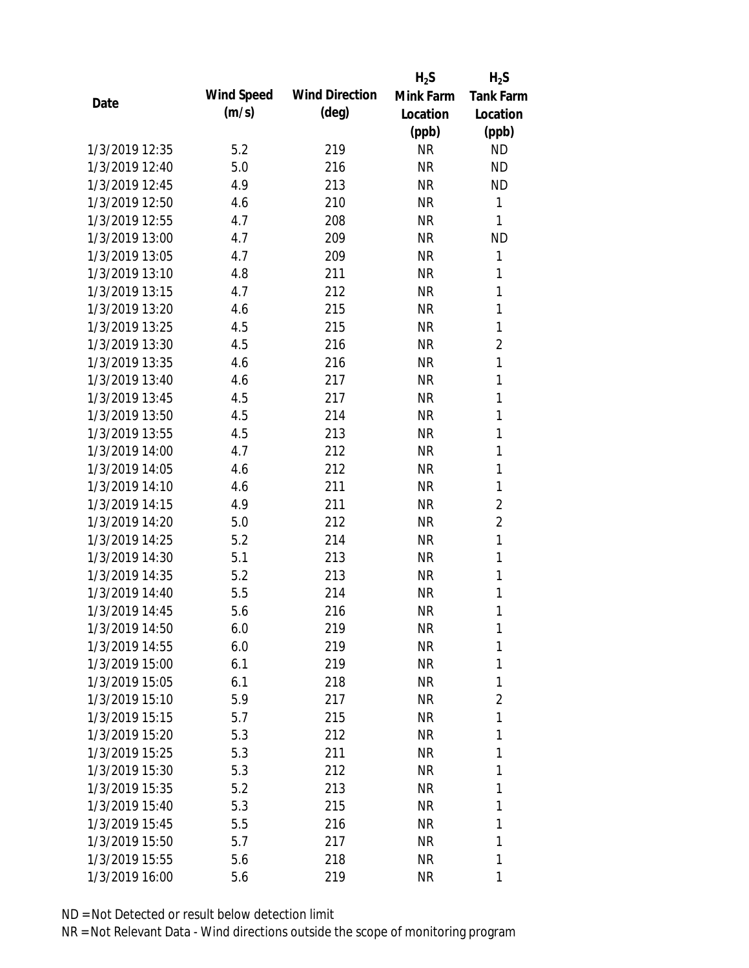|                |            |                       | $H_2S$    | $H_2S$           |
|----------------|------------|-----------------------|-----------|------------------|
| Date           | Wind Speed | <b>Wind Direction</b> | Mink Farm | <b>Tank Farm</b> |
|                | (m/s)      | $(\text{deg})$        | Location  | Location         |
|                |            |                       | (ppb)     | (ppb)            |
| 1/3/2019 12:35 | 5.2        | 219                   | <b>NR</b> | <b>ND</b>        |
| 1/3/2019 12:40 | 5.0        | 216                   | <b>NR</b> | <b>ND</b>        |
| 1/3/2019 12:45 | 4.9        | 213                   | <b>NR</b> | <b>ND</b>        |
| 1/3/2019 12:50 | 4.6        | 210                   | <b>NR</b> | $\mathbf{1}$     |
| 1/3/2019 12:55 | 4.7        | 208                   | <b>NR</b> | 1                |
| 1/3/2019 13:00 | 4.7        | 209                   | <b>NR</b> | <b>ND</b>        |
| 1/3/2019 13:05 | 4.7        | 209                   | <b>NR</b> | 1                |
| 1/3/2019 13:10 | 4.8        | 211                   | <b>NR</b> | $\mathbf{1}$     |
| 1/3/2019 13:15 | 4.7        | 212                   | <b>NR</b> | $\mathbf{1}$     |
| 1/3/2019 13:20 | 4.6        | 215                   | <b>NR</b> | $\mathbf{1}$     |
| 1/3/2019 13:25 | 4.5        | 215                   | <b>NR</b> | 1                |
| 1/3/2019 13:30 | 4.5        | 216                   | <b>NR</b> | $\overline{2}$   |
| 1/3/2019 13:35 | 4.6        | 216                   | <b>NR</b> | $\mathbf{1}$     |
| 1/3/2019 13:40 | 4.6        | 217                   | <b>NR</b> | $\mathbf{1}$     |
| 1/3/2019 13:45 | 4.5        | 217                   | <b>NR</b> | $\mathbf{1}$     |
| 1/3/2019 13:50 | 4.5        | 214                   | <b>NR</b> | $\mathbf{1}$     |
| 1/3/2019 13:55 | 4.5        | 213                   | <b>NR</b> | $\mathbf{1}$     |
| 1/3/2019 14:00 | 4.7        | 212                   | <b>NR</b> | $\mathbf{1}$     |
| 1/3/2019 14:05 | 4.6        | 212                   | <b>NR</b> | $\mathbf{1}$     |
| 1/3/2019 14:10 | 4.6        | 211                   | <b>NR</b> | 1                |
| 1/3/2019 14:15 | 4.9        | 211                   | <b>NR</b> | $\overline{2}$   |
| 1/3/2019 14:20 | 5.0        | 212                   | <b>NR</b> | $\overline{2}$   |
| 1/3/2019 14:25 | 5.2        | 214                   | <b>NR</b> | $\mathbf{1}$     |
| 1/3/2019 14:30 | 5.1        | 213                   | <b>NR</b> | $\mathbf{1}$     |
| 1/3/2019 14:35 | 5.2        | 213                   | <b>NR</b> | 1                |
| 1/3/2019 14:40 | 5.5        | 214                   | <b>NR</b> | $\mathbf{1}$     |
| 1/3/2019 14:45 | 5.6        | 216                   | <b>NR</b> | $\mathbf{1}$     |
| 1/3/2019 14:50 | 6.0        | 219                   | <b>NR</b> | 1                |
| 1/3/2019 14:55 | 6.0        | 219                   | <b>NR</b> | 1                |
| 1/3/2019 15:00 | 6.1        | 219                   | NR        | 1                |
| 1/3/2019 15:05 | 6.1        | 218                   | <b>NR</b> | 1                |
| 1/3/2019 15:10 | 5.9        | 217                   | <b>NR</b> | $\overline{2}$   |
| 1/3/2019 15:15 | 5.7        | 215                   | NR        | 1                |
| 1/3/2019 15:20 | 5.3        | 212                   | <b>NR</b> | 1                |
| 1/3/2019 15:25 | 5.3        | 211                   | NR        | 1                |
| 1/3/2019 15:30 | 5.3        | 212                   | NR        | 1                |
| 1/3/2019 15:35 | 5.2        | 213                   | <b>NR</b> | 1                |
| 1/3/2019 15:40 | 5.3        | 215                   | NR        | 1                |
| 1/3/2019 15:45 | 5.5        | 216                   | <b>NR</b> | 1                |
| 1/3/2019 15:50 | 5.7        | 217                   | <b>NR</b> | 1                |
| 1/3/2019 15:55 | 5.6        | 218                   | NR        | 1                |
| 1/3/2019 16:00 |            |                       | <b>NR</b> | 1                |
|                | 5.6        | 219                   |           |                  |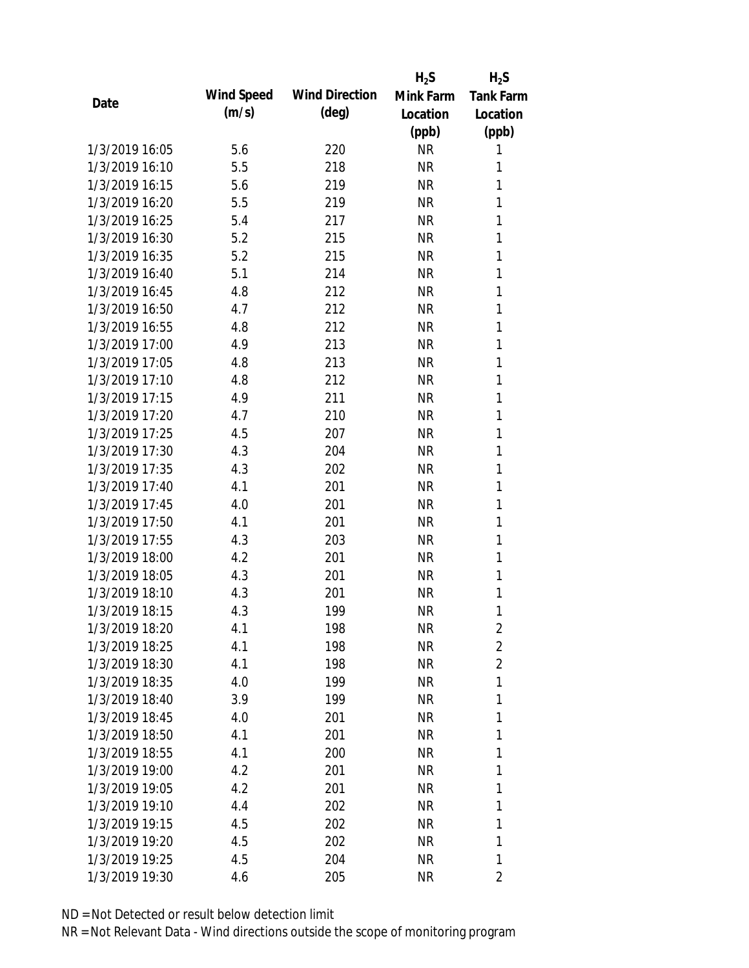|                |            |                       | $H_2S$    | $H_2S$           |
|----------------|------------|-----------------------|-----------|------------------|
| Date           | Wind Speed | <b>Wind Direction</b> | Mink Farm | <b>Tank Farm</b> |
|                | (m/s)      | $(\text{deg})$        | Location  | Location         |
|                |            |                       | (ppb)     | (ppb)            |
| 1/3/2019 16:05 | 5.6        | 220                   | <b>NR</b> | 1                |
| 1/3/2019 16:10 | 5.5        | 218                   | <b>NR</b> | 1                |
| 1/3/2019 16:15 | 5.6        | 219                   | <b>NR</b> | 1                |
| 1/3/2019 16:20 | 5.5        | 219                   | <b>NR</b> | 1                |
| 1/3/2019 16:25 | 5.4        | 217                   | <b>NR</b> | 1                |
| 1/3/2019 16:30 | 5.2        | 215                   | <b>NR</b> | 1                |
| 1/3/2019 16:35 | 5.2        | 215                   | <b>NR</b> | 1                |
| 1/3/2019 16:40 | 5.1        | 214                   | <b>NR</b> | 1                |
| 1/3/2019 16:45 | 4.8        | 212                   | <b>NR</b> | 1                |
| 1/3/2019 16:50 | 4.7        | 212                   | <b>NR</b> | 1                |
| 1/3/2019 16:55 | 4.8        | 212                   | <b>NR</b> | 1                |
| 1/3/2019 17:00 | 4.9        | 213                   | <b>NR</b> | $\mathbf{1}$     |
| 1/3/2019 17:05 | 4.8        | 213                   | <b>NR</b> | 1                |
| 1/3/2019 17:10 | 4.8        | 212                   | <b>NR</b> | 1                |
| 1/3/2019 17:15 | 4.9        | 211                   | <b>NR</b> | 1                |
| 1/3/2019 17:20 | 4.7        | 210                   | <b>NR</b> | 1                |
| 1/3/2019 17:25 | 4.5        | 207                   | <b>NR</b> | 1                |
| 1/3/2019 17:30 | 4.3        | 204                   | <b>NR</b> | 1                |
| 1/3/2019 17:35 | 4.3        | 202                   | <b>NR</b> | 1                |
| 1/3/2019 17:40 | 4.1        | 201                   | <b>NR</b> | 1                |
| 1/3/2019 17:45 | 4.0        | 201                   | <b>NR</b> | 1                |
| 1/3/2019 17:50 | 4.1        | 201                   | <b>NR</b> | 1                |
| 1/3/2019 17:55 | 4.3        | 203                   | <b>NR</b> | 1                |
| 1/3/2019 18:00 | 4.2        | 201                   | <b>NR</b> | 1                |
| 1/3/2019 18:05 | 4.3        | 201                   | <b>NR</b> | 1                |
| 1/3/2019 18:10 | 4.3        | 201                   | <b>NR</b> | 1                |
| 1/3/2019 18:15 | 4.3        | 199                   | <b>NR</b> | 1                |
| 1/3/2019 18:20 | 4.1        | 198                   | <b>NR</b> | $\overline{2}$   |
| 1/3/2019 18:25 | 4.1        | 198                   | <b>NR</b> | $\overline{2}$   |
| 1/3/2019 18:30 | 4.1        | 198                   | NR        | $\overline{2}$   |
| 1/3/2019 18:35 | 4.0        | 199                   | <b>NR</b> | 1                |
| 1/3/2019 18:40 | 3.9        | 199                   | NR        | 1                |
| 1/3/2019 18:45 | 4.0        | 201                   | NR        | 1                |
| 1/3/2019 18:50 | 4.1        | 201                   | NR        | 1                |
| 1/3/2019 18:55 | 4.1        | 200                   | NR        | 1                |
| 1/3/2019 19:00 | 4.2        | 201                   | <b>NR</b> | 1                |
| 1/3/2019 19:05 | 4.2        | 201                   | NR        | 1                |
| 1/3/2019 19:10 | 4.4        | 202                   | NR        | 1                |
| 1/3/2019 19:15 | 4.5        | 202                   | NR        | 1                |
| 1/3/2019 19:20 | 4.5        | 202                   | <b>NR</b> | 1                |
| 1/3/2019 19:25 | 4.5        | 204                   | <b>NR</b> | 1                |
| 1/3/2019 19:30 |            |                       | <b>NR</b> |                  |
|                | 4.6        | 205                   |           | 2                |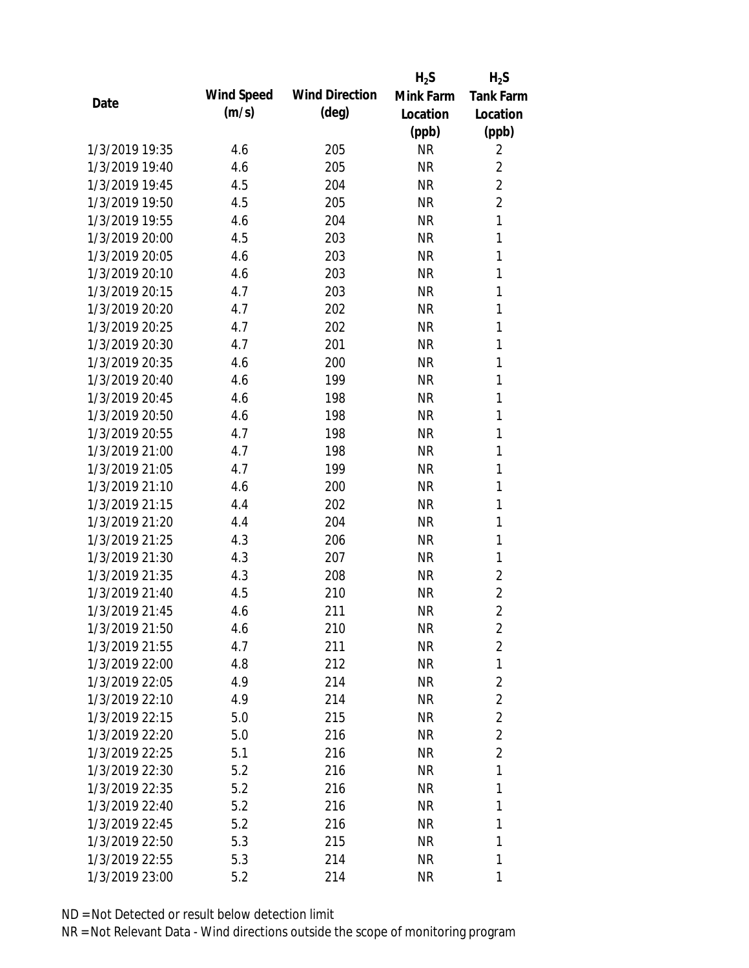|                |            |                       | $H_2S$    | $H_2S$           |
|----------------|------------|-----------------------|-----------|------------------|
| Date           | Wind Speed | <b>Wind Direction</b> | Mink Farm | <b>Tank Farm</b> |
|                | (m/s)      | (deg)                 | Location  | Location         |
|                |            |                       | (ppb)     | (ppb)            |
| 1/3/2019 19:35 | 4.6        | 205                   | <b>NR</b> | 2                |
| 1/3/2019 19:40 | 4.6        | 205                   | <b>NR</b> | $\overline{2}$   |
| 1/3/2019 19:45 | 4.5        | 204                   | <b>NR</b> | $\overline{2}$   |
| 1/3/2019 19:50 | 4.5        | 205                   | <b>NR</b> | $\overline{2}$   |
| 1/3/2019 19:55 | 4.6        | 204                   | <b>NR</b> | $\mathbf{1}$     |
| 1/3/2019 20:00 | 4.5        | 203                   | <b>NR</b> | 1                |
| 1/3/2019 20:05 | 4.6        | 203                   | <b>NR</b> | $\mathbf{1}$     |
| 1/3/2019 20:10 | 4.6        | 203                   | <b>NR</b> | 1                |
| 1/3/2019 20:15 | 4.7        | 203                   | <b>NR</b> | 1                |
| 1/3/2019 20:20 | 4.7        | 202                   | <b>NR</b> | 1                |
| 1/3/2019 20:25 | 4.7        | 202                   | <b>NR</b> | 1                |
| 1/3/2019 20:30 | 4.7        | 201                   | <b>NR</b> | 1                |
| 1/3/2019 20:35 | 4.6        | 200                   | <b>NR</b> | 1                |
| 1/3/2019 20:40 | 4.6        | 199                   | <b>NR</b> | 1                |
| 1/3/2019 20:45 | 4.6        | 198                   | <b>NR</b> | 1                |
| 1/3/2019 20:50 | 4.6        | 198                   | <b>NR</b> | 1                |
| 1/3/2019 20:55 | 4.7        | 198                   | <b>NR</b> | 1                |
| 1/3/2019 21:00 | 4.7        | 198                   | <b>NR</b> | 1                |
| 1/3/2019 21:05 | 4.7        | 199                   | <b>NR</b> | $\mathbf{1}$     |
| 1/3/2019 21:10 | 4.6        | 200                   | <b>NR</b> | 1                |
| 1/3/2019 21:15 | 4.4        | 202                   | <b>NR</b> | 1                |
| 1/3/2019 21:20 | 4.4        | 204                   | <b>NR</b> | 1                |
| 1/3/2019 21:25 | 4.3        | 206                   | <b>NR</b> | 1                |
| 1/3/2019 21:30 | 4.3        | 207                   | <b>NR</b> | 1                |
| 1/3/2019 21:35 | 4.3        | 208                   | <b>NR</b> | $\overline{2}$   |
| 1/3/2019 21:40 | 4.5        | 210                   | <b>NR</b> | $\overline{2}$   |
| 1/3/2019 21:45 | 4.6        | 211                   | <b>NR</b> | $\overline{2}$   |
| 1/3/2019 21:50 | 4.6        | 210                   | <b>NR</b> | $\overline{2}$   |
| 1/3/2019 21:55 | 4.7        | 211                   | <b>NR</b> | $\overline{2}$   |
| 1/3/2019 22:00 | 4.8        | 212                   | NR        | 1                |
| 1/3/2019 22:05 | 4.9        | 214                   | <b>NR</b> | $\overline{2}$   |
| 1/3/2019 22:10 | 4.9        | 214                   | NR        | $\overline{2}$   |
| 1/3/2019 22:15 | 5.0        | 215                   | NR        | $\overline{2}$   |
| 1/3/2019 22:20 | 5.0        | 216                   | NR        | $\overline{2}$   |
| 1/3/2019 22:25 | 5.1        | 216                   | NR        | $\overline{2}$   |
| 1/3/2019 22:30 | 5.2        | 216                   | NR        | 1                |
| 1/3/2019 22:35 | 5.2        | 216                   | NR        | 1                |
| 1/3/2019 22:40 | 5.2        | 216                   | NR        | 1                |
| 1/3/2019 22:45 | 5.2        | 216                   | NR        | 1                |
| 1/3/2019 22:50 | 5.3        | 215                   | NR        | 1                |
| 1/3/2019 22:55 | 5.3        | 214                   | <b>NR</b> | 1                |
| 1/3/2019 23:00 | 5.2        | 214                   | <b>NR</b> | 1                |
|                |            |                       |           |                  |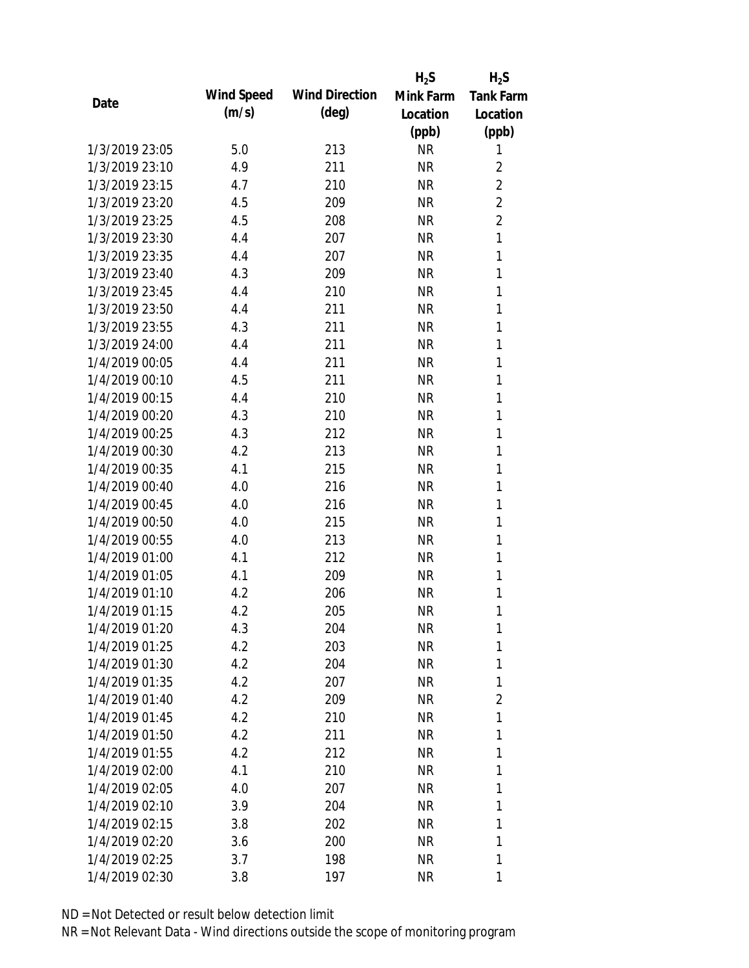|                |            |                       | $H_2S$    | $H_2S$           |
|----------------|------------|-----------------------|-----------|------------------|
| Date           | Wind Speed | <b>Wind Direction</b> | Mink Farm | <b>Tank Farm</b> |
|                | (m/s)      | (deg)                 | Location  | Location         |
|                |            |                       | (ppb)     | (ppb)            |
| 1/3/2019 23:05 | 5.0        | 213                   | <b>NR</b> | 1                |
| 1/3/2019 23:10 | 4.9        | 211                   | <b>NR</b> | $\overline{2}$   |
| 1/3/2019 23:15 | 4.7        | 210                   | <b>NR</b> | $\overline{2}$   |
| 1/3/2019 23:20 | 4.5        | 209                   | <b>NR</b> | $\overline{2}$   |
| 1/3/2019 23:25 | 4.5        | 208                   | <b>NR</b> | $\overline{2}$   |
| 1/3/2019 23:30 | 4.4        | 207                   | <b>NR</b> | $\mathbf{1}$     |
| 1/3/2019 23:35 | 4.4        | 207                   | <b>NR</b> | $\mathbf{1}$     |
| 1/3/2019 23:40 | 4.3        | 209                   | <b>NR</b> | 1                |
| 1/3/2019 23:45 | 4.4        | 210                   | <b>NR</b> | 1                |
| 1/3/2019 23:50 | 4.4        | 211                   | <b>NR</b> | 1                |
| 1/3/2019 23:55 | 4.3        | 211                   | <b>NR</b> | 1                |
| 1/3/2019 24:00 | 4.4        | 211                   | <b>NR</b> | 1                |
| 1/4/2019 00:05 | 4.4        | 211                   | <b>NR</b> | 1                |
| 1/4/2019 00:10 | 4.5        | 211                   | <b>NR</b> | 1                |
| 1/4/2019 00:15 | 4.4        | 210                   | <b>NR</b> | 1                |
| 1/4/2019 00:20 | 4.3        | 210                   | <b>NR</b> | 1                |
| 1/4/2019 00:25 | 4.3        | 212                   | <b>NR</b> | 1                |
| 1/4/2019 00:30 | 4.2        | 213                   | <b>NR</b> | 1                |
| 1/4/2019 00:35 | 4.1        | 215                   | <b>NR</b> | $\mathbf{1}$     |
| 1/4/2019 00:40 | 4.0        | 216                   | <b>NR</b> | 1                |
| 1/4/2019 00:45 | 4.0        | 216                   | <b>NR</b> | 1                |
| 1/4/2019 00:50 | 4.0        | 215                   | <b>NR</b> | 1                |
| 1/4/2019 00:55 | 4.0        | 213                   | <b>NR</b> | 1                |
| 1/4/2019 01:00 | 4.1        | 212                   | <b>NR</b> | 1                |
| 1/4/2019 01:05 | 4.1        | 209                   | <b>NR</b> | 1                |
| 1/4/2019 01:10 | 4.2        | 206                   | <b>NR</b> | 1                |
| 1/4/2019 01:15 | 4.2        | 205                   | <b>NR</b> | 1                |
| 1/4/2019 01:20 | 4.3        | 204                   | <b>NR</b> | 1                |
| 1/4/2019 01:25 | 4.2        | 203                   | <b>NR</b> | 1                |
| 1/4/2019 01:30 | 4.2        | 204                   | <b>NR</b> | 1                |
| 1/4/2019 01:35 | 4.2        | 207                   | <b>NR</b> | 1                |
| 1/4/2019 01:40 | 4.2        | 209                   | NR        | $\overline{2}$   |
| 1/4/2019 01:45 | 4.2        | 210                   | NR        | 1                |
| 1/4/2019 01:50 | 4.2        | 211                   | NR        | 1                |
| 1/4/2019 01:55 | 4.2        | 212                   | NR        | 1                |
| 1/4/2019 02:00 | 4.1        | 210                   | <b>NR</b> | 1                |
| 1/4/2019 02:05 | 4.0        | 207                   | <b>NR</b> | 1                |
| 1/4/2019 02:10 | 3.9        | 204                   | NR        | 1                |
| 1/4/2019 02:15 | 3.8        | 202                   | NR        | 1                |
| 1/4/2019 02:20 | 3.6        | 200                   | NR        | 1                |
| 1/4/2019 02:25 | 3.7        | 198                   | <b>NR</b> | 1                |
| 1/4/2019 02:30 | 3.8        | 197                   | <b>NR</b> | 1                |
|                |            |                       |           |                  |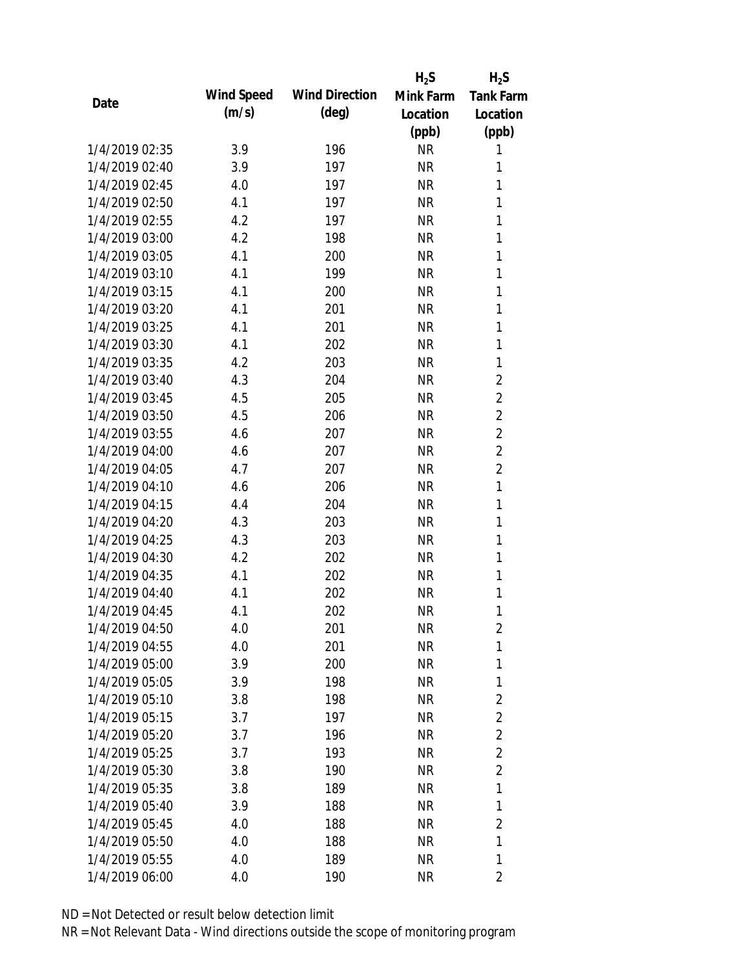|                |            |                       | $H_2S$    | $H_2S$           |
|----------------|------------|-----------------------|-----------|------------------|
| Date           | Wind Speed | <b>Wind Direction</b> | Mink Farm | <b>Tank Farm</b> |
|                | (m/s)      | (deg)                 | Location  | Location         |
|                |            |                       | (ppb)     | (ppb)            |
| 1/4/2019 02:35 | 3.9        | 196                   | <b>NR</b> | 1                |
| 1/4/2019 02:40 | 3.9        | 197                   | <b>NR</b> | 1                |
| 1/4/2019 02:45 | 4.0        | 197                   | <b>NR</b> | 1                |
| 1/4/2019 02:50 | 4.1        | 197                   | <b>NR</b> | 1                |
| 1/4/2019 02:55 | 4.2        | 197                   | <b>NR</b> | 1                |
| 1/4/2019 03:00 | 4.2        | 198                   | <b>NR</b> | $\mathbf{1}$     |
| 1/4/2019 03:05 | 4.1        | 200                   | <b>NR</b> | 1                |
| 1/4/2019 03:10 | 4.1        | 199                   | <b>NR</b> | $\mathbf{1}$     |
| 1/4/2019 03:15 | 4.1        | 200                   | <b>NR</b> | 1                |
| 1/4/2019 03:20 | 4.1        | 201                   | <b>NR</b> | $\mathbf{1}$     |
| 1/4/2019 03:25 | 4.1        | 201                   | <b>NR</b> | 1                |
| 1/4/2019 03:30 | 4.1        | 202                   | <b>NR</b> | 1                |
| 1/4/2019 03:35 | 4.2        | 203                   | <b>NR</b> | $\mathbf{1}$     |
| 1/4/2019 03:40 | 4.3        | 204                   | <b>NR</b> | $\overline{2}$   |
| 1/4/2019 03:45 | 4.5        | 205                   | <b>NR</b> | $\overline{2}$   |
| 1/4/2019 03:50 | 4.5        | 206                   | <b>NR</b> | $\overline{2}$   |
| 1/4/2019 03:55 | 4.6        | 207                   | <b>NR</b> | $\overline{2}$   |
| 1/4/2019 04:00 | 4.6        | 207                   | <b>NR</b> | $\overline{2}$   |
| 1/4/2019 04:05 | 4.7        | 207                   | <b>NR</b> | $\overline{2}$   |
| 1/4/2019 04:10 | 4.6        | 206                   | <b>NR</b> | $\mathbf{1}$     |
| 1/4/2019 04:15 | 4.4        | 204                   | <b>NR</b> | $\mathbf{1}$     |
| 1/4/2019 04:20 | 4.3        | 203                   | <b>NR</b> | $\mathbf{1}$     |
| 1/4/2019 04:25 | 4.3        | 203                   | <b>NR</b> | 1                |
| 1/4/2019 04:30 | 4.2        | 202                   | <b>NR</b> | 1                |
| 1/4/2019 04:35 | 4.1        | 202                   | <b>NR</b> | 1                |
| 1/4/2019 04:40 | 4.1        | 202                   | <b>NR</b> | 1                |
| 1/4/2019 04:45 | 4.1        | 202                   | <b>NR</b> | 1                |
| 1/4/2019 04:50 | 4.0        | 201                   | <b>NR</b> | $\overline{2}$   |
| 1/4/2019 04:55 | 4.0        | 201                   | <b>NR</b> | $\mathbf{1}$     |
| 1/4/2019 05:00 | 3.9        | 200                   | <b>NR</b> | $\mathbf{1}$     |
| 1/4/2019 05:05 | 3.9        | 198                   | <b>NR</b> | 1                |
| 1/4/2019 05:10 | 3.8        | 198                   | <b>NR</b> | $\overline{2}$   |
| 1/4/2019 05:15 | 3.7        | 197                   | <b>NR</b> | $\overline{2}$   |
| 1/4/2019 05:20 | 3.7        | 196                   | <b>NR</b> | $\overline{2}$   |
| 1/4/2019 05:25 | 3.7        | 193                   | <b>NR</b> | $\overline{2}$   |
| 1/4/2019 05:30 | 3.8        | 190                   | <b>NR</b> | $\overline{2}$   |
| 1/4/2019 05:35 | 3.8        | 189                   | <b>NR</b> | 1                |
| 1/4/2019 05:40 | 3.9        | 188                   | <b>NR</b> | 1                |
| 1/4/2019 05:45 | 4.0        | 188                   | <b>NR</b> | $\overline{2}$   |
| 1/4/2019 05:50 | 4.0        | 188                   | <b>NR</b> | 1                |
| 1/4/2019 05:55 | 4.0        | 189                   | <b>NR</b> | 1                |
| 1/4/2019 06:00 | 4.0        | 190                   | <b>NR</b> | 2                |
|                |            |                       |           |                  |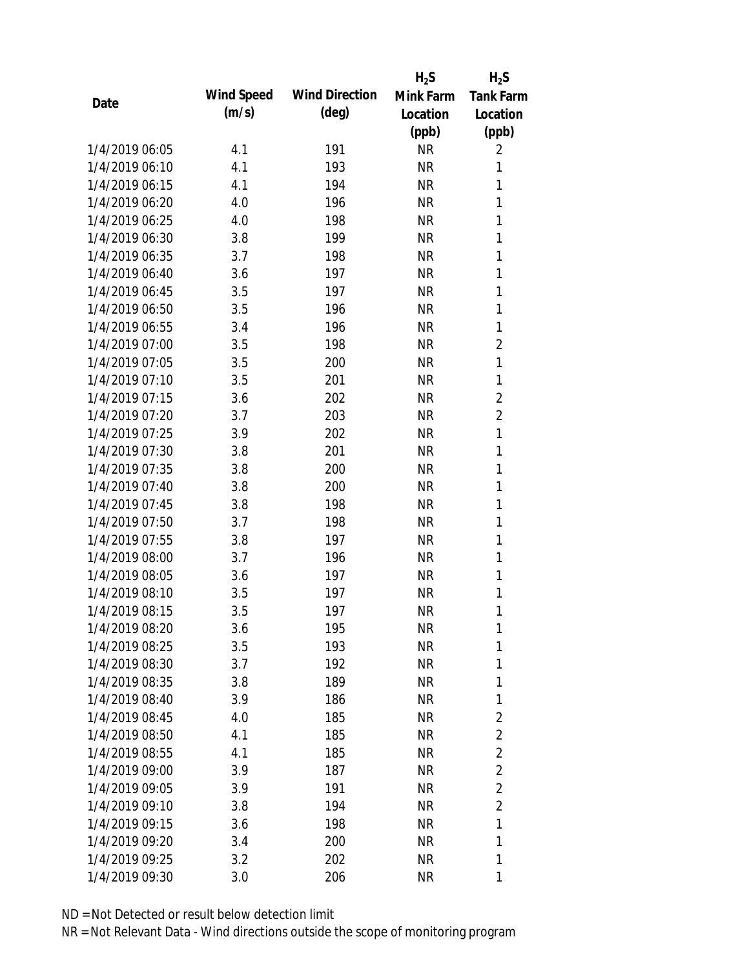|                |            |                       | $H_2S$    | $H_2S$           |
|----------------|------------|-----------------------|-----------|------------------|
| Date           | Wind Speed | <b>Wind Direction</b> | Mink Farm | <b>Tank Farm</b> |
|                | (m/s)      | $(\text{deg})$        | Location  | Location         |
|                |            |                       | (ppb)     | (ppb)            |
| 1/4/2019 06:05 | 4.1        | 191                   | <b>NR</b> | 2                |
| 1/4/2019 06:10 | 4.1        | 193                   | <b>NR</b> | 1                |
| 1/4/2019 06:15 | 4.1        | 194                   | <b>NR</b> | 1                |
| 1/4/2019 06:20 | 4.0        | 196                   | <b>NR</b> | 1                |
| 1/4/2019 06:25 | 4.0        | 198                   | <b>NR</b> | 1                |
| 1/4/2019 06:30 | 3.8        | 199                   | <b>NR</b> | 1                |
| 1/4/2019 06:35 | 3.7        | 198                   | <b>NR</b> | $\mathbf{1}$     |
| 1/4/2019 06:40 | 3.6        | 197                   | <b>NR</b> | 1                |
| 1/4/2019 06:45 | 3.5        | 197                   | <b>NR</b> | 1                |
| 1/4/2019 06:50 | 3.5        | 196                   | <b>NR</b> | 1                |
| 1/4/2019 06:55 | 3.4        | 196                   | <b>NR</b> | 1                |
| 1/4/2019 07:00 | 3.5        | 198                   | <b>NR</b> | $\overline{2}$   |
| 1/4/2019 07:05 | 3.5        | 200                   | <b>NR</b> | $\mathbf{1}$     |
| 1/4/2019 07:10 | 3.5        | 201                   | <b>NR</b> | $\mathbf{1}$     |
| 1/4/2019 07:15 | 3.6        | 202                   | <b>NR</b> | $\overline{2}$   |
| 1/4/2019 07:20 | 3.7        | 203                   | <b>NR</b> | $\overline{2}$   |
| 1/4/2019 07:25 | 3.9        | 202                   | <b>NR</b> | $\mathbf{1}$     |
| 1/4/2019 07:30 | 3.8        | 201                   | <b>NR</b> | $\mathbf{1}$     |
| 1/4/2019 07:35 | 3.8        | 200                   | <b>NR</b> | $\mathbf{1}$     |
| 1/4/2019 07:40 | 3.8        | 200                   | <b>NR</b> | 1                |
| 1/4/2019 07:45 | 3.8        | 198                   | <b>NR</b> | 1                |
| 1/4/2019 07:50 | 3.7        | 198                   | <b>NR</b> | 1                |
| 1/4/2019 07:55 | 3.8        | 197                   | <b>NR</b> | 1                |
| 1/4/2019 08:00 | 3.7        | 196                   | <b>NR</b> | 1                |
| 1/4/2019 08:05 | 3.6        | 197                   | <b>NR</b> | 1                |
| 1/4/2019 08:10 | 3.5        | 197                   | <b>NR</b> | 1                |
| 1/4/2019 08:15 | 3.5        | 197                   | <b>NR</b> | 1                |
| 1/4/2019 08:20 | 3.6        | 195                   | <b>NR</b> | 1                |
| 1/4/2019 08:25 | 3.5        | 193                   | <b>NR</b> | 1                |
| 1/4/2019 08:30 | 3.7        | 192                   | <b>NR</b> | 1                |
| 1/4/2019 08:35 | 3.8        | 189                   | <b>NR</b> | 1                |
| 1/4/2019 08:40 | 3.9        | 186                   | NR        | 1                |
| 1/4/2019 08:45 | 4.0        | 185                   | NR        | $\overline{2}$   |
| 1/4/2019 08:50 | 4.1        | 185                   | NR        | $\overline{2}$   |
| 1/4/2019 08:55 | 4.1        | 185                   | <b>NR</b> | $\overline{2}$   |
| 1/4/2019 09:00 | 3.9        | 187                   | <b>NR</b> | $\overline{2}$   |
| 1/4/2019 09:05 | 3.9        | 191                   | <b>NR</b> | $\overline{2}$   |
| 1/4/2019 09:10 | 3.8        | 194                   | NR        | $\overline{2}$   |
| 1/4/2019 09:15 | 3.6        | 198                   | NR        | 1                |
| 1/4/2019 09:20 | 3.4        | 200                   | <b>NR</b> | 1                |
| 1/4/2019 09:25 | 3.2        | 202                   | <b>NR</b> | 1                |
| 1/4/2019 09:30 | 3.0        | 206                   | <b>NR</b> | 1                |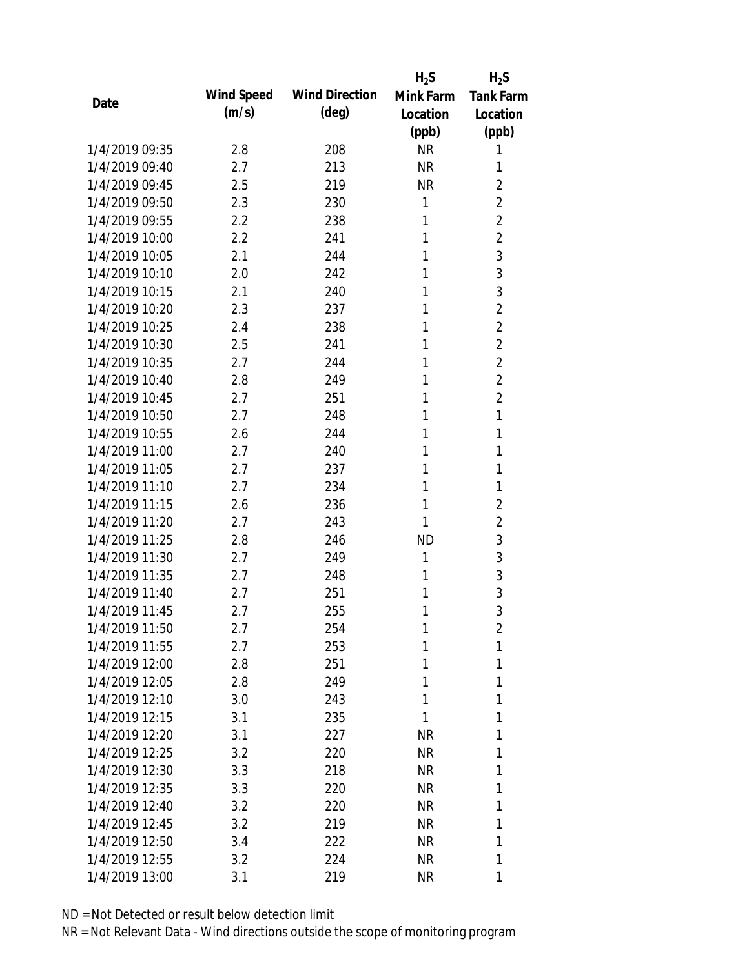|                |            |                       | $H_2S$    | $H_2S$           |
|----------------|------------|-----------------------|-----------|------------------|
| Date           | Wind Speed | <b>Wind Direction</b> | Mink Farm | <b>Tank Farm</b> |
|                | (m/s)      | $(\text{deg})$        | Location  | Location         |
|                |            |                       | (ppb)     | (ppb)            |
| 1/4/2019 09:35 | 2.8        | 208                   | <b>NR</b> | 1                |
| 1/4/2019 09:40 | 2.7        | 213                   | <b>NR</b> | 1                |
| 1/4/2019 09:45 | 2.5        | 219                   | <b>NR</b> | $\overline{2}$   |
| 1/4/2019 09:50 | 2.3        | 230                   | 1         | $\overline{2}$   |
| 1/4/2019 09:55 | 2.2        | 238                   | 1         | $\overline{2}$   |
| 1/4/2019 10:00 | 2.2        | 241                   | 1         | $\overline{2}$   |
| 1/4/2019 10:05 | 2.1        | 244                   | 1         | 3                |
| 1/4/2019 10:10 | 2.0        | 242                   | 1         | $\mathfrak{Z}$   |
| 1/4/2019 10:15 | 2.1        | 240                   | 1         | $\mathfrak{Z}$   |
| 1/4/2019 10:20 | 2.3        | 237                   | 1         | $\overline{2}$   |
| 1/4/2019 10:25 | 2.4        | 238                   | 1         | $\overline{2}$   |
| 1/4/2019 10:30 | 2.5        | 241                   | 1         | $\overline{2}$   |
| 1/4/2019 10:35 | 2.7        | 244                   | 1         | $\overline{2}$   |
| 1/4/2019 10:40 | 2.8        | 249                   | 1         | $\overline{2}$   |
| 1/4/2019 10:45 | 2.7        | 251                   | 1         | $\overline{2}$   |
| 1/4/2019 10:50 | 2.7        | 248                   | 1         | 1                |
| 1/4/2019 10:55 | 2.6        | 244                   | 1         | 1                |
| 1/4/2019 11:00 | 2.7        | 240                   | 1         | 1                |
| 1/4/2019 11:05 | 2.7        | 237                   | 1         | 1                |
| 1/4/2019 11:10 | 2.7        | 234                   | 1         | 1                |
| 1/4/2019 11:15 | 2.6        | 236                   | 1         | $\sqrt{2}$       |
| 1/4/2019 11:20 | 2.7        | 243                   | 1         | $\overline{2}$   |
| 1/4/2019 11:25 | 2.8        | 246                   | <b>ND</b> | $\mathfrak{Z}$   |
| 1/4/2019 11:30 | 2.7        | 249                   | 1         | 3                |
| 1/4/2019 11:35 | 2.7        | 248                   | 1         | 3                |
| 1/4/2019 11:40 | 2.7        | 251                   | 1         | 3                |
| 1/4/2019 11:45 | 2.7        | 255                   | 1         | 3                |
| 1/4/2019 11:50 | 2.7        | 254                   | 1         | $\overline{2}$   |
| 1/4/2019 11:55 | 2.7        | 253                   | 1         | 1                |
| 1/4/2019 12:00 | 2.8        | 251                   | 1         | 1                |
| 1/4/2019 12:05 | 2.8        | 249                   | 1         | 1                |
| 1/4/2019 12:10 | 3.0        | 243                   | 1         | 1                |
| 1/4/2019 12:15 | 3.1        | 235                   | 1         | 1                |
| 1/4/2019 12:20 | 3.1        | 227                   | <b>NR</b> | 1                |
| 1/4/2019 12:25 | 3.2        | 220                   | NR        | 1                |
| 1/4/2019 12:30 | 3.3        | 218                   | <b>NR</b> | 1                |
| 1/4/2019 12:35 | 3.3        | 220                   | NR        | 1                |
| 1/4/2019 12:40 | 3.2        | 220                   | <b>NR</b> | 1                |
| 1/4/2019 12:45 | 3.2        | 219                   | <b>NR</b> | 1                |
| 1/4/2019 12:50 | 3.4        | 222                   | <b>NR</b> | 1                |
| 1/4/2019 12:55 | 3.2        | 224                   | NR        | 1                |
| 1/4/2019 13:00 | 3.1        | 219                   | <b>NR</b> | 1                |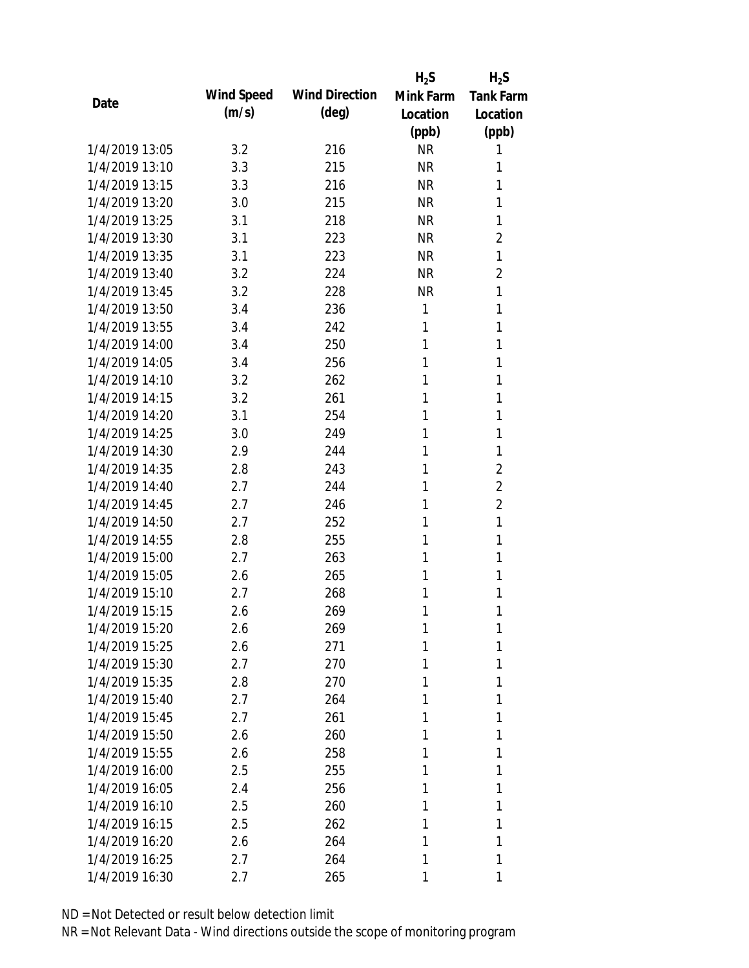|                |            |                       | $H_2S$    | $H_2S$           |
|----------------|------------|-----------------------|-----------|------------------|
| Date           | Wind Speed | <b>Wind Direction</b> | Mink Farm | <b>Tank Farm</b> |
|                | (m/s)      | $(\text{deg})$        | Location  | Location         |
|                |            |                       | (ppb)     | (ppb)            |
| 1/4/2019 13:05 | 3.2        | 216                   | <b>NR</b> | 1                |
| 1/4/2019 13:10 | 3.3        | 215                   | <b>NR</b> | 1                |
| 1/4/2019 13:15 | 3.3        | 216                   | <b>NR</b> | 1                |
| 1/4/2019 13:20 | 3.0        | 215                   | <b>NR</b> | 1                |
| 1/4/2019 13:25 | 3.1        | 218                   | <b>NR</b> | 1                |
| 1/4/2019 13:30 | 3.1        | 223                   | <b>NR</b> | 2                |
| 1/4/2019 13:35 | 3.1        | 223                   | <b>NR</b> | 1                |
| 1/4/2019 13:40 | 3.2        | 224                   | <b>NR</b> | 2                |
| 1/4/2019 13:45 | 3.2        | 228                   | <b>NR</b> | 1                |
| 1/4/2019 13:50 | 3.4        | 236                   | 1         | 1                |
| 1/4/2019 13:55 | 3.4        | 242                   | 1         | 1                |
| 1/4/2019 14:00 | 3.4        | 250                   | 1         | 1                |
| 1/4/2019 14:05 | 3.4        | 256                   | 1         | 1                |
| 1/4/2019 14:10 | 3.2        | 262                   | 1         | 1                |
| 1/4/2019 14:15 | 3.2        | 261                   | 1         | 1                |
| 1/4/2019 14:20 | 3.1        | 254                   | 1         | 1                |
| 1/4/2019 14:25 | 3.0        | 249                   | 1         | 1                |
| 1/4/2019 14:30 | 2.9        | 244                   | 1         | 1                |
| 1/4/2019 14:35 | 2.8        | 243                   | 1         | $\overline{2}$   |
| 1/4/2019 14:40 | 2.7        | 244                   | 1         | $\overline{2}$   |
| 1/4/2019 14:45 | 2.7        | 246                   | 1         | $\overline{2}$   |
| 1/4/2019 14:50 | 2.7        | 252                   | 1         | 1                |
| 1/4/2019 14:55 | 2.8        | 255                   | 1         | 1                |
| 1/4/2019 15:00 | 2.7        | 263                   | 1         | 1                |
| 1/4/2019 15:05 | 2.6        | 265                   | 1         | 1                |
| 1/4/2019 15:10 | 2.7        | 268                   | 1         | 1                |
| 1/4/2019 15:15 | 2.6        | 269                   | 1         | 1                |
| 1/4/2019 15:20 | 2.6        | 269                   | 1         | 1                |
| 1/4/2019 15:25 | 2.6        | 271                   | 1         | 1                |
| 1/4/2019 15:30 | 2.7        | 270                   | 1         | 1                |
| 1/4/2019 15:35 | 2.8        | 270                   | 1         | 1                |
| 1/4/2019 15:40 | 2.7        | 264                   | 1         | 1                |
| 1/4/2019 15:45 | 2.7        | 261                   | 1         | 1                |
| 1/4/2019 15:50 | 2.6        | 260                   | 1         | 1                |
| 1/4/2019 15:55 | 2.6        | 258                   | 1         | 1                |
| 1/4/2019 16:00 | 2.5        | 255                   | 1         | 1                |
| 1/4/2019 16:05 | 2.4        | 256                   | 1         | 1                |
| 1/4/2019 16:10 | 2.5        | 260                   | 1         | 1                |
| 1/4/2019 16:15 | 2.5        | 262                   | 1         | 1                |
| 1/4/2019 16:20 | 2.6        | 264                   | 1         | 1                |
| 1/4/2019 16:25 | 2.7        | 264                   | 1         | 1                |
| 1/4/2019 16:30 | 2.7        | 265                   | 1         | 1                |
|                |            |                       |           |                  |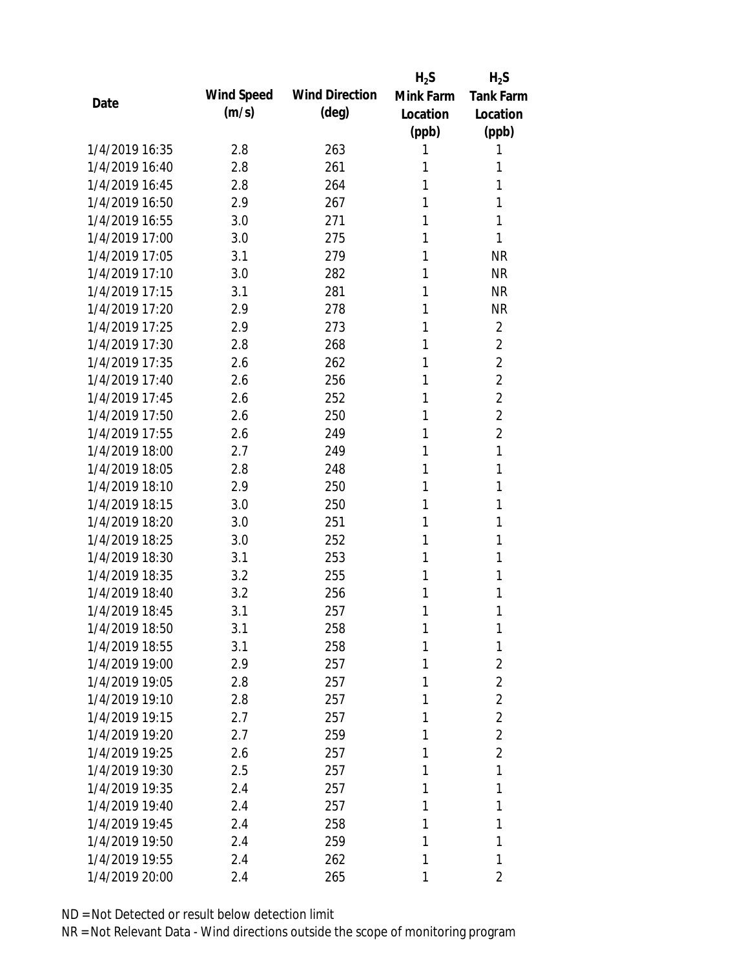|                |            |                       | $H_2S$    | $H_2S$           |
|----------------|------------|-----------------------|-----------|------------------|
| Date           | Wind Speed | <b>Wind Direction</b> | Mink Farm | <b>Tank Farm</b> |
|                | (m/s)      | (deg)                 | Location  | Location         |
|                |            |                       | (ppb)     | (ppb)            |
| 1/4/2019 16:35 | 2.8        | 263                   | 1         | 1                |
| 1/4/2019 16:40 | 2.8        | 261                   | 1         | 1                |
| 1/4/2019 16:45 | 2.8        | 264                   | 1         | 1                |
| 1/4/2019 16:50 | 2.9        | 267                   | 1         | 1                |
| 1/4/2019 16:55 | 3.0        | 271                   | 1         | 1                |
| 1/4/2019 17:00 | 3.0        | 275                   | 1         | 1                |
| 1/4/2019 17:05 | 3.1        | 279                   | 1         | <b>NR</b>        |
| 1/4/2019 17:10 | 3.0        | 282                   | 1         | <b>NR</b>        |
| 1/4/2019 17:15 | 3.1        | 281                   | 1         | <b>NR</b>        |
| 1/4/2019 17:20 | 2.9        | 278                   | 1         | <b>NR</b>        |
| 1/4/2019 17:25 | 2.9        | 273                   | 1         | $\overline{2}$   |
| 1/4/2019 17:30 | 2.8        | 268                   | 1         | $\overline{2}$   |
| 1/4/2019 17:35 | 2.6        | 262                   | 1         | $\overline{2}$   |
| 1/4/2019 17:40 | 2.6        | 256                   | 1         | $\overline{2}$   |
| 1/4/2019 17:45 | 2.6        | 252                   | 1         | $\overline{2}$   |
| 1/4/2019 17:50 | 2.6        | 250                   | 1         | $\overline{2}$   |
| 1/4/2019 17:55 | 2.6        | 249                   | 1         | $\overline{2}$   |
| 1/4/2019 18:00 | 2.7        | 249                   | 1         | 1                |
| 1/4/2019 18:05 | 2.8        | 248                   | 1         | 1                |
| 1/4/2019 18:10 | 2.9        | 250                   | 1         | 1                |
| 1/4/2019 18:15 | 3.0        | 250                   | 1         | 1                |
| 1/4/2019 18:20 | 3.0        | 251                   | 1         | 1                |
| 1/4/2019 18:25 | 3.0        | 252                   | 1         | 1                |
| 1/4/2019 18:30 | 3.1        | 253                   | 1         | 1                |
| 1/4/2019 18:35 | 3.2        | 255                   | 1         | 1                |
| 1/4/2019 18:40 | 3.2        | 256                   | 1         | 1                |
| 1/4/2019 18:45 | 3.1        | 257                   | 1         | 1                |
| 1/4/2019 18:50 | 3.1        | 258                   | 1         | 1                |
| 1/4/2019 18:55 | 3.1        | 258                   | 1         | 1                |
| 1/4/2019 19:00 | 2.9        | 257                   | 1         | $\overline{2}$   |
| 1/4/2019 19:05 | 2.8        | 257                   | 1         | 2                |
| 1/4/2019 19:10 | 2.8        | 257                   | 1         | $\overline{2}$   |
| 1/4/2019 19:15 | 2.7        | 257                   | 1         | $\overline{2}$   |
| 1/4/2019 19:20 | 2.7        | 259                   | 1         | $\overline{2}$   |
| 1/4/2019 19:25 | 2.6        | 257                   | 1         | $\overline{2}$   |
| 1/4/2019 19:30 | 2.5        | 257                   | 1         | 1                |
| 1/4/2019 19:35 | 2.4        | 257                   | 1         | 1                |
| 1/4/2019 19:40 | 2.4        | 257                   | 1         | 1                |
| 1/4/2019 19:45 | 2.4        | 258                   | 1         | 1                |
| 1/4/2019 19:50 | 2.4        | 259                   | 1         | 1                |
| 1/4/2019 19:55 | 2.4        | 262                   | 1         | 1                |
| 1/4/2019 20:00 |            | 265                   |           | 2                |
|                | 2.4        |                       | 1         |                  |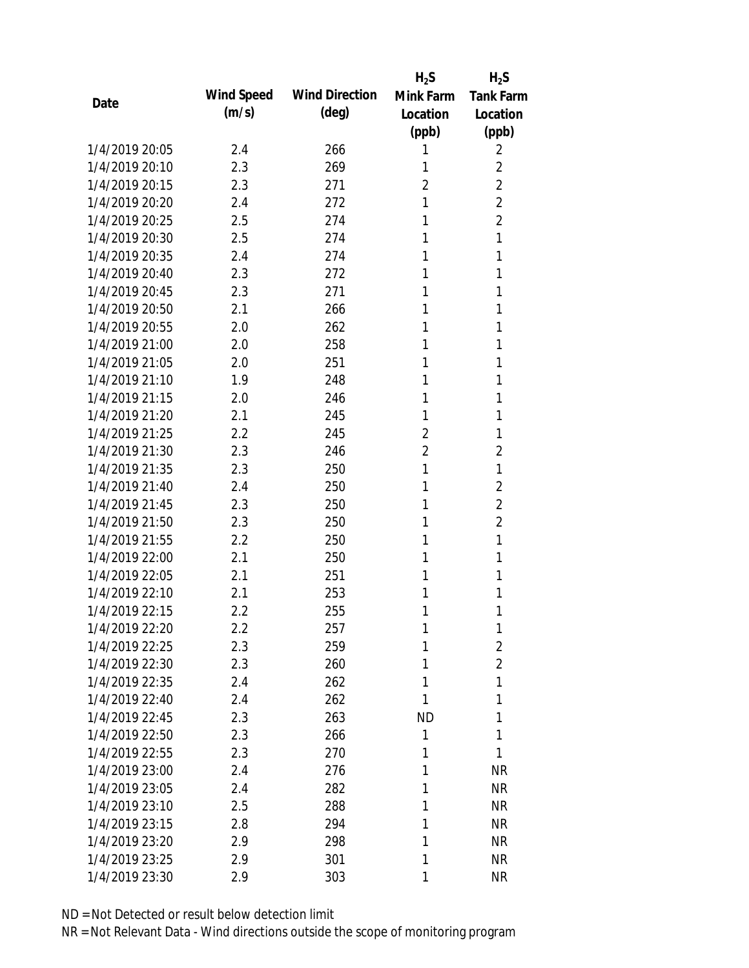|                |            |                       | $H_2S$         | $H_2S$           |
|----------------|------------|-----------------------|----------------|------------------|
| Date           | Wind Speed | <b>Wind Direction</b> | Mink Farm      | <b>Tank Farm</b> |
|                | (m/s)      | (deg)                 | Location       | Location         |
|                |            |                       | (ppb)          | (ppb)            |
| 1/4/2019 20:05 | 2.4        | 266                   | 1              | 2                |
| 1/4/2019 20:10 | 2.3        | 269                   | 1              | 2                |
| 1/4/2019 20:15 | 2.3        | 271                   | $\overline{2}$ | $\overline{2}$   |
| 1/4/2019 20:20 | 2.4        | 272                   | 1              | $\overline{2}$   |
| 1/4/2019 20:25 | 2.5        | 274                   | 1              | $\overline{2}$   |
| 1/4/2019 20:30 | 2.5        | 274                   | 1              | 1                |
| 1/4/2019 20:35 | 2.4        | 274                   | 1              | 1                |
| 1/4/2019 20:40 | 2.3        | 272                   | 1              | 1                |
| 1/4/2019 20:45 | 2.3        | 271                   | 1              | 1                |
| 1/4/2019 20:50 | 2.1        | 266                   | 1              | 1                |
| 1/4/2019 20:55 | 2.0        | 262                   | 1              | 1                |
| 1/4/2019 21:00 | 2.0        | 258                   | 1              | 1                |
| 1/4/2019 21:05 | 2.0        | 251                   | 1              | 1                |
| 1/4/2019 21:10 | 1.9        | 248                   | 1              | 1                |
| 1/4/2019 21:15 | 2.0        | 246                   | 1              | 1                |
| 1/4/2019 21:20 | 2.1        | 245                   | 1              | 1                |
| 1/4/2019 21:25 | 2.2        | 245                   | $\overline{2}$ | 1                |
| 1/4/2019 21:30 | 2.3        | 246                   | $\overline{2}$ | $\overline{2}$   |
| 1/4/2019 21:35 | 2.3        | 250                   | 1              | 1                |
| 1/4/2019 21:40 | 2.4        | 250                   | 1              | $\overline{2}$   |
| 1/4/2019 21:45 | 2.3        | 250                   | 1              | $\overline{2}$   |
| 1/4/2019 21:50 | 2.3        | 250                   | 1              | $\overline{2}$   |
| 1/4/2019 21:55 | 2.2        | 250                   | 1              | 1                |
| 1/4/2019 22:00 | 2.1        | 250                   | 1              | 1                |
| 1/4/2019 22:05 | 2.1        | 251                   | 1              | 1                |
| 1/4/2019 22:10 | 2.1        | 253                   | 1              | 1                |
| 1/4/2019 22:15 | 2.2        | 255                   | 1              | 1                |
| 1/4/2019 22:20 | 2.2        | 257                   | 1              | 1                |
| 1/4/2019 22:25 | 2.3        | 259                   | 1              | $\overline{2}$   |
| 1/4/2019 22:30 | 2.3        | 260                   | 1              | $\overline{2}$   |
| 1/4/2019 22:35 | 2.4        | 262                   | 1              | 1                |
| 1/4/2019 22:40 | 2.4        | 262                   | 1              | 1                |
| 1/4/2019 22:45 | 2.3        | 263                   | <b>ND</b>      | 1                |
| 1/4/2019 22:50 | 2.3        | 266                   | 1              | 1                |
| 1/4/2019 22:55 | 2.3        | 270                   | 1              | 1                |
| 1/4/2019 23:00 | 2.4        | 276                   | 1              | <b>NR</b>        |
| 1/4/2019 23:05 | 2.4        | 282                   | 1              | <b>NR</b>        |
| 1/4/2019 23:10 | 2.5        | 288                   | 1              | <b>NR</b>        |
| 1/4/2019 23:15 | 2.8        | 294                   | 1              | <b>NR</b>        |
| 1/4/2019 23:20 | 2.9        | 298                   | 1              | <b>NR</b>        |
| 1/4/2019 23:25 | 2.9        | 301                   | 1              | <b>NR</b>        |
| 1/4/2019 23:30 | 2.9        | 303                   | 1              | <b>NR</b>        |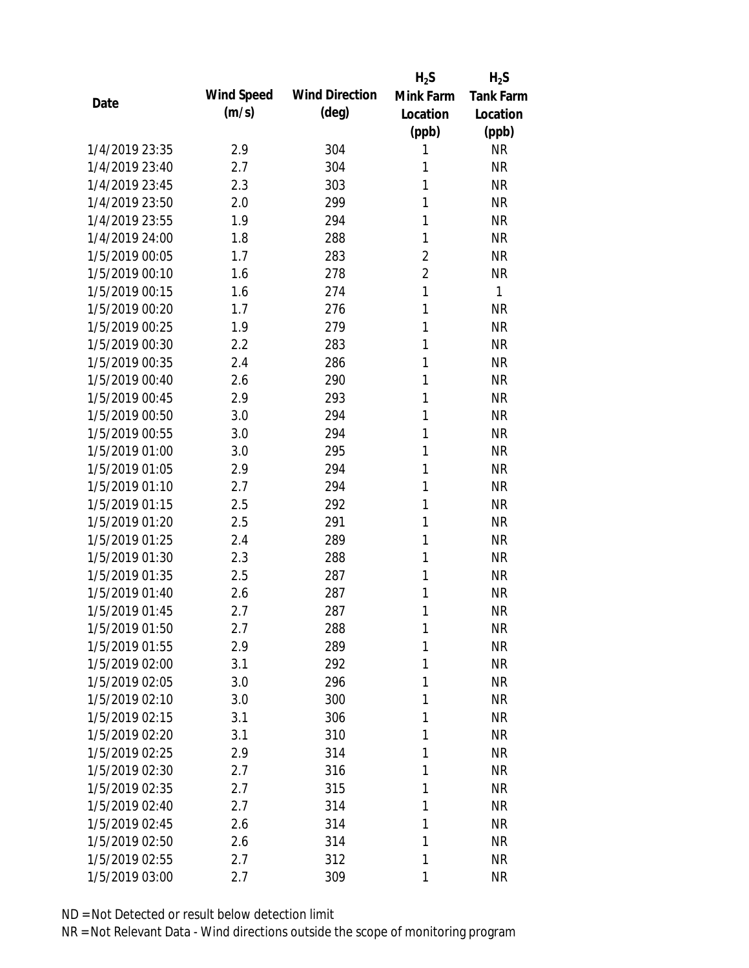|                |            |                       | $H_2S$         | $H_2S$           |
|----------------|------------|-----------------------|----------------|------------------|
| Date           | Wind Speed | <b>Wind Direction</b> | Mink Farm      | <b>Tank Farm</b> |
|                | (m/s)      | (deg)                 | Location       | Location         |
|                |            |                       | (ppb)          | (ppb)            |
| 1/4/2019 23:35 | 2.9        | 304                   | 1              | <b>NR</b>        |
| 1/4/2019 23:40 | 2.7        | 304                   | 1              | <b>NR</b>        |
| 1/4/2019 23:45 | 2.3        | 303                   | 1              | <b>NR</b>        |
| 1/4/2019 23:50 | 2.0        | 299                   | 1              | <b>NR</b>        |
| 1/4/2019 23:55 | 1.9        | 294                   | 1              | <b>NR</b>        |
| 1/4/2019 24:00 | 1.8        | 288                   | 1              | <b>NR</b>        |
| 1/5/2019 00:05 | 1.7        | 283                   | $\overline{2}$ | <b>NR</b>        |
| 1/5/2019 00:10 | 1.6        | 278                   | $\overline{2}$ | <b>NR</b>        |
| 1/5/2019 00:15 | 1.6        | 274                   | $\mathbf{1}$   | 1                |
| 1/5/2019 00:20 | 1.7        | 276                   | 1              | <b>NR</b>        |
| 1/5/2019 00:25 | 1.9        | 279                   | 1              | <b>NR</b>        |
| 1/5/2019 00:30 | 2.2        | 283                   | 1              | <b>NR</b>        |
| 1/5/2019 00:35 | 2.4        | 286                   | 1              | <b>NR</b>        |
| 1/5/2019 00:40 | 2.6        | 290                   | 1              | <b>NR</b>        |
| 1/5/2019 00:45 | 2.9        | 293                   | 1              | <b>NR</b>        |
| 1/5/2019 00:50 | 3.0        | 294                   | 1              | <b>NR</b>        |
| 1/5/2019 00:55 | 3.0        | 294                   | 1              | <b>NR</b>        |
| 1/5/2019 01:00 | 3.0        | 295                   | 1              | <b>NR</b>        |
| 1/5/2019 01:05 | 2.9        | 294                   | 1              | <b>NR</b>        |
| 1/5/2019 01:10 | 2.7        | 294                   | 1              | <b>NR</b>        |
| 1/5/2019 01:15 | 2.5        | 292                   | 1              | <b>NR</b>        |
| 1/5/2019 01:20 | 2.5        | 291                   | 1              | <b>NR</b>        |
| 1/5/2019 01:25 | 2.4        | 289                   | 1              | <b>NR</b>        |
| 1/5/2019 01:30 | 2.3        | 288                   | 1              | <b>NR</b>        |
| 1/5/2019 01:35 | 2.5        | 287                   | 1              | <b>NR</b>        |
| 1/5/2019 01:40 | 2.6        | 287                   | 1              | <b>NR</b>        |
| 1/5/2019 01:45 | 2.7        | 287                   | 1              | <b>NR</b>        |
| 1/5/2019 01:50 | 2.7        | 288                   | 1              | <b>NR</b>        |
| 1/5/2019 01:55 | 2.9        | 289                   | 1              | <b>NR</b>        |
| 1/5/2019 02:00 | 3.1        | 292                   | 1              | <b>NR</b>        |
| 1/5/2019 02:05 | 3.0        | 296                   | 1              | <b>NR</b>        |
| 1/5/2019 02:10 | 3.0        | 300                   | 1              | <b>NR</b>        |
| 1/5/2019 02:15 | 3.1        | 306                   | 1              | <b>NR</b>        |
| 1/5/2019 02:20 | 3.1        | 310                   | 1              | <b>NR</b>        |
| 1/5/2019 02:25 | 2.9        | 314                   | 1              | <b>NR</b>        |
| 1/5/2019 02:30 | 2.7        | 316                   | 1              | <b>NR</b>        |
| 1/5/2019 02:35 | 2.7        | 315                   | 1              | <b>NR</b>        |
| 1/5/2019 02:40 | 2.7        | 314                   | 1              | <b>NR</b>        |
| 1/5/2019 02:45 | 2.6        | 314                   | 1              | <b>NR</b>        |
| 1/5/2019 02:50 | 2.6        | 314                   | 1              | <b>NR</b>        |
| 1/5/2019 02:55 | 2.7        | 312                   | 1              | <b>NR</b>        |
| 1/5/2019 03:00 | 2.7        | 309                   | 1              | <b>NR</b>        |
|                |            |                       |                |                  |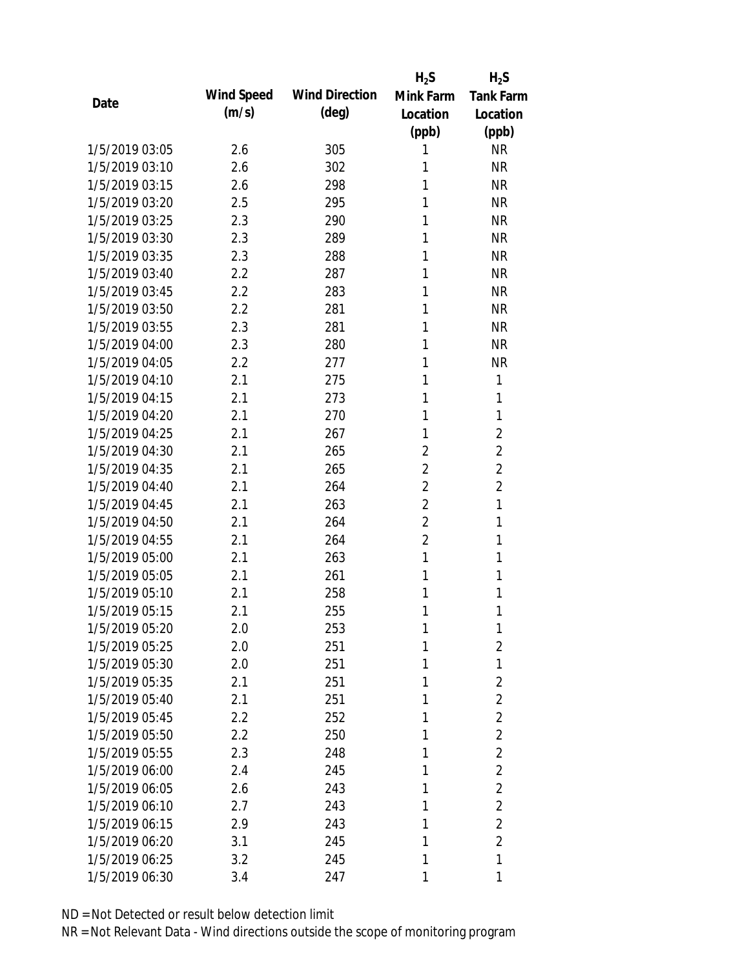|                |            |                       | $H_2S$         | $H_2S$           |
|----------------|------------|-----------------------|----------------|------------------|
| Date           | Wind Speed | <b>Wind Direction</b> | Mink Farm      | <b>Tank Farm</b> |
|                | (m/s)      | $(\text{deg})$        | Location       | Location         |
|                |            |                       | (ppb)          | (ppb)            |
| 1/5/2019 03:05 | 2.6        | 305                   | 1              | <b>NR</b>        |
| 1/5/2019 03:10 | 2.6        | 302                   | 1              | <b>NR</b>        |
| 1/5/2019 03:15 | 2.6        | 298                   | 1              | <b>NR</b>        |
| 1/5/2019 03:20 | 2.5        | 295                   | 1              | <b>NR</b>        |
| 1/5/2019 03:25 | 2.3        | 290                   | 1              | <b>NR</b>        |
| 1/5/2019 03:30 | 2.3        | 289                   | 1              | <b>NR</b>        |
| 1/5/2019 03:35 | 2.3        | 288                   | 1              | <b>NR</b>        |
| 1/5/2019 03:40 | 2.2        | 287                   | 1              | <b>NR</b>        |
| 1/5/2019 03:45 | 2.2        | 283                   | 1              | <b>NR</b>        |
| 1/5/2019 03:50 | 2.2        | 281                   | 1              | <b>NR</b>        |
| 1/5/2019 03:55 | 2.3        | 281                   | 1              | <b>NR</b>        |
| 1/5/2019 04:00 | 2.3        | 280                   | 1              | <b>NR</b>        |
| 1/5/2019 04:05 | 2.2        | 277                   | 1              | <b>NR</b>        |
| 1/5/2019 04:10 | 2.1        | 275                   | 1              | 1                |
| 1/5/2019 04:15 | 2.1        | 273                   | 1              | 1                |
| 1/5/2019 04:20 | 2.1        | 270                   | 1              | 1                |
| 1/5/2019 04:25 | 2.1        | 267                   | 1              | $\overline{2}$   |
| 1/5/2019 04:30 | 2.1        | 265                   | $\overline{2}$ | $\overline{2}$   |
| 1/5/2019 04:35 | 2.1        | 265                   | $\overline{2}$ | $\overline{2}$   |
| 1/5/2019 04:40 | 2.1        | 264                   | $\overline{2}$ | $\overline{2}$   |
| 1/5/2019 04:45 | 2.1        | 263                   | $\overline{2}$ | 1                |
| 1/5/2019 04:50 | 2.1        | 264                   | $\overline{2}$ | 1                |
| 1/5/2019 04:55 | 2.1        | 264                   | $\overline{2}$ | 1                |
| 1/5/2019 05:00 | 2.1        | 263                   | 1              | 1                |
| 1/5/2019 05:05 | 2.1        | 261                   | 1              | 1                |
| 1/5/2019 05:10 | 2.1        | 258                   | 1              | 1                |
| 1/5/2019 05:15 | 2.1        | 255                   | 1              | 1                |
| 1/5/2019 05:20 | 2.0        | 253                   | 1              | 1                |
| 1/5/2019 05:25 | 2.0        | 251                   | 1              | $\overline{2}$   |
| 1/5/2019 05:30 | 2.0        | 251                   | 1              | 1                |
| 1/5/2019 05:35 | 2.1        | 251                   | 1              | $\overline{2}$   |
| 1/5/2019 05:40 | 2.1        | 251                   | 1              | $\overline{2}$   |
| 1/5/2019 05:45 | 2.2        | 252                   | 1              | $\overline{2}$   |
| 1/5/2019 05:50 | 2.2        | 250                   | 1              | $\overline{2}$   |
| 1/5/2019 05:55 | 2.3        | 248                   | 1              | $\overline{2}$   |
| 1/5/2019 06:00 | 2.4        | 245                   | 1              | $\overline{2}$   |
| 1/5/2019 06:05 | 2.6        | 243                   | 1              | $\overline{2}$   |
| 1/5/2019 06:10 | 2.7        | 243                   | 1              | $\overline{2}$   |
| 1/5/2019 06:15 | 2.9        | 243                   | 1              | $\overline{2}$   |
| 1/5/2019 06:20 | 3.1        | 245                   | 1              | $\overline{2}$   |
| 1/5/2019 06:25 | 3.2        | 245                   | 1              | 1                |
| 1/5/2019 06:30 |            |                       |                | 1                |
|                | 3.4        | 247                   | 1              |                  |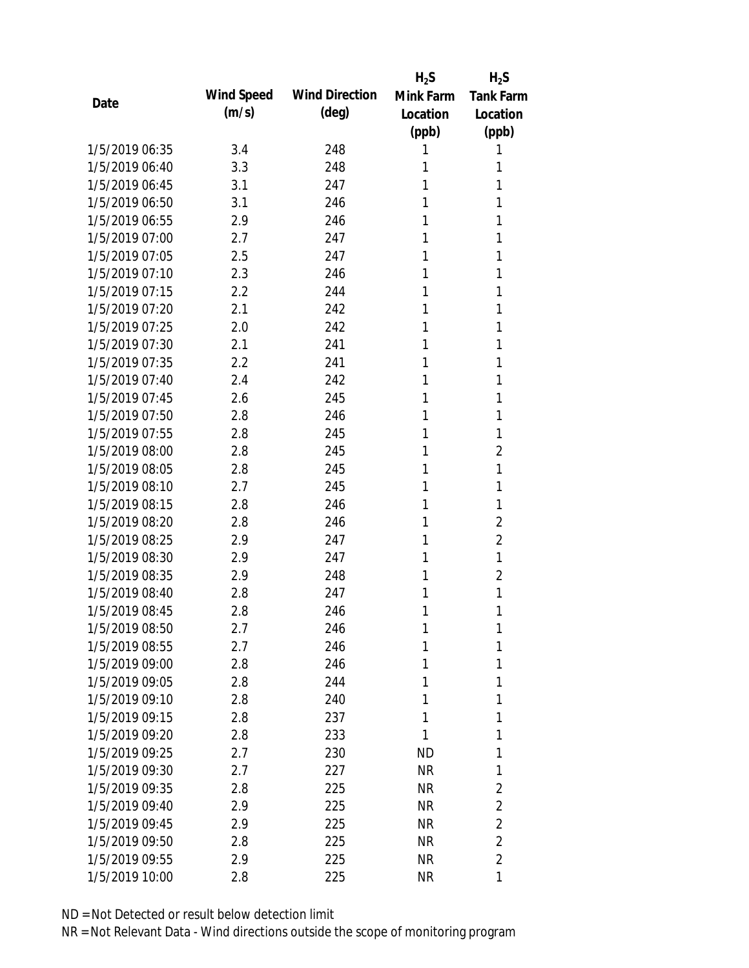|                |            |                       | $H_2S$    | $H_2S$           |
|----------------|------------|-----------------------|-----------|------------------|
| Date           | Wind Speed | <b>Wind Direction</b> | Mink Farm | <b>Tank Farm</b> |
|                | (m/s)      | (deg)                 | Location  | Location         |
|                |            |                       | (ppb)     | (ppb)            |
| 1/5/2019 06:35 | 3.4        | 248                   | 1         | 1                |
| 1/5/2019 06:40 | 3.3        | 248                   | 1         | 1                |
| 1/5/2019 06:45 | 3.1        | 247                   | 1         | 1                |
| 1/5/2019 06:50 | 3.1        | 246                   | 1         | 1                |
| 1/5/2019 06:55 | 2.9        | 246                   | 1         | 1                |
| 1/5/2019 07:00 | 2.7        | 247                   | 1         | 1                |
| 1/5/2019 07:05 | 2.5        | 247                   | 1         | 1                |
| 1/5/2019 07:10 | 2.3        | 246                   | 1         | 1                |
| 1/5/2019 07:15 | 2.2        | 244                   | 1         | 1                |
| 1/5/2019 07:20 | 2.1        | 242                   | 1         | 1                |
| 1/5/2019 07:25 | 2.0        | 242                   | 1         | 1                |
| 1/5/2019 07:30 | 2.1        | 241                   | 1         | 1                |
| 1/5/2019 07:35 | 2.2        | 241                   | 1         | 1                |
| 1/5/2019 07:40 | 2.4        | 242                   | 1         | 1                |
| 1/5/2019 07:45 | 2.6        | 245                   | 1         | 1                |
| 1/5/2019 07:50 | 2.8        | 246                   | 1         | 1                |
| 1/5/2019 07:55 | 2.8        | 245                   | 1         | 1                |
| 1/5/2019 08:00 | 2.8        | 245                   | 1         | $\overline{2}$   |
| 1/5/2019 08:05 | 2.8        | 245                   | 1         | 1                |
| 1/5/2019 08:10 | 2.7        | 245                   | 1         | 1                |
| 1/5/2019 08:15 | 2.8        | 246                   | 1         | 1                |
| 1/5/2019 08:20 | 2.8        | 246                   | 1         | $\overline{2}$   |
| 1/5/2019 08:25 | 2.9        | 247                   | 1         | $\overline{2}$   |
| 1/5/2019 08:30 | 2.9        | 247                   | 1         | $\mathbf{1}$     |
| 1/5/2019 08:35 | 2.9        | 248                   | 1         | $\overline{2}$   |
| 1/5/2019 08:40 | 2.8        | 247                   | 1         | 1                |
| 1/5/2019 08:45 | 2.8        | 246                   | 1         | 1                |
| 1/5/2019 08:50 | 2.7        | 246                   | 1         | 1                |
| 1/5/2019 08:55 | 2.7        | 246                   | 1         | 1                |
| 1/5/2019 09:00 | 2.8        | 246                   | 1         | 1                |
| 1/5/2019 09:05 | 2.8        | 244                   | 1         | 1                |
| 1/5/2019 09:10 | 2.8        | 240                   | 1         | 1                |
| 1/5/2019 09:15 | 2.8        | 237                   | 1         | 1                |
| 1/5/2019 09:20 | 2.8        | 233                   | 1         | 1                |
| 1/5/2019 09:25 | 2.7        | 230                   | ND        | 1                |
| 1/5/2019 09:30 | 2.7        | 227                   | <b>NR</b> | 1                |
| 1/5/2019 09:35 | 2.8        | 225                   | <b>NR</b> | 2                |
| 1/5/2019 09:40 | 2.9        | 225                   | <b>NR</b> | $\overline{2}$   |
| 1/5/2019 09:45 | 2.9        | 225                   | NR        | $\overline{2}$   |
| 1/5/2019 09:50 | 2.8        | 225                   | <b>NR</b> | $\overline{2}$   |
| 1/5/2019 09:55 | 2.9        | 225                   | NR        | $\overline{2}$   |
|                |            |                       |           |                  |
| 1/5/2019 10:00 | 2.8        | 225                   | <b>NR</b> | 1                |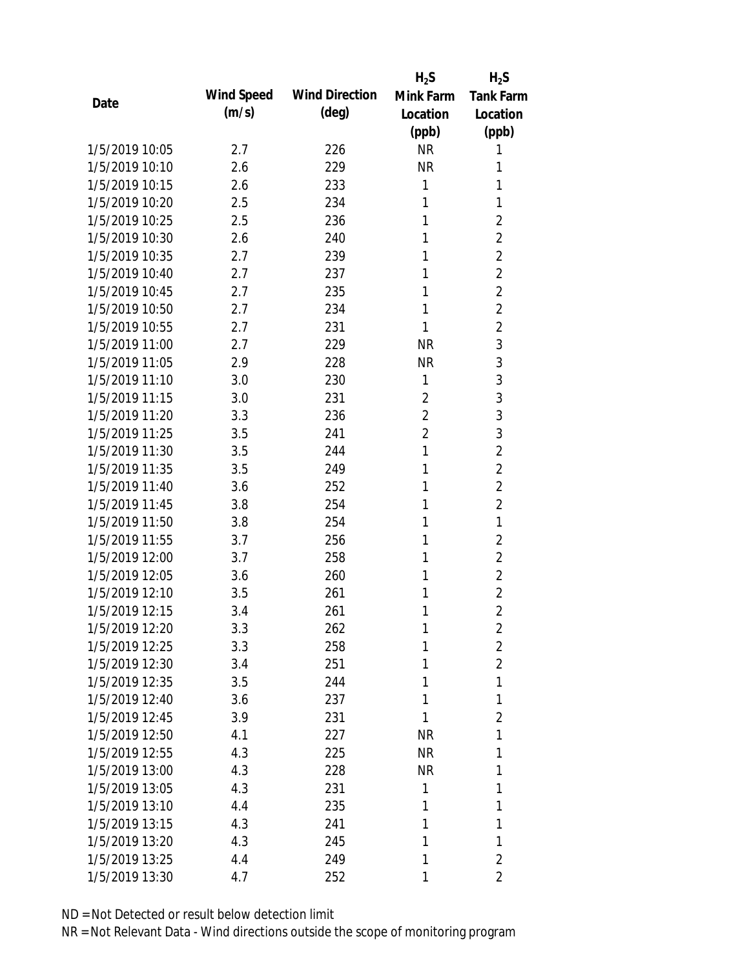|                |            |                       | $H_2S$         | $H_2S$           |
|----------------|------------|-----------------------|----------------|------------------|
| Date           | Wind Speed | <b>Wind Direction</b> | Mink Farm      | <b>Tank Farm</b> |
|                | (m/s)      | $(\text{deg})$        | Location       | Location         |
|                |            |                       | (ppb)          | (ppb)            |
| 1/5/2019 10:05 | 2.7        | 226                   | <b>NR</b>      | 1                |
| 1/5/2019 10:10 | 2.6        | 229                   | <b>NR</b>      | 1                |
| 1/5/2019 10:15 | 2.6        | 233                   | 1              | 1                |
| 1/5/2019 10:20 | 2.5        | 234                   | 1              | 1                |
| 1/5/2019 10:25 | 2.5        | 236                   | 1              | $\overline{2}$   |
| 1/5/2019 10:30 | 2.6        | 240                   | 1              | $\overline{2}$   |
| 1/5/2019 10:35 | 2.7        | 239                   | 1              | $\overline{2}$   |
| 1/5/2019 10:40 | 2.7        | 237                   | 1              | $\overline{2}$   |
| 1/5/2019 10:45 | 2.7        | 235                   | 1              | $\overline{2}$   |
| 1/5/2019 10:50 | 2.7        | 234                   | 1              | $\overline{2}$   |
| 1/5/2019 10:55 | 2.7        | 231                   | 1              | $\overline{2}$   |
| 1/5/2019 11:00 | 2.7        | 229                   | <b>NR</b>      | 3                |
| 1/5/2019 11:05 | 2.9        | 228                   | <b>NR</b>      | 3                |
| 1/5/2019 11:10 | 3.0        | 230                   | 1              | 3                |
| 1/5/2019 11:15 | 3.0        | 231                   | $\overline{2}$ | 3                |
| 1/5/2019 11:20 | 3.3        | 236                   | $\overline{2}$ | 3                |
| 1/5/2019 11:25 | 3.5        | 241                   | $\overline{2}$ | 3                |
| 1/5/2019 11:30 | 3.5        | 244                   | 1              | $\overline{2}$   |
| 1/5/2019 11:35 | 3.5        | 249                   | 1              | $\overline{2}$   |
| 1/5/2019 11:40 | 3.6        | 252                   | 1              | $\overline{2}$   |
| 1/5/2019 11:45 | 3.8        | 254                   | 1              | $\overline{2}$   |
| 1/5/2019 11:50 | 3.8        | 254                   | 1              | $\mathbf{1}$     |
| 1/5/2019 11:55 | 3.7        | 256                   | 1              | $\overline{2}$   |
| 1/5/2019 12:00 | 3.7        | 258                   | 1              | $\overline{2}$   |
| 1/5/2019 12:05 | 3.6        | 260                   | 1              | $\overline{2}$   |
| 1/5/2019 12:10 | 3.5        | 261                   | 1              | $\overline{2}$   |
| 1/5/2019 12:15 | 3.4        | 261                   | 1              | $\overline{2}$   |
| 1/5/2019 12:20 | 3.3        | 262                   | 1              | $\overline{2}$   |
| 1/5/2019 12:25 | 3.3        | 258                   | 1              | $\overline{2}$   |
| 1/5/2019 12:30 | 3.4        | 251                   | 1              | $\overline{2}$   |
| 1/5/2019 12:35 | 3.5        | 244                   | 1              | 1                |
| 1/5/2019 12:40 | 3.6        | 237                   | 1              | 1                |
| 1/5/2019 12:45 | 3.9        | 231                   | 1              | $\overline{2}$   |
| 1/5/2019 12:50 | 4.1        | 227                   | <b>NR</b>      | 1                |
| 1/5/2019 12:55 | 4.3        | 225                   | <b>NR</b>      | 1                |
| 1/5/2019 13:00 | 4.3        | 228                   | <b>NR</b>      | 1                |
| 1/5/2019 13:05 | 4.3        | 231                   | 1              | 1                |
| 1/5/2019 13:10 | 4.4        | 235                   | 1              | 1                |
| 1/5/2019 13:15 | 4.3        | 241                   | 1              | 1                |
| 1/5/2019 13:20 | 4.3        | 245                   | 1              | 1                |
| 1/5/2019 13:25 | 4.4        | 249                   | 1              | $\overline{2}$   |
| 1/5/2019 13:30 | 4.7        | 252                   | 1              | $\overline{2}$   |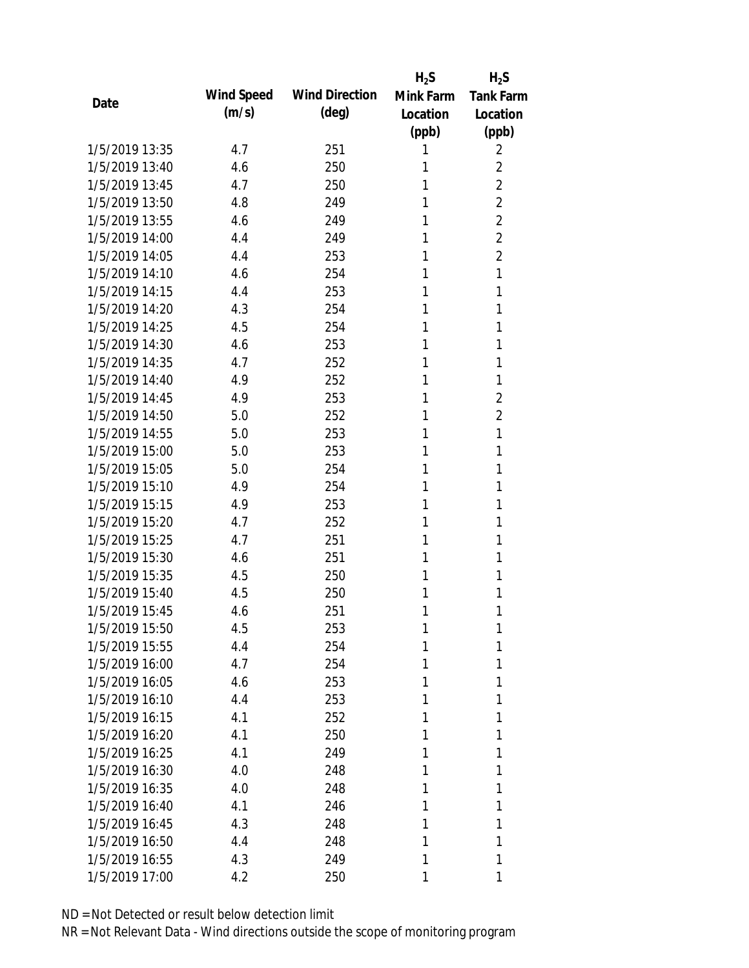|                |            |                       | $H_2S$    | $H_2S$           |
|----------------|------------|-----------------------|-----------|------------------|
| Date           | Wind Speed | <b>Wind Direction</b> | Mink Farm | <b>Tank Farm</b> |
|                | (m/s)      | (deg)                 | Location  | Location         |
|                |            |                       | (ppb)     | (ppb)            |
| 1/5/2019 13:35 | 4.7        | 251                   | 1         | 2                |
| 1/5/2019 13:40 | 4.6        | 250                   | 1         | $\overline{2}$   |
| 1/5/2019 13:45 | 4.7        | 250                   | 1         | $\overline{2}$   |
| 1/5/2019 13:50 | 4.8        | 249                   | 1         | $\overline{2}$   |
| 1/5/2019 13:55 | 4.6        | 249                   | 1         | $\overline{2}$   |
| 1/5/2019 14:00 | 4.4        | 249                   | 1         | $\overline{2}$   |
| 1/5/2019 14:05 | 4.4        | 253                   | 1         | $\overline{2}$   |
| 1/5/2019 14:10 | 4.6        | 254                   | 1         | $\mathbf{1}$     |
| 1/5/2019 14:15 | 4.4        | 253                   | 1         | 1                |
| 1/5/2019 14:20 | 4.3        | 254                   | 1         | 1                |
| 1/5/2019 14:25 | 4.5        | 254                   | 1         | 1                |
| 1/5/2019 14:30 | 4.6        | 253                   | 1         | 1                |
| 1/5/2019 14:35 | 4.7        | 252                   | 1         | 1                |
| 1/5/2019 14:40 | 4.9        | 252                   | 1         | 1                |
| 1/5/2019 14:45 | 4.9        | 253                   | 1         | $\overline{2}$   |
| 1/5/2019 14:50 | 5.0        | 252                   | 1         | $\overline{2}$   |
| 1/5/2019 14:55 | 5.0        | 253                   | 1         | 1                |
| 1/5/2019 15:00 | 5.0        | 253                   | 1         | 1                |
| 1/5/2019 15:05 | 5.0        | 254                   | 1         | 1                |
| 1/5/2019 15:10 | 4.9        | 254                   | 1         | 1                |
| 1/5/2019 15:15 | 4.9        | 253                   | 1         | 1                |
| 1/5/2019 15:20 | 4.7        | 252                   | 1         | 1                |
| 1/5/2019 15:25 | 4.7        | 251                   | 1         | 1                |
| 1/5/2019 15:30 | 4.6        | 251                   | 1         | 1                |
| 1/5/2019 15:35 | 4.5        | 250                   | 1         | 1                |
| 1/5/2019 15:40 | 4.5        | 250                   | 1         | 1                |
| 1/5/2019 15:45 | 4.6        | 251                   | 1         | 1                |
| 1/5/2019 15:50 | 4.5        | 253                   | 1         | 1                |
| 1/5/2019 15:55 | 4.4        | 254                   | 1         | 1                |
| 1/5/2019 16:00 | 4.7        | 254                   | 1         | 1                |
| 1/5/2019 16:05 | 4.6        | 253                   | 1         | 1                |
| 1/5/2019 16:10 | 4.4        | 253                   | 1         | 1                |
| 1/5/2019 16:15 | 4.1        | 252                   | 1         | 1                |
| 1/5/2019 16:20 | 4.1        | 250                   | 1         | 1                |
| 1/5/2019 16:25 | 4.1        | 249                   | 1         | 1                |
| 1/5/2019 16:30 | 4.0        | 248                   | 1         | 1                |
| 1/5/2019 16:35 | 4.0        | 248                   | 1         | 1                |
| 1/5/2019 16:40 | 4.1        | 246                   | 1         | 1                |
| 1/5/2019 16:45 | 4.3        | 248                   | 1         | 1                |
| 1/5/2019 16:50 | 4.4        | 248                   | 1         | 1                |
| 1/5/2019 16:55 | 4.3        | 249                   | 1         | 1                |
| 1/5/2019 17:00 | 4.2        | 250                   | 1         | 1                |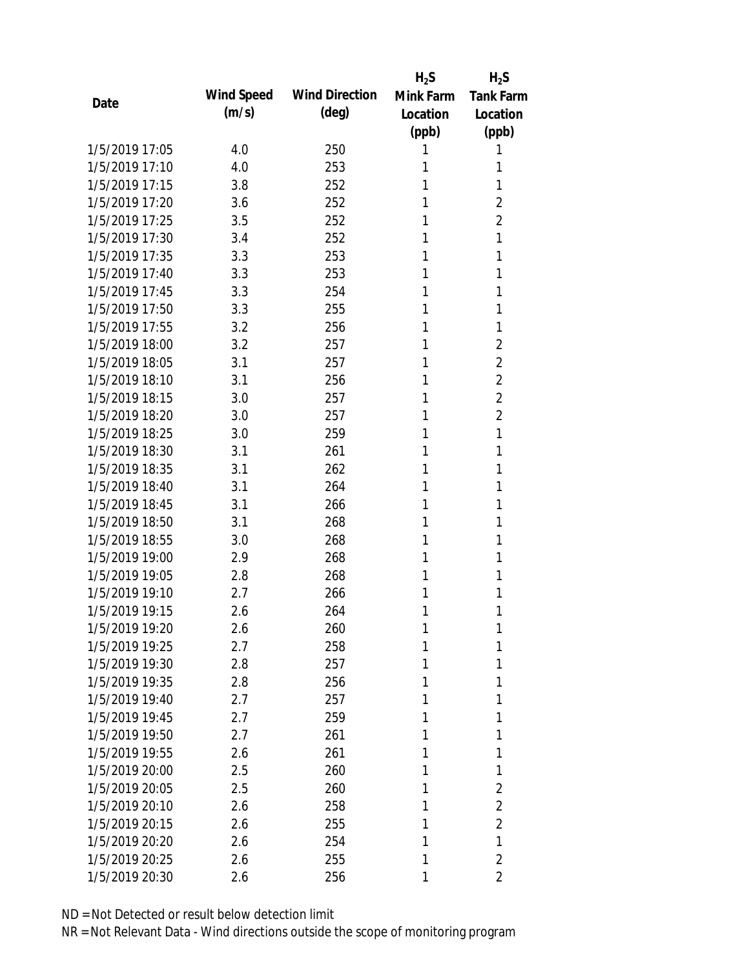|                |            |                       | $H_2S$    | $H_2S$           |
|----------------|------------|-----------------------|-----------|------------------|
| Date           | Wind Speed | <b>Wind Direction</b> | Mink Farm | <b>Tank Farm</b> |
|                | (m/s)      | (deg)                 | Location  | Location         |
|                |            |                       | (ppb)     | (ppb)            |
| 1/5/2019 17:05 | 4.0        | 250                   | 1         | 1                |
| 1/5/2019 17:10 | 4.0        | 253                   | 1         | 1                |
| 1/5/2019 17:15 | 3.8        | 252                   | 1         | 1                |
| 1/5/2019 17:20 | 3.6        | 252                   | 1         | $\overline{2}$   |
| 1/5/2019 17:25 | 3.5        | 252                   | 1         | $\overline{2}$   |
| 1/5/2019 17:30 | 3.4        | 252                   | 1         | 1                |
| 1/5/2019 17:35 | 3.3        | 253                   | 1         | 1                |
| 1/5/2019 17:40 | 3.3        | 253                   | 1         | 1                |
| 1/5/2019 17:45 | 3.3        | 254                   | 1         | 1                |
| 1/5/2019 17:50 | 3.3        | 255                   | 1         | 1                |
| 1/5/2019 17:55 | 3.2        | 256                   | 1         | 1                |
| 1/5/2019 18:00 | 3.2        | 257                   | 1         | $\overline{2}$   |
| 1/5/2019 18:05 | 3.1        | 257                   | 1         | $\overline{2}$   |
| 1/5/2019 18:10 | 3.1        | 256                   | 1         | $\overline{2}$   |
| 1/5/2019 18:15 | 3.0        | 257                   | 1         | $\overline{2}$   |
| 1/5/2019 18:20 | 3.0        | 257                   | 1         | $\overline{2}$   |
| 1/5/2019 18:25 | 3.0        | 259                   | 1         | 1                |
| 1/5/2019 18:30 | 3.1        | 261                   | 1         | 1                |
| 1/5/2019 18:35 | 3.1        | 262                   | 1         | 1                |
| 1/5/2019 18:40 | 3.1        | 264                   | 1         | 1                |
| 1/5/2019 18:45 | 3.1        | 266                   | 1         | 1                |
| 1/5/2019 18:50 | 3.1        | 268                   | 1         | 1                |
| 1/5/2019 18:55 | 3.0        | 268                   | 1         | 1                |
| 1/5/2019 19:00 | 2.9        | 268                   | 1         | 1                |
| 1/5/2019 19:05 | 2.8        | 268                   | 1         | 1                |
| 1/5/2019 19:10 | 2.7        | 266                   | 1         | 1                |
| 1/5/2019 19:15 | 2.6        | 264                   | 1         | 1                |
| 1/5/2019 19:20 | 2.6        | 260                   | 1         | 1                |
| 1/5/2019 19:25 | 2.7        | 258                   | 1         | 1                |
| 1/5/2019 19:30 | 2.8        | 257                   | 1         | 1                |
| 1/5/2019 19:35 | 2.8        | 256                   | 1         | 1                |
| 1/5/2019 19:40 | 2.7        | 257                   | 1         | 1                |
| 1/5/2019 19:45 | 2.7        | 259                   | 1         | 1                |
| 1/5/2019 19:50 | 2.7        | 261                   | 1         | 1                |
| 1/5/2019 19:55 | 2.6        | 261                   | 1         | 1                |
| 1/5/2019 20:00 | 2.5        | 260                   | 1         | 1                |
| 1/5/2019 20:05 | 2.5        | 260                   | 1         | 2                |
| 1/5/2019 20:10 | 2.6        | 258                   | 1         | 2                |
| 1/5/2019 20:15 | 2.6        | 255                   | 1         | $\overline{2}$   |
| 1/5/2019 20:20 | 2.6        | 254                   | 1         | 1                |
| 1/5/2019 20:25 | 2.6        | 255                   | 1         | $\overline{2}$   |
| 1/5/2019 20:30 | 2.6        | 256                   | 1         | 2                |
|                |            |                       |           |                  |